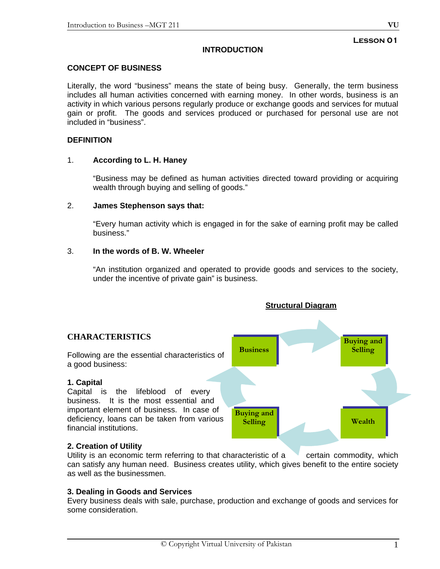# **Lesson 01**

# **INTRODUCTION**

# **CONCEPT OF BUSINESS**

Literally, the word "business" means the state of being busy. Generally, the term business includes all human activities concerned with earning money. In other words, business is an activity in which various persons regularly produce or exchange goods and services for mutual gain or profit. The goods and services produced or purchased for personal use are not included in "business".

# **DEFINITION**

### 1. **According to L. H. Haney**

"Business may be defined as human activities directed toward providing or acquiring wealth through buying and selling of goods."

### 2. **James Stephenson says that:**

"Every human activity which is engaged in for the sake of earning profit may be called business."

### 3. **In the words of B. W. Wheeler**

"An institution organized and operated to provide goods and services to the society, under the incentive of private gain" is business.



Utility is an economic term referring to that characteristic of a certain commodity, which can satisfy any human need. Business creates utility, which gives benefit to the entire society as well as the businessmen.

# **3. Dealing in Goods and Services**

Every business deals with sale, purchase, production and exchange of goods and services for some consideration.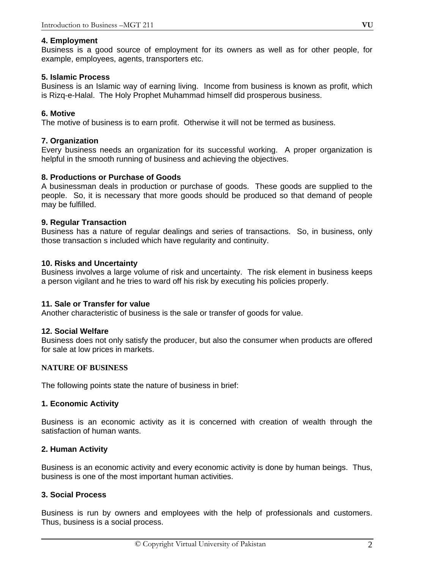# **4. Employment**

Business is a good source of employment for its owners as well as for other people, for example, employees, agents, transporters etc.

# **5. Islamic Process**

Business is an Islamic way of earning living. Income from business is known as profit, which is Rizq-e-Halal. The Holy Prophet Muhammad himself did prosperous business.

# **6. Motive**

The motive of business is to earn profit. Otherwise it will not be termed as business.

# **7. Organization**

Every business needs an organization for its successful working. A proper organization is helpful in the smooth running of business and achieving the objectives.

# **8. Productions or Purchase of Goods**

A businessman deals in production or purchase of goods. These goods are supplied to the people. So, it is necessary that more goods should be produced so that demand of people may be fulfilled.

# **9. Regular Transaction**

Business has a nature of regular dealings and series of transactions. So, in business, only those transaction s included which have regularity and continuity.

# **10. Risks and Uncertainty**

Business involves a large volume of risk and uncertainty. The risk element in business keeps a person vigilant and he tries to ward off his risk by executing his policies properly.

# **11. Sale or Transfer for value**

Another characteristic of business is the sale or transfer of goods for value.

# **12. Social Welfare**

Business does not only satisfy the producer, but also the consumer when products are offered for sale at low prices in markets.

# **NATURE OF BUSINESS**

The following points state the nature of business in brief:

# **1. Economic Activity**

Business is an economic activity as it is concerned with creation of wealth through the satisfaction of human wants.

# **2. Human Activity**

Business is an economic activity and every economic activity is done by human beings. Thus, business is one of the most important human activities.

# **3. Social Process**

Business is run by owners and employees with the help of professionals and customers. Thus, business is a social process.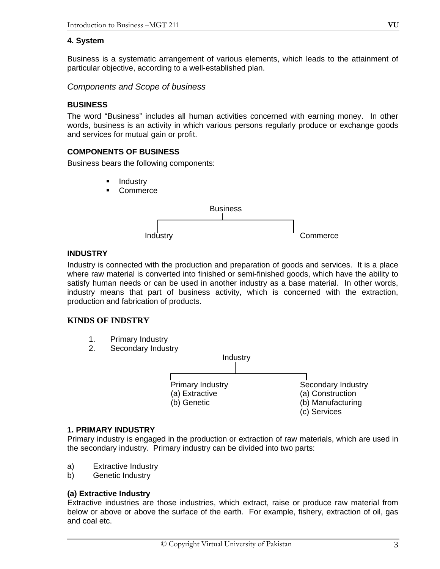# **4. System**

Business is a systematic arrangement of various elements, which leads to the attainment of particular objective, according to a well-established plan.

*Components and Scope of business* 

# **BUSINESS**

The word "Business" includes all human activities concerned with earning money. In other words, business is an activity in which various persons regularly produce or exchange goods and services for mutual gain or profit.

# **COMPONENTS OF BUSINESS**

Business bears the following components:

- Industry
- Commerce



# **INDUSTRY**

Industry is connected with the production and preparation of goods and services. It is a place where raw material is converted into finished or semi-finished goods, which have the ability to satisfy human needs or can be used in another industry as a base material. In other words, industry means that part of business activity, which is concerned with the extraction, production and fabrication of products.

# **KINDS OF INDSTRY**

- 1. Primary Industry
- 2. Secondary Industry



#### **1. PRIMARY INDUSTRY**

Primary industry is engaged in the production or extraction of raw materials, which are used in the secondary industry. Primary industry can be divided into two parts:

- a) Extractive Industry
- b) Genetic Industry

#### **(a) Extractive Industry**

Extractive industries are those industries, which extract, raise or produce raw material from below or above or above the surface of the earth. For example, fishery, extraction of oil, gas and coal etc.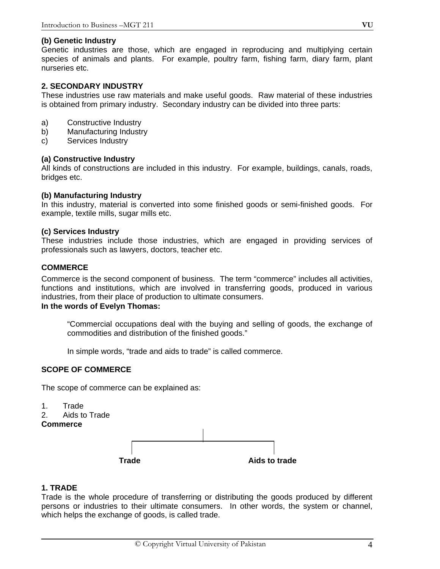### **(b) Genetic Industry**

Genetic industries are those, which are engaged in reproducing and multiplying certain species of animals and plants. For example, poultry farm, fishing farm, diary farm, plant nurseries etc.

### **2. SECONDARY INDUSTRY**

These industries use raw materials and make useful goods. Raw material of these industries is obtained from primary industry. Secondary industry can be divided into three parts:

- a) Constructive Industry
- b) Manufacturing Industry
- c) Services Industry

### **(a) Constructive Industry**

All kinds of constructions are included in this industry. For example, buildings, canals, roads, bridges etc.

### **(b) Manufacturing Industry**

In this industry, material is converted into some finished goods or semi-finished goods. For example, textile mills, sugar mills etc.

### **(c) Services Industry**

These industries include those industries, which are engaged in providing services of professionals such as lawyers, doctors, teacher etc.

### **COMMERCE**

Commerce is the second component of business. The term "commerce" includes all activities, functions and institutions, which are involved in transferring goods, produced in various industries, from their place of production to ultimate consumers.

# **In the words of Evelyn Thomas:**

"Commercial occupations deal with the buying and selling of goods, the exchange of commodities and distribution of the finished goods."

In simple words, "trade and aids to trade" is called commerce.

#### **SCOPE OF COMMERCE**

The scope of commerce can be explained as:

1. Trade 2. Aids to Trade **Commerce Trade Aids to trade** 

#### **1. TRADE**

Trade is the whole procedure of transferring or distributing the goods produced by different persons or industries to their ultimate consumers. In other words, the system or channel, which helps the exchange of goods, is called trade.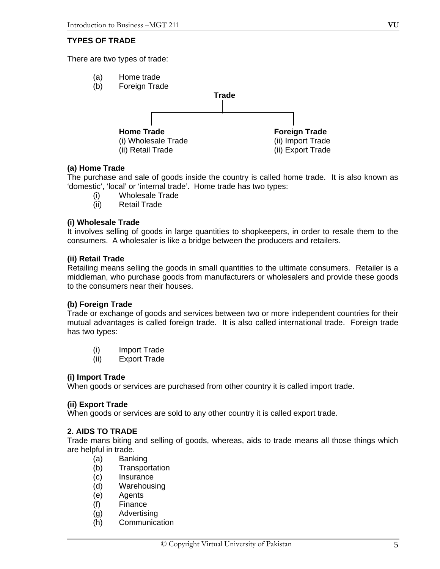# **TYPES OF TRADE**

There are two types of trade:

- (a) Home trade
- (b) Foreign Trade



# **(a) Home Trade**

The purchase and sale of goods inside the country is called home trade. It is also known as 'domestic', 'local' or 'internal trade'. Home trade has two types:

- (i) Wholesale Trade
- (ii) Retail Trade

# **(i) Wholesale Trade**

It involves selling of goods in large quantities to shopkeepers, in order to resale them to the consumers. A wholesaler is like a bridge between the producers and retailers.

### **(ii) Retail Trade**

Retailing means selling the goods in small quantities to the ultimate consumers. Retailer is a middleman, who purchase goods from manufacturers or wholesalers and provide these goods to the consumers near their houses.

# **(b) Foreign Trade**

Trade or exchange of goods and services between two or more independent countries for their mutual advantages is called foreign trade. It is also called international trade. Foreign trade has two types:

- (i) Import Trade
- (ii) Export Trade

# **(i) Import Trade**

When goods or services are purchased from other country it is called import trade.

# **(ii) Export Trade**

When goods or services are sold to any other country it is called export trade.

# **2. AIDS TO TRADE**

Trade mans biting and selling of goods, whereas, aids to trade means all those things which are helpful in trade.

- (a) Banking
- (b) Transportation
- (c) Insurance
- (d) Warehousing
- (e) Agents
- (f) Finance
- (g) Advertising
- (h) Communication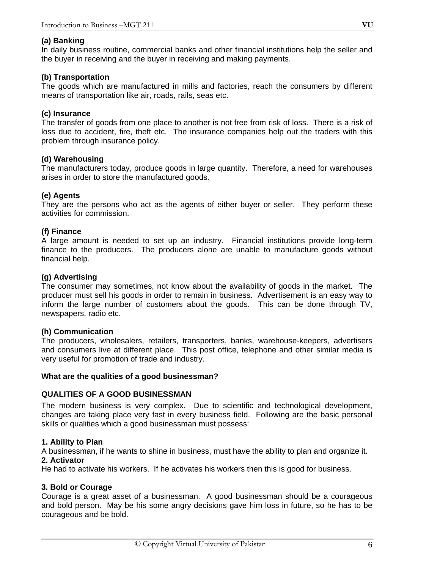# **(a) Banking**

In daily business routine, commercial banks and other financial institutions help the seller and the buyer in receiving and the buyer in receiving and making payments.

# **(b) Transportation**

The goods which are manufactured in mills and factories, reach the consumers by different means of transportation like air, roads, rails, seas etc.

# **(c) Insurance**

The transfer of goods from one place to another is not free from risk of loss. There is a risk of loss due to accident, fire, theft etc. The insurance companies help out the traders with this problem through insurance policy.

# **(d) Warehousing**

The manufacturers today, produce goods in large quantity. Therefore, a need for warehouses arises in order to store the manufactured goods.

# **(e) Agents**

They are the persons who act as the agents of either buyer or seller. They perform these activities for commission.

# **(f) Finance**

A large amount is needed to set up an industry. Financial institutions provide long-term finance to the producers. The producers alone are unable to manufacture goods without financial help.

# **(g) Advertising**

The consumer may sometimes, not know about the availability of goods in the market. The producer must sell his goods in order to remain in business. Advertisement is an easy way to inform the large number of customers about the goods. This can be done through TV, newspapers, radio etc.

# **(h) Communication**

The producers, wholesalers, retailers, transporters, banks, warehouse-keepers, advertisers and consumers live at different place. This post office, telephone and other similar media is very useful for promotion of trade and industry.

# **What are the qualities of a good businessman?**

# **QUALITIES OF A GOOD BUSINESSMAN**

The modern business is very complex. Due to scientific and technological development, changes are taking place very fast in every business field. Following are the basic personal skills or qualities which a good businessman must possess:

# **1. Ability to Plan**

A businessman, if he wants to shine in business, must have the ability to plan and organize it. **2. Activator**

He had to activate his workers. If he activates his workers then this is good for business.

# **3. Bold or Courage**

Courage is a great asset of a businessman. A good businessman should be a courageous and bold person. May be his some angry decisions gave him loss in future, so he has to be courageous and be bold.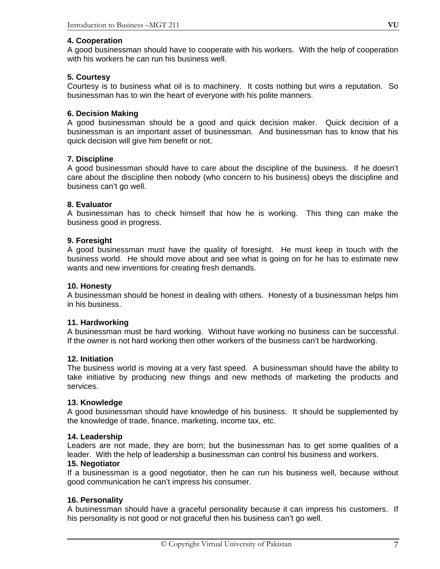### **4. Cooperation**

A good businessman should have to cooperate with his workers. With the help of cooperation with his workers he can run his business well.

# **5. Courtesy**

Courtesy is to business what oil is to machinery. It costs nothing but wins a reputation. So businessman has to win the heart of everyone with his polite manners.

### **6. Decision Making**

A good businessman should be a good and quick decision maker. Quick decision of a businessman is an important asset of businessman. And businessman has to know that his quick decision will give him benefit or not.

### **7. Discipline**

A good businessman should have to care about the discipline of the business. If he doesn't care about the discipline then nobody (who concern to his business) obeys the discipline and business can't go well.

#### **8. Evaluator**

A businessman has to check himself that how he is working. This thing can make the business good in progress.

#### **9. Foresight**

A good businessman must have the quality of foresight. He must keep in touch with the business world. He should move about and see what is going on for he has to estimate new wants and new inventions for creating fresh demands.

#### **10. Honesty**

A businessman should be honest in dealing with others. Honesty of a businessman helps him in his business.

#### **11. Hardworking**

A businessman must be hard working. Without have working no business can be successful. If the owner is not hard working then other workers of the business can't be hardworking.

#### **12. Initiation**

The business world is moving at a very fast speed. A businessman should have the ability to take initiative by producing new things and new methods of marketing the products and services.

### **13. Knowledge**

A good businessman should have knowledge of his business. It should be supplemented by the knowledge of trade, finance, marketing, income tax, etc.

#### **14. Leadership**

Leaders are not made, they are born; but the businessman has to get some qualities of a leader. With the help of leadership a businessman can control his business and workers.

### **15. Negotiator**

If a businessman is a good negotiator, then he can run his business well, because without good communication he can't impress his consumer.

#### **16. Personality**

A businessman should have a graceful personality because it can impress his customers. If his personality is not good or not graceful then his business can't go well.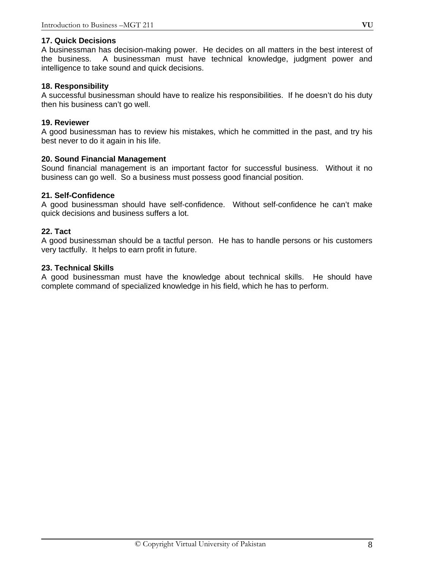# **17. Quick Decisions**

A businessman has decision-making power. He decides on all matters in the best interest of the business. A businessman must have technical knowledge, judgment power and intelligence to take sound and quick decisions.

# **18. Responsibility**

A successful businessman should have to realize his responsibilities. If he doesn't do his duty then his business can't go well.

# **19. Reviewer**

A good businessman has to review his mistakes, which he committed in the past, and try his best never to do it again in his life.

# **20. Sound Financial Management**

Sound financial management is an important factor for successful business. Without it no business can go well. So a business must possess good financial position.

# **21. Self-Confidence**

A good businessman should have self-confidence. Without self-confidence he can't make quick decisions and business suffers a lot.

# **22. Tact**

A good businessman should be a tactful person. He has to handle persons or his customers very tactfully. It helps to earn profit in future.

# **23. Technical Skills**

A good businessman must have the knowledge about technical skills. He should have complete command of specialized knowledge in his field, which he has to perform.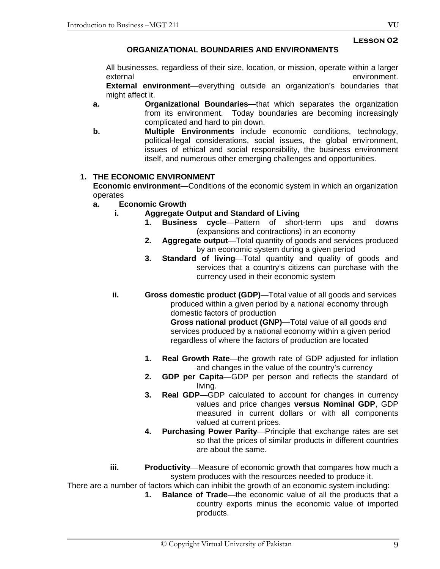# **Lesson 02**

# **ORGANIZATIONAL BOUNDARIES AND ENVIRONMENTS**

All businesses, regardless of their size, location, or mission, operate within a larger external environment.

**External environment**—everything outside an organization's boundaries that might affect it.

- **a. Organizational Boundaries**—that which separates the organization from its environment. Today boundaries are becoming increasingly complicated and hard to pin down.
- **b. Multiple Environments** include economic conditions, technology, political-legal considerations, social issues, the global environment, issues of ethical and social responsibility, the business environment itself, and numerous other emerging challenges and opportunities.

# **1. THE ECONOMIC ENVIRONMENT**

**Economic environment**—Conditions of the economic system in which an organization operates

- **a. Economic Growth** 
	- **i. Aggregate Output and Standard of Living** 
		- **1. Business cycle**—Pattern of short-term ups and downs (expansions and contractions) in an economy
		- **2. Aggregate output**—Total quantity of goods and services produced by an economic system during a given period
		- **3. Standard of living**—Total quantity and quality of goods and services that a country's citizens can purchase with the currency used in their economic system
	- **ii.** Gross domestic product (GDP)—Total value of all goods and services produced within a given period by a national economy through domestic factors of production

**Gross national product (GNP)**—Total value of all goods and services produced by a national economy within a given period regardless of where the factors of production are located

- **1. Real Growth Rate**—the growth rate of GDP adjusted for inflation and changes in the value of the country's currency
- **2. GDP per Capita**—GDP per person and reflects the standard of living.
- **3. Real GDP**—GDP calculated to account for changes in currency values and price changes **versus Nominal GDP**, GDP measured in current dollars or with all components valued at current prices.
- **4. Purchasing Power Parity**—Principle that exchange rates are set so that the prices of similar products in different countries are about the same.
- **iii. Productivity**—Measure of economic growth that compares how much a system produces with the resources needed to produce it.

There are a number of factors which can inhibit the growth of an economic system including:

**1. Balance of Trade**—the economic value of all the products that a country exports minus the economic value of imported products.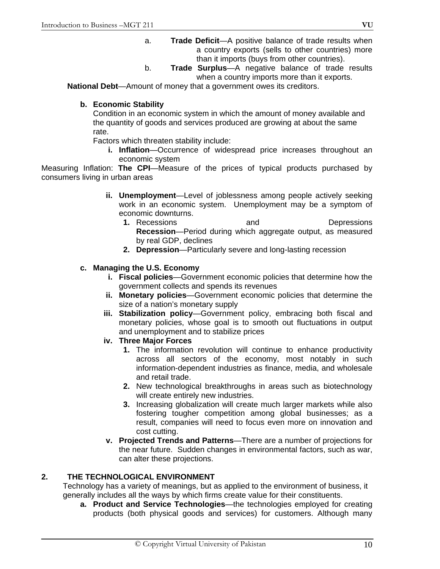- a. **Trade Deficit**—A positive balance of trade results when a country exports (sells to other countries) more than it imports (buys from other countries).
- b. **Trade Surplus**—A negative balance of trade results when a country imports more than it exports.

**National Debt**—Amount of money that a government owes its creditors.

### **b. Economic Stability**

Condition in an economic system in which the amount of money available and the quantity of goods and services produced are growing at about the same rate.

Factors which threaten stability include:

**i. Inflation**—Occurrence of widespread price increases throughout an economic system

Measuring Inflation: **The CPI**—Measure of the prices of typical products purchased by consumers living in urban areas

- **ii. Unemployment**—Level of joblessness among people actively seeking work in an economic system. Unemployment may be a symptom of economic downturns.
	- **1.** Recessions **and** Depressions **Recession**—Period during which aggregate output, as measured by real GDP, declines
	- **2. Depression**—Particularly severe and long-lasting recession

# **c. Managing the U.S. Economy**

- **i. Fiscal policies**—Government economic policies that determine how the government collects and spends its revenues
- **ii. Monetary policies**—Government economic policies that determine the size of a nation's monetary supply
- **iii. Stabilization policy**—Government policy, embracing both fiscal and monetary policies, whose goal is to smooth out fluctuations in output and unemployment and to stabilize prices

# **iv. Three Major Forces**

- **1.** The information revolution will continue to enhance productivity across all sectors of the economy, most notably in such information-dependent industries as finance, media, and wholesale and retail trade.
- **2.** New technological breakthroughs in areas such as biotechnology will create entirely new industries.
- **3.** Increasing globalization will create much larger markets while also fostering tougher competition among global businesses; as a result, companies will need to focus even more on innovation and cost cutting.
- **v. Projected Trends and Patterns**—There are a number of projections for the near future. Sudden changes in environmental factors, such as war, can alter these projections.

# **2. THE TECHNOLOGICAL ENVIRONMENT**

Technology has a variety of meanings, but as applied to the environment of business, it generally includes all the ways by which firms create value for their constituents.

**a. Product and Service Technologies**—the technologies employed for creating products (both physical goods and services) for customers. Although many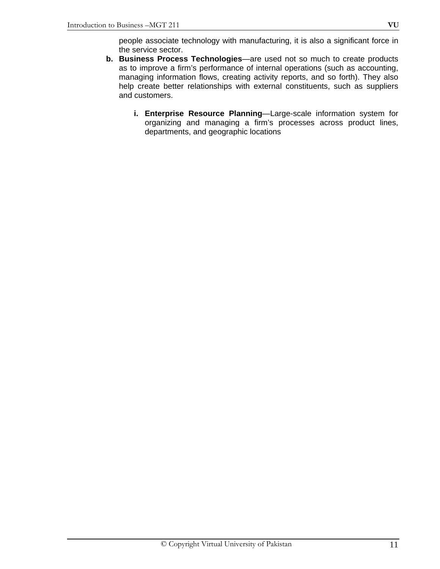people associate technology with manufacturing, it is also a significant force in the service sector.

- **b. Business Process Technologies**—are used not so much to create products as to improve a firm's performance of internal operations (such as accounting, managing information flows, creating activity reports, and so forth). They also help create better relationships with external constituents, such as suppliers and customers.
	- **i. Enterprise Resource Planning**—Large-scale information system for organizing and managing a firm's processes across product lines, departments, and geographic locations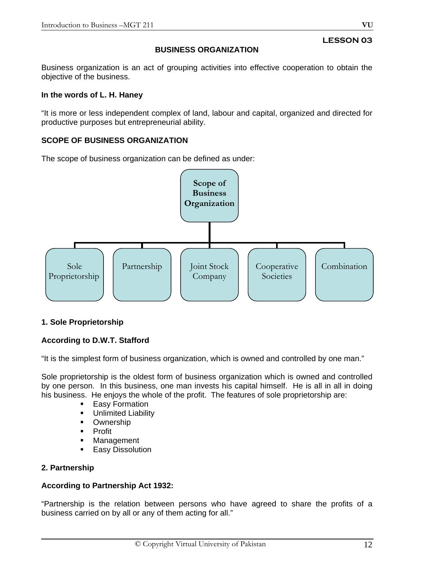# **BUSINESS ORGANIZATION**

Business organization is an act of grouping activities into effective cooperation to obtain the objective of the business.

# **In the words of L. H. Haney**

"It is more or less independent complex of land, labour and capital, organized and directed for productive purposes but entrepreneurial ability.

# **SCOPE OF BUSINESS ORGANIZATION**

The scope of business organization can be defined as under:



# **1. Sole Proprietorship**

# **According to D.W.T. Stafford**

"It is the simplest form of business organization, which is owned and controlled by one man."

Sole proprietorship is the oldest form of business organization which is owned and controlled by one person. In this business, one man invests his capital himself. He is all in all in doing his business. He enjoys the whole of the profit. The features of sole proprietorship are:

- **Easy Formation**
- **Unlimited Liability**
- **•** Ownership
- **Profit**
- Management
- **Easy Dissolution**

# **2. Partnership**

# **According to Partnership Act 1932:**

"Partnership is the relation between persons who have agreed to share the profits of a business carried on by all or any of them acting for all."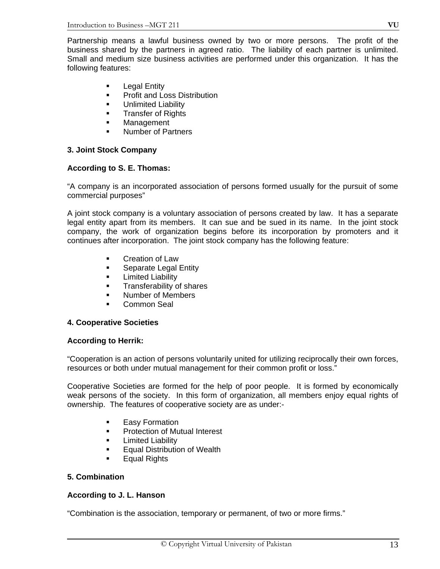Partnership means a lawful business owned by two or more persons. The profit of the business shared by the partners in agreed ratio. The liability of each partner is unlimited. Small and medium size business activities are performed under this organization. It has the following features:

- Legal Entity
- **•** Profit and Loss Distribution
- Unlimited Liability
- Transfer of Rights
- **Management**
- Number of Partners

# **3. Joint Stock Company**

# **According to S. E. Thomas:**

"A company is an incorporated association of persons formed usually for the pursuit of some commercial purposes"

A joint stock company is a voluntary association of persons created by law. It has a separate legal entity apart from its members. It can sue and be sued in its name. In the joint stock company, the work of organization begins before its incorporation by promoters and it continues after incorporation. The joint stock company has the following feature:

- Creation of Law
- Separate Legal Entity
- Limited Liability
- **Transferability of shares**
- **Number of Members**
- Common Seal

# **4. Cooperative Societies**

# **According to Herrik:**

"Cooperation is an action of persons voluntarily united for utilizing reciprocally their own forces, resources or both under mutual management for their common profit or loss."

Cooperative Societies are formed for the help of poor people. It is formed by economically weak persons of the society. In this form of organization, all members enjoy equal rights of ownership. The features of cooperative society are as under:-

- **Easy Formation**
- **Protection of Mutual Interest**
- **E** Limited Liability
- Equal Distribution of Wealth
- Equal Rights

# **5. Combination**

# **According to J. L. Hanson**

"Combination is the association, temporary or permanent, of two or more firms."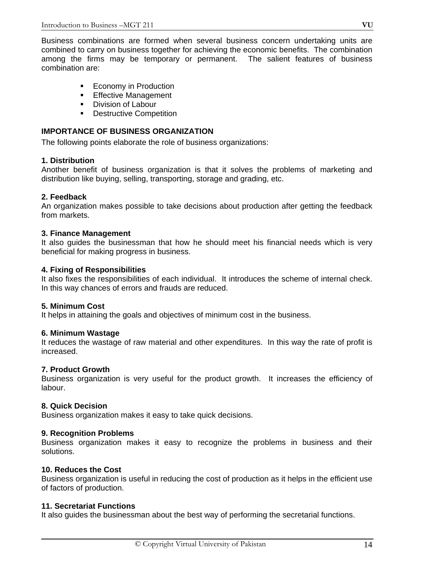Business combinations are formed when several business concern undertaking units are combined to carry on business together for achieving the economic benefits. The combination among the firms may be temporary or permanent. The salient features of business combination are:

- **Example 1** Economy in Production
- **Effective Management**
- **Division of Labour**
- **•** Destructive Competition

### **IMPORTANCE OF BUSINESS ORGANIZATION**

The following points elaborate the role of business organizations:

### **1. Distribution**

Another benefit of business organization is that it solves the problems of marketing and distribution like buying, selling, transporting, storage and grading, etc.

### **2. Feedback**

An organization makes possible to take decisions about production after getting the feedback from markets.

### **3. Finance Management**

It also guides the businessman that how he should meet his financial needs which is very beneficial for making progress in business.

### **4. Fixing of Responsibilities**

It also fixes the responsibilities of each individual. It introduces the scheme of internal check. In this way chances of errors and frauds are reduced.

#### **5. Minimum Cost**

It helps in attaining the goals and objectives of minimum cost in the business.

#### **6. Minimum Wastage**

It reduces the wastage of raw material and other expenditures. In this way the rate of profit is increased.

#### **7. Product Growth**

Business organization is very useful for the product growth. It increases the efficiency of labour.

#### **8. Quick Decision**

Business organization makes it easy to take quick decisions.

#### **9. Recognition Problems**

Business organization makes it easy to recognize the problems in business and their solutions.

# **10. Reduces the Cost**

Business organization is useful in reducing the cost of production as it helps in the efficient use of factors of production.

### **11. Secretariat Functions**

It also guides the businessman about the best way of performing the secretarial functions.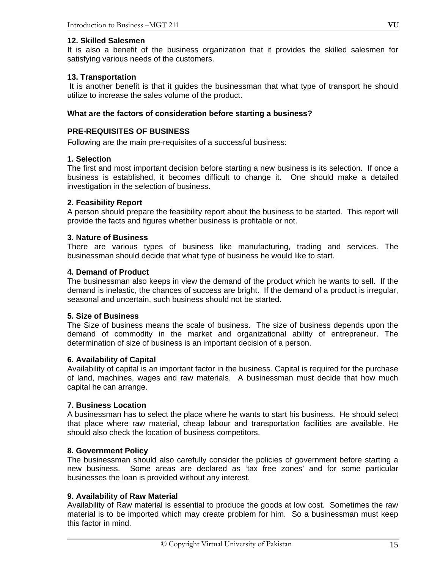### **12. Skilled Salesmen**

It is also a benefit of the business organization that it provides the skilled salesmen for satisfying various needs of the customers.

### **13. Transportation**

 It is another benefit is that it guides the businessman that what type of transport he should utilize to increase the sales volume of the product.

### **What are the factors of consideration before starting a business?**

### **PRE-REQUISITES OF BUSINESS**

Following are the main pre-requisites of a successful business:

# **1. Selection**

The first and most important decision before starting a new business is its selection. If once a business is established, it becomes difficult to change it. One should make a detailed investigation in the selection of business.

### **2. Feasibility Report**

A person should prepare the feasibility report about the business to be started. This report will provide the facts and figures whether business is profitable or not.

### **3. Nature of Business**

There are various types of business like manufacturing, trading and services. The businessman should decide that what type of business he would like to start.

### **4. Demand of Product**

The businessman also keeps in view the demand of the product which he wants to sell. If the demand is inelastic, the chances of success are bright. If the demand of a product is irregular, seasonal and uncertain, such business should not be started.

#### **5. Size of Business**

The Size of business means the scale of business. The size of business depends upon the demand of commodity in the market and organizational ability of entrepreneur. The determination of size of business is an important decision of a person.

# **6. Availability of Capital**

Availability of capital is an important factor in the business. Capital is required for the purchase of land, machines, wages and raw materials. A businessman must decide that how much capital he can arrange.

#### **7. Business Location**

A businessman has to select the place where he wants to start his business. He should select that place where raw material, cheap labour and transportation facilities are available. He should also check the location of business competitors.

#### **8. Government Policy**

The businessman should also carefully consider the policies of government before starting a new business. Some areas are declared as 'tax free zones' and for some particular businesses the loan is provided without any interest.

# **9. Availability of Raw Material**

Availability of Raw material is essential to produce the goods at low cost. Sometimes the raw material is to be imported which may create problem for him. So a businessman must keep this factor in mind.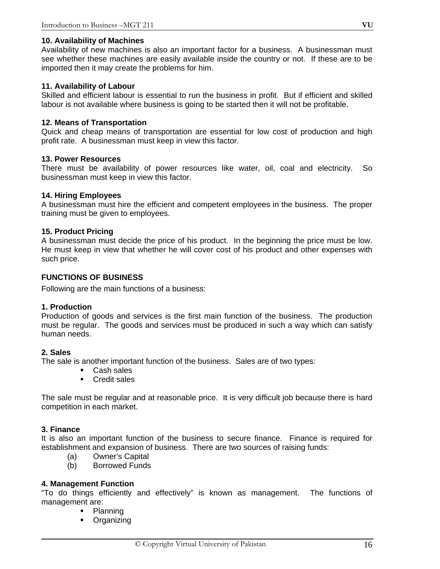# **10. Availability of Machines**

Availability of new machines is also an important factor for a business. A businessman must see whether these machines are easily available inside the country or not. If these are to be imported then it may create the problems for him.

# **11. Availability of Labour**

Skilled and efficient labour is essential to run the business in profit. But if efficient and skilled labour is not available where business is going to be started then it will not be profitable.

# **12. Means of Transportation**

Quick and cheap means of transportation are essential for low cost of production and high profit rate. A businessman must keep in view this factor.

# **13. Power Resources**

There must be availability of power resources like water, oil, coal and electricity. So businessman must keep in view this factor.

# **14. Hiring Employees**

A businessman must hire the efficient and competent employees in the business. The proper training must be given to employees.

# **15. Product Pricing**

A businessman must decide the price of his product. In the beginning the price must be low. He must keep in view that whether he will cover cost of his product and other expenses with such price.

# **FUNCTIONS OF BUSINESS**

Following are the main functions of a business:

# **1. Production**

Production of goods and services is the first main function of the business. The production must be regular. The goods and services must be produced in such a way which can satisfy human needs.

# **2. Sales**

The sale is another important function of the business. Sales are of two types:

- Cash sales
- **Credit sales**

The sale must be regular and at reasonable price. It is very difficult job because there is hard competition in each market.

# **3. Finance**

It is also an important function of the business to secure finance. Finance is required for establishment and expansion of business. There are two sources of raising funds:

- (a) Owner's Capital
- (b) Borrowed Funds

# **4. Management Function**

"To do things efficiently and effectively" is known as management. The functions of management are:

- Planning
- **Drganizing**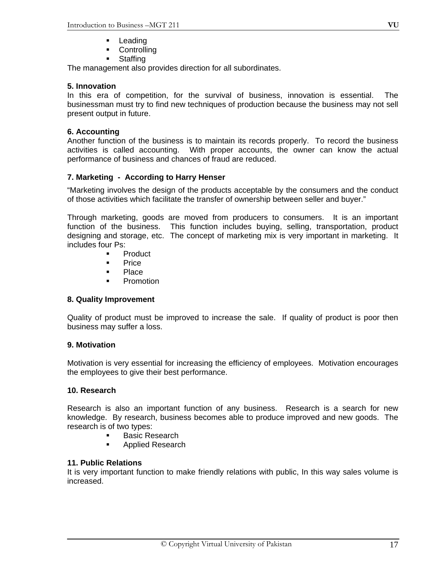- **Controlling**
- **Staffing**

The management also provides direction for all subordinates.

### **5. Innovation**

In this era of competition, for the survival of business, innovation is essential. The businessman must try to find new techniques of production because the business may not sell present output in future.

### **6. Accounting**

Another function of the business is to maintain its records properly. To record the business activities is called accounting. With proper accounts, the owner can know the actual performance of business and chances of fraud are reduced.

# **7. Marketing - According to Harry Henser**

"Marketing involves the design of the products acceptable by the consumers and the conduct of those activities which facilitate the transfer of ownership between seller and buyer."

Through marketing, goods are moved from producers to consumers. It is an important function of the business. This function includes buying, selling, transportation, product designing and storage, etc. The concept of marketing mix is very important in marketing. It includes four Ps:

- **Product**
- **Price**
- **Place**
- Promotion

# **8. Quality Improvement**

Quality of product must be improved to increase the sale. If quality of product is poor then business may suffer a loss.

#### **9. Motivation**

Motivation is very essential for increasing the efficiency of employees. Motivation encourages the employees to give their best performance.

#### **10. Research**

Research is also an important function of any business. Research is a search for new knowledge. By research, business becomes able to produce improved and new goods. The research is of two types:

- Basic Research
- **Applied Research**

#### **11. Public Relations**

It is very important function to make friendly relations with public, In this way sales volume is increased.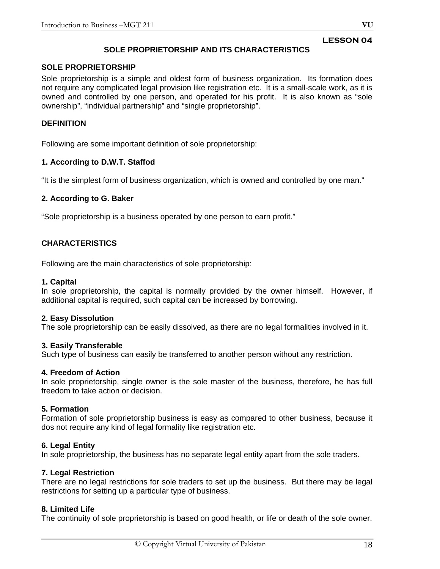# **SOLE PROPRIETORSHIP AND ITS CHARACTERISTICS**

### **SOLE PROPRIETORSHIP**

Sole proprietorship is a simple and oldest form of business organization. Its formation does not require any complicated legal provision like registration etc. It is a small-scale work, as it is owned and controlled by one person, and operated for his profit. It is also known as "sole ownership", "individual partnership" and "single proprietorship".

#### **DEFINITION**

Following are some important definition of sole proprietorship:

### **1. According to D.W.T. Staffod**

"It is the simplest form of business organization, which is owned and controlled by one man."

### **2. According to G. Baker**

"Sole proprietorship is a business operated by one person to earn profit."

# **CHARACTERISTICS**

Following are the main characteristics of sole proprietorship:

#### **1. Capital**

In sole proprietorship, the capital is normally provided by the owner himself. However, if additional capital is required, such capital can be increased by borrowing.

#### **2. Easy Dissolution**

The sole proprietorship can be easily dissolved, as there are no legal formalities involved in it.

#### **3. Easily Transferable**

Such type of business can easily be transferred to another person without any restriction.

#### **4. Freedom of Action**

In sole proprietorship, single owner is the sole master of the business, therefore, he has full freedom to take action or decision.

#### **5. Formation**

Formation of sole proprietorship business is easy as compared to other business, because it dos not require any kind of legal formality like registration etc.

#### **6. Legal Entity**

In sole proprietorship, the business has no separate legal entity apart from the sole traders.

#### **7. Legal Restriction**

There are no legal restrictions for sole traders to set up the business. But there may be legal restrictions for setting up a particular type of business.

#### **8. Limited Life**

The continuity of sole proprietorship is based on good health, or life or death of the sole owner.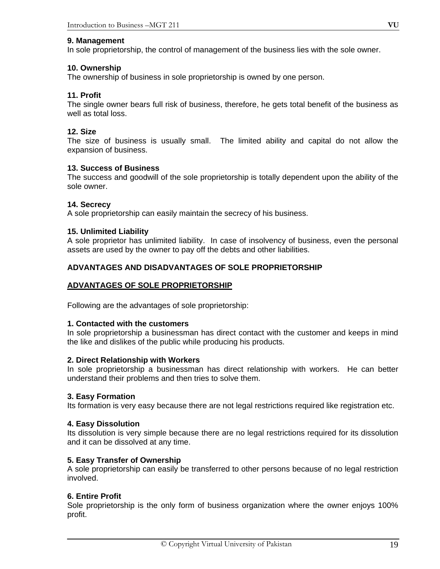### **9. Management**

In sole proprietorship, the control of management of the business lies with the sole owner.

### **10. Ownership**

The ownership of business in sole proprietorship is owned by one person.

### **11. Profit**

The single owner bears full risk of business, therefore, he gets total benefit of the business as well as total loss.

### **12. Size**

The size of business is usually small. The limited ability and capital do not allow the expansion of business.

### **13. Success of Business**

The success and goodwill of the sole proprietorship is totally dependent upon the ability of the sole owner.

### **14. Secrecy**

A sole proprietorship can easily maintain the secrecy of his business.

### **15. Unlimited Liability**

A sole proprietor has unlimited liability. In case of insolvency of business, even the personal assets are used by the owner to pay off the debts and other liabilities.

# **ADVANTAGES AND DISADVANTAGES OF SOLE PROPRIETORSHIP**

# **ADVANTAGES OF SOLE PROPRIETORSHIP**

Following are the advantages of sole proprietorship:

#### **1. Contacted with the customers**

In sole proprietorship a businessman has direct contact with the customer and keeps in mind the like and dislikes of the public while producing his products.

#### **2. Direct Relationship with Workers**

In sole proprietorship a businessman has direct relationship with workers. He can better understand their problems and then tries to solve them.

#### **3. Easy Formation**

Its formation is very easy because there are not legal restrictions required like registration etc.

#### **4. Easy Dissolution**

Its dissolution is very simple because there are no legal restrictions required for its dissolution and it can be dissolved at any time.

#### **5. Easy Transfer of Ownership**

A sole proprietorship can easily be transferred to other persons because of no legal restriction involved.

# **6. Entire Profit**

Sole proprietorship is the only form of business organization where the owner enjoys 100% profit.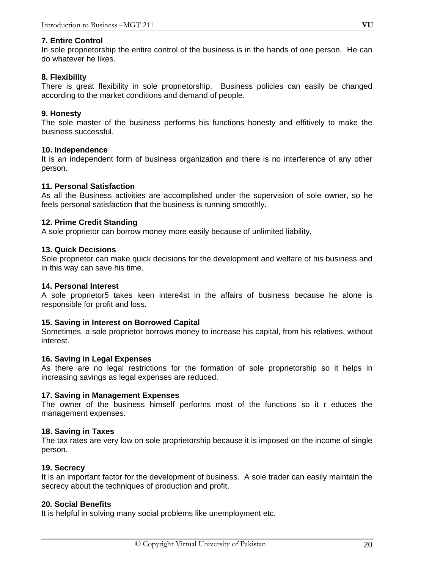#### **7. Entire Control**

In sole proprietorship the entire control of the business is in the hands of one person. He can do whatever he likes.

#### **8. Flexibility**

There is great flexibility in sole proprietorship. Business policies can easily be changed according to the market conditions and demand of people.

#### **9. Honesty**

The sole master of the business performs his functions honesty and effitively to make the business successful.

#### **10. Independence**

It is an independent form of business organization and there is no interference of any other person.

### **11. Personal Satisfaction**

As all the Business activities are accomplished under the supervision of sole owner, so he feels personal satisfaction that the business is running smoothly.

# **12. Prime Credit Standing**

A sole proprietor can borrow money more easily because of unlimited liability.

#### **13. Quick Decisions**

Sole proprietor can make quick decisions for the development and welfare of his business and in this way can save his time.

### **14. Personal Interest**

A sole proprietor5 takes keen intere4st in the affairs of business because he alone is responsible for profit and loss.

#### **15. Saving in Interest on Borrowed Capital**

Sometimes, a sole proprietor borrows money to increase his capital, from his relatives, without interest.

#### **16. Saving in Legal Expenses**

As there are no legal restrictions for the formation of sole proprietorship so it helps in increasing savings as legal expenses are reduced.

#### **17. Saving in Management Expenses**

The owner of the business himself performs most of the functions so it r educes the management expenses.

#### **18. Saving in Taxes**

The tax rates are very low on sole proprietorship because it is imposed on the income of single person.

#### **19. Secrecy**

It is an important factor for the development of business. A sole trader can easily maintain the secrecy about the techniques of production and profit.

#### **20. Social Benefits**

It is helpful in solving many social problems like unemployment etc.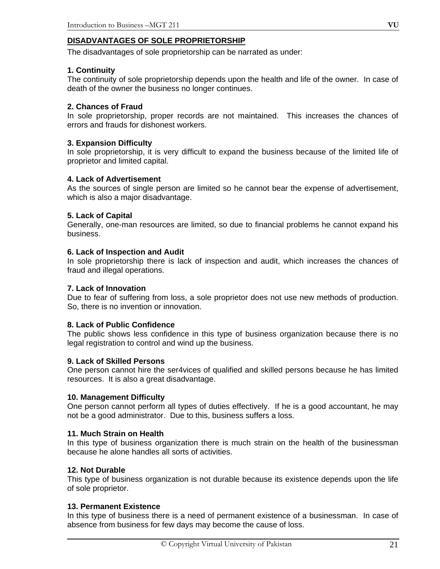# **DISADVANTAGES OF SOLE PROPRIETORSHIP**

The disadvantages of sole proprietorship can be narrated as under:

### **1. Continuity**

The continuity of sole proprietorship depends upon the health and life of the owner. In case of death of the owner the business no longer continues.

#### **2. Chances of Fraud**

In sole proprietorship, proper records are not maintained. This increases the chances of errors and frauds for dishonest workers.

### **3. Expansion Difficulty**

In sole proprietorship, it is very difficult to expand the business because of the limited life of proprietor and limited capital.

#### **4. Lack of Advertisement**

As the sources of single person are limited so he cannot bear the expense of advertisement, which is also a major disadvantage.

### **5. Lack of Capital**

Generally, one-man resources are limited, so due to financial problems he cannot expand his business.

#### **6. Lack of Inspection and Audit**

In sole proprietorship there is lack of inspection and audit, which increases the chances of fraud and illegal operations.

#### **7. Lack of Innovation**

Due to fear of suffering from loss, a sole proprietor does not use new methods of production. So, there is no invention or innovation.

#### **8. Lack of Public Confidence**

The public shows less confidence in this type of business organization because there is no legal registration to control and wind up the business.

#### **9. Lack of Skilled Persons**

One person cannot hire the ser4vices of qualified and skilled persons because he has limited resources. It is also a great disadvantage.

#### **10. Management Difficulty**

One person cannot perform all types of duties effectively. If he is a good accountant, he may not be a good administrator. Due to this, business suffers a loss.

#### **11. Much Strain on Health**

In this type of business organization there is much strain on the health of the businessman because he alone handles all sorts of activities.

#### **12. Not Durable**

This type of business organization is not durable because its existence depends upon the life of sole proprietor.

#### **13. Permanent Existence**

In this type of business there is a need of permanent existence of a businessman. In case of absence from business for few days may become the cause of loss.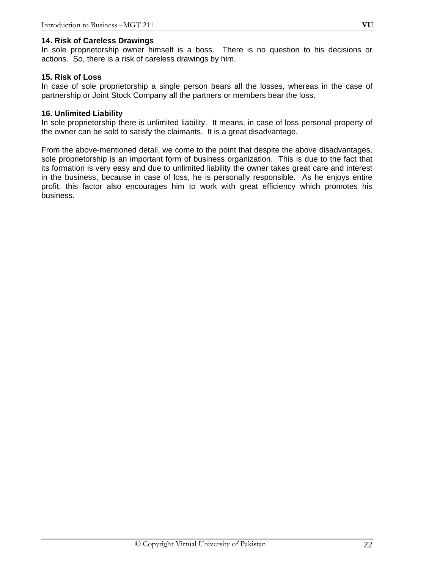#### **14. Risk of Careless Drawings**

In sole proprietorship owner himself is a boss. There is no question to his decisions or actions. So, there is a risk of careless drawings by him.

### **15. Risk of Loss**

In case of sole proprietorship a single person bears all the losses, whereas in the case of partnership or Joint Stock Company all the partners or members bear the loss.

#### **16. Unlimited Liability**

In sole proprietorship there is unlimited liability. It means, in case of loss personal property of the owner can be sold to satisfy the claimants. It is a great disadvantage.

From the above-mentioned detail, we come to the point that despite the above disadvantages, sole proprietorship is an important form of business organization. This is due to the fact that its formation is very easy and due to unlimited liability the owner takes great care and interest in the business, because in case of loss, he is personally responsible. As he enjoys entire profit, this factor also encourages him to work with great efficiency which promotes his business.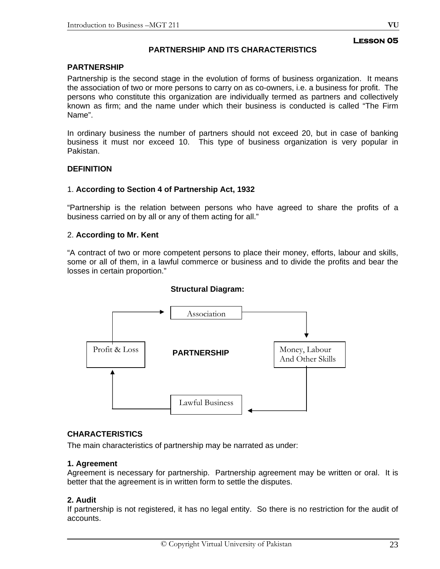# **PARTNERSHIP AND ITS CHARACTERISTICS**

# **PARTNERSHIP**

Partnership is the second stage in the evolution of forms of business organization. It means the association of two or more persons to carry on as co-owners, i.e. a business for profit. The persons who constitute this organization are individually termed as partners and collectively known as firm; and the name under which their business is conducted is called "The Firm Name".

In ordinary business the number of partners should not exceed 20, but in case of banking business it must nor exceed 10. This type of business organization is very popular in Pakistan.

# **DEFINITION**

# 1. **According to Section 4 of Partnership Act, 1932**

"Partnership is the relation between persons who have agreed to share the profits of a business carried on by all or any of them acting for all."

# 2. **According to Mr. Kent**

"A contract of two or more competent persons to place their money, efforts, labour and skills, some or all of them, in a lawful commerce or business and to divide the profits and bear the losses in certain proportion."

#### **Structural Diagram:**



# **CHARACTERISTICS**

The main characteristics of partnership may be narrated as under:

#### **1. Agreement**

Agreement is necessary for partnership. Partnership agreement may be written or oral. It is better that the agreement is in written form to settle the disputes.

# **2. Audit**

If partnership is not registered, it has no legal entity. So there is no restriction for the audit of accounts.

**Lesson 05**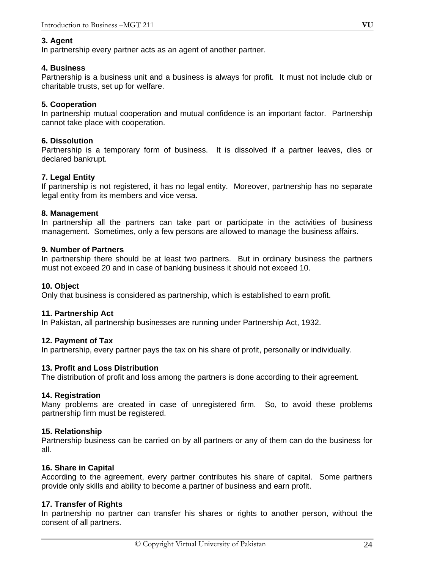# **3. Agent**

In partnership every partner acts as an agent of another partner.

### **4. Business**

Partnership is a business unit and a business is always for profit. It must not include club or charitable trusts, set up for welfare.

# **5. Cooperation**

In partnership mutual cooperation and mutual confidence is an important factor. Partnership cannot take place with cooperation.

### **6. Dissolution**

Partnership is a temporary form of business. It is dissolved if a partner leaves, dies or declared bankrupt.

# **7. Legal Entity**

If partnership is not registered, it has no legal entity. Moreover, partnership has no separate legal entity from its members and vice versa.

### **8. Management**

In partnership all the partners can take part or participate in the activities of business management. Sometimes, only a few persons are allowed to manage the business affairs.

### **9. Number of Partners**

In partnership there should be at least two partners. But in ordinary business the partners must not exceed 20 and in case of banking business it should not exceed 10.

### **10. Object**

Only that business is considered as partnership, which is established to earn profit.

#### **11. Partnership Act**

In Pakistan, all partnership businesses are running under Partnership Act, 1932.

# **12. Payment of Tax**

In partnership, every partner pays the tax on his share of profit, personally or individually.

#### **13. Profit and Loss Distribution**

The distribution of profit and loss among the partners is done according to their agreement.

# **14. Registration**

Many problems are created in case of unregistered firm. So, to avoid these problems partnership firm must be registered.

# **15. Relationship**

Partnership business can be carried on by all partners or any of them can do the business for all.

# **16. Share in Capital**

According to the agreement, every partner contributes his share of capital. Some partners provide only skills and ability to become a partner of business and earn profit.

# **17. Transfer of Rights**

In partnership no partner can transfer his shares or rights to another person, without the consent of all partners.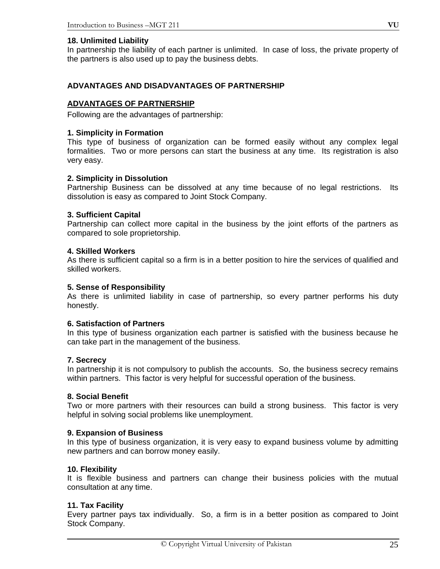#### **18. Unlimited Liability**

In partnership the liability of each partner is unlimited. In case of loss, the private property of the partners is also used up to pay the business debts.

### **ADVANTAGES AND DISADVANTAGES OF PARTNERSHIP**

#### **ADVANTAGES OF PARTNERSHIP**

Following are the advantages of partnership:

#### **1. Simplicity in Formation**

This type of business of organization can be formed easily without any complex legal formalities. Two or more persons can start the business at any time. Its registration is also very easy.

#### **2. Simplicity in Dissolution**

Partnership Business can be dissolved at any time because of no legal restrictions. Its dissolution is easy as compared to Joint Stock Company.

#### **3. Sufficient Capital**

Partnership can collect more capital in the business by the joint efforts of the partners as compared to sole proprietorship.

#### **4. Skilled Workers**

As there is sufficient capital so a firm is in a better position to hire the services of qualified and skilled workers.

#### **5. Sense of Responsibility**

As there is unlimited liability in case of partnership, so every partner performs his duty honestly.

#### **6. Satisfaction of Partners**

In this type of business organization each partner is satisfied with the business because he can take part in the management of the business.

#### **7. Secrecy**

In partnership it is not compulsory to publish the accounts. So, the business secrecy remains within partners. This factor is very helpful for successful operation of the business.

#### **8. Social Benefit**

Two or more partners with their resources can build a strong business. This factor is very helpful in solving social problems like unemployment.

#### **9. Expansion of Business**

In this type of business organization, it is very easy to expand business volume by admitting new partners and can borrow money easily.

#### **10. Flexibility**

It is flexible business and partners can change their business policies with the mutual consultation at any time.

#### **11. Tax Facility**

Every partner pays tax individually. So, a firm is in a better position as compared to Joint Stock Company.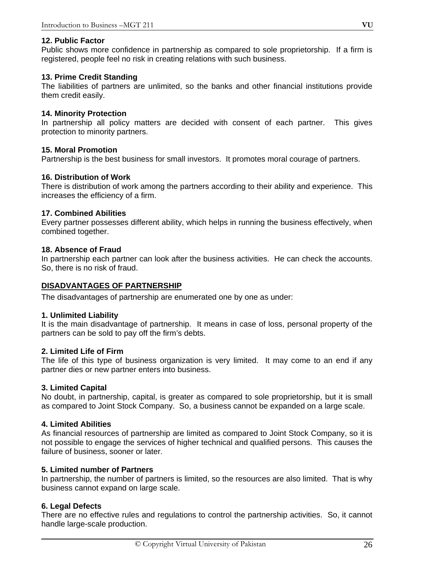# **12. Public Factor**

Public shows more confidence in partnership as compared to sole proprietorship. If a firm is registered, people feel no risk in creating relations with such business.

# **13. Prime Credit Standing**

The liabilities of partners are unlimited, so the banks and other financial institutions provide them credit easily.

# **14. Minority Protection**

In partnership all policy matters are decided with consent of each partner. This gives protection to minority partners.

# **15. Moral Promotion**

Partnership is the best business for small investors. It promotes moral courage of partners.

# **16. Distribution of Work**

There is distribution of work among the partners according to their ability and experience. This increases the efficiency of a firm.

# **17. Combined Abilities**

Every partner possesses different ability, which helps in running the business effectively, when combined together.

# **18. Absence of Fraud**

In partnership each partner can look after the business activities. He can check the accounts. So, there is no risk of fraud.

# **DISADVANTAGES OF PARTNERSHIP**

The disadvantages of partnership are enumerated one by one as under:

# **1. Unlimited Liability**

It is the main disadvantage of partnership. It means in case of loss, personal property of the partners can be sold to pay off the firm's debts.

# **2. Limited Life of Firm**

The life of this type of business organization is very limited. It may come to an end if any partner dies or new partner enters into business.

# **3. Limited Capital**

No doubt, in partnership, capital, is greater as compared to sole proprietorship, but it is small as compared to Joint Stock Company. So, a business cannot be expanded on a large scale.

# **4. Limited Abilities**

As financial resources of partnership are limited as compared to Joint Stock Company, so it is not possible to engage the services of higher technical and qualified persons. This causes the failure of business, sooner or later.

# **5. Limited number of Partners**

In partnership, the number of partners is limited, so the resources are also limited. That is why business cannot expand on large scale.

# **6. Legal Defects**

There are no effective rules and regulations to control the partnership activities. So, it cannot handle large-scale production.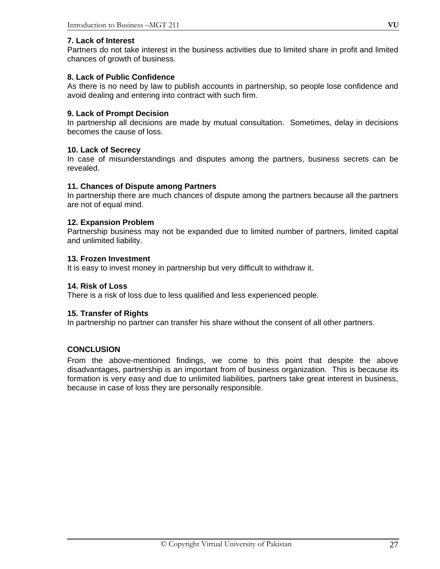# **7. Lack of Interest**

Partners do not take interest in the business activities due to limited share in profit and limited chances of growth of business.

### **8. Lack of Public Confidence**

As there is no need by law to publish accounts in partnership, so people lose confidence and avoid dealing and entering into contract with such firm.

#### **9. Lack of Prompt Decision**

In partnership all decisions are made by mutual consultation. Sometimes, delay in decisions becomes the cause of loss.

### **10. Lack of Secrecy**

In case of misunderstandings and disputes among the partners, business secrets can be revealed.

### **11. Chances of Dispute among Partners**

In partnership there are much chances of dispute among the partners because all the partners are not of equal mind.

# **12. Expansion Problem**

Partnership business may not be expanded due to limited number of partners, limited capital and unlimited liability.

#### **13. Frozen Investment**

It is easy to invest money in partnership but very difficult to withdraw it.

#### **14. Risk of Loss**

There is a risk of loss due to less qualified and less experienced people.

#### **15. Transfer of Rights**

In partnership no partner can transfer his share without the consent of all other partners.

# **CONCLUSION**

From the above-mentioned findings, we come to this point that despite the above disadvantages, partnership is an important from of business organization. This is because its formation is very easy and due to unlimited liabilities, partners take great interest in business, because in case of loss they are personally responsible.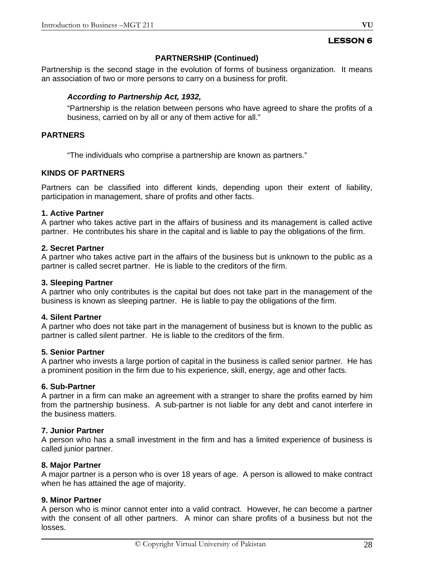# **LESSON 6**

# **PARTNERSHIP (Continued)**

Partnership is the second stage in the evolution of forms of business organization. It means an association of two or more persons to carry on a business for profit.

# *According to Partnership Act, 1932,*

"Partnership is the relation between persons who have agreed to share the profits of a business, carried on by all or any of them active for all."

# **PARTNERS**

"The individuals who comprise a partnership are known as partners."

# **KINDS OF PARTNERS**

Partners can be classified into different kinds, depending upon their extent of liability, participation in management, share of profits and other facts.

# **1. Active Partner**

A partner who takes active part in the affairs of business and its management is called active partner. He contributes his share in the capital and is liable to pay the obligations of the firm.

# **2. Secret Partner**

A partner who takes active part in the affairs of the business but is unknown to the public as a partner is called secret partner. He is liable to the creditors of the firm.

# **3. Sleeping Partner**

A partner who only contributes is the capital but does not take part in the management of the business is known as sleeping partner. He is liable to pay the obligations of the firm.

# **4. Silent Partner**

A partner who does not take part in the management of business but is known to the public as partner is called silent partner. He is liable to the creditors of the firm.

# **5. Senior Partner**

A partner who invests a large portion of capital in the business is called senior partner. He has a prominent position in the firm due to his experience, skill, energy, age and other facts.

# **6. Sub-Partner**

A partner in a firm can make an agreement with a stranger to share the profits earned by him from the partnership business. A sub-partner is not liable for any debt and canot interfere in the business matters.

# **7. Junior Partner**

A person who has a small investment in the firm and has a limited experience of business is called junior partner.

# **8. Major Partner**

A major partner is a person who is over 18 years of age. A person is allowed to make contract when he has attained the age of majority.

# **9. Minor Partner**

A person who is minor cannot enter into a valid contract. However, he can become a partner with the consent of all other partners. A minor can share profits of a business but not the losses.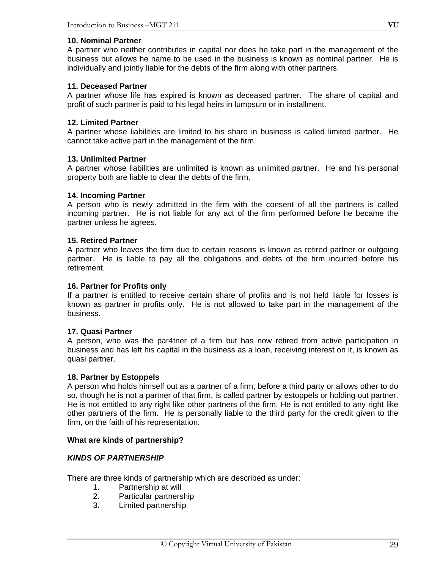### **10. Nominal Partner**

A partner who neither contributes in capital nor does he take part in the management of the business but allows he name to be used in the business is known as nominal partner. He is individually and jointly liable for the debts of the firm along with other partners.

### **11. Deceased Partner**

A partner whose life has expired is known as deceased partner. The share of capital and profit of such partner is paid to his legal heirs in lumpsum or in installment.

#### **12. Limited Partner**

A partner whose liabilities are limited to his share in business is called limited partner. He cannot take active part in the management of the firm.

### **13. Unlimited Partner**

A partner whose liabilities are unlimited is known as unlimited partner. He and his personal property both are liable to clear the debts of the firm.

#### **14. Incoming Partner**

A person who is newly admitted in the firm with the consent of all the partners is called incoming partner. He is not liable for any act of the firm performed before he became the partner unless he agrees.

#### **15. Retired Partner**

A partner who leaves the firm due to certain reasons is known as retired partner or outgoing partner. He is liable to pay all the obligations and debts of the firm incurred before his retirement.

#### **16. Partner for Profits only**

If a partner is entitled to receive certain share of profits and is not held liable for losses is known as partner in profits only. He is not allowed to take part in the management of the business.

#### **17. Quasi Partner**

A person, who was the par4tner of a firm but has now retired from active participation in business and has left his capital in the business as a loan, receiving interest on it, is known as quasi partner.

#### **18. Partner by Estoppels**

A person who holds himself out as a partner of a firm, before a third party or allows other to do so, though he is not a partner of that firm, is called partner by estoppels or holding out partner. He is not entitled to any right like other partners of the firm. He is not entitled to any right like other partners of the firm. He is personally liable to the third party for the credit given to the firm, on the faith of his representation.

#### **What are kinds of partnership?**

# *KINDS OF PARTNERSHIP*

There are three kinds of partnership which are described as under:

- 1. Partnership at will
- 2. Particular partnership
- 3. Limited partnership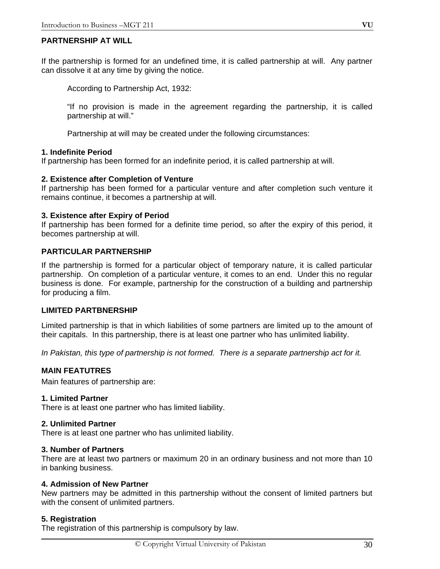# **PARTNERSHIP AT WILL**

If the partnership is formed for an undefined time, it is called partnership at will. Any partner can dissolve it at any time by giving the notice.

According to Partnership Act, 1932:

"If no provision is made in the agreement regarding the partnership, it is called partnership at will."

Partnership at will may be created under the following circumstances:

# **1. Indefinite Period**

If partnership has been formed for an indefinite period, it is called partnership at will.

# **2. Existence after Completion of Venture**

If partnership has been formed for a particular venture and after completion such venture it remains continue, it becomes a partnership at will.

# **3. Existence after Expiry of Period**

If partnership has been formed for a definite time period, so after the expiry of this period, it becomes partnership at will.

# **PARTICULAR PARTNERSHIP**

If the partnership is formed for a particular object of temporary nature, it is called particular partnership. On completion of a particular venture, it comes to an end. Under this no regular business is done. For example, partnership for the construction of a building and partnership for producing a film.

# **LIMITED PARTBNERSHIP**

Limited partnership is that in which liabilities of some partners are limited up to the amount of their capitals. In this partnership, there is at least one partner who has unlimited liability.

*In Pakistan, this type of partnership is not formed. There is a separate partnership act for it.* 

# **MAIN FEATUTRES**

Main features of partnership are:

# **1. Limited Partner**

There is at least one partner who has limited liability.

# **2. Unlimited Partner**

There is at least one partner who has unlimited liability.

# **3. Number of Partners**

There are at least two partners or maximum 20 in an ordinary business and not more than 10 in banking business.

# **4. Admission of New Partner**

New partners may be admitted in this partnership without the consent of limited partners but with the consent of unlimited partners.

# **5. Registration**

The registration of this partnership is compulsory by law.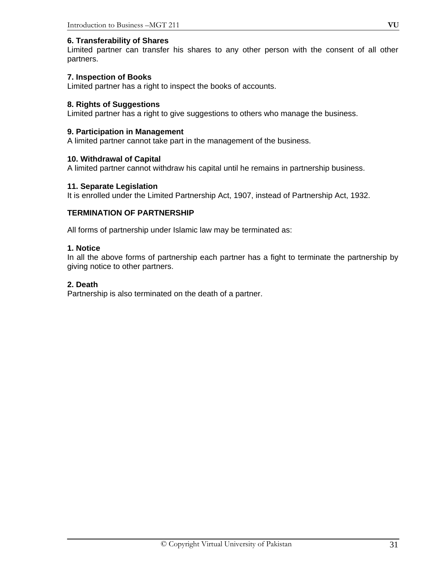### **6. Transferability of Shares**

Limited partner can transfer his shares to any other person with the consent of all other partners.

### **7. Inspection of Books**

Limited partner has a right to inspect the books of accounts.

#### **8. Rights of Suggestions**

Limited partner has a right to give suggestions to others who manage the business.

#### **9. Participation in Management**

A limited partner cannot take part in the management of the business.

#### **10. Withdrawal of Capital**

A limited partner cannot withdraw his capital until he remains in partnership business.

#### **11. Separate Legislation**

It is enrolled under the Limited Partnership Act, 1907, instead of Partnership Act, 1932.

#### **TERMINATION OF PARTNERSHIP**

All forms of partnership under Islamic law may be terminated as:

#### **1. Notice**

In all the above forms of partnership each partner has a fight to terminate the partnership by giving notice to other partners.

#### **2. Death**

Partnership is also terminated on the death of a partner.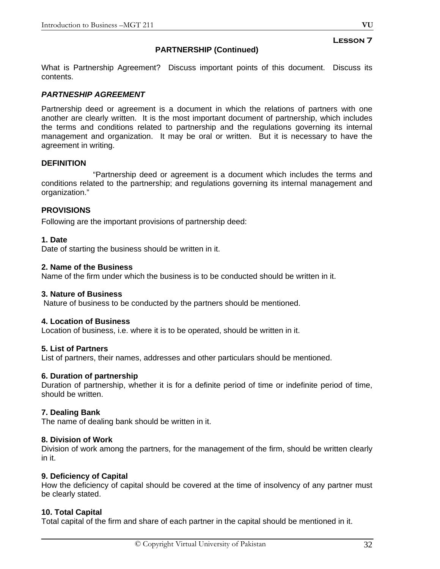# **Lesson 7**

# **PARTNERSHIP (Continued)**

What is Partnership Agreement? Discuss important points of this document. Discuss its contents.

# *PARTNESHIP AGREEMENT*

Partnership deed or agreement is a document in which the relations of partners with one another are clearly written. It is the most important document of partnership, which includes the terms and conditions related to partnership and the regulations governing its internal management and organization. It may be oral or written. But it is necessary to have the agreement in writing.

# **DEFINITION**

 "Partnership deed or agreement is a document which includes the terms and conditions related to the partnership; and regulations governing its internal management and organization."

# **PROVISIONS**

Following are the important provisions of partnership deed:

# **1. Date**

Date of starting the business should be written in it.

### **2. Name of the Business**

Name of the firm under which the business is to be conducted should be written in it.

# **3. Nature of Business**

Nature of business to be conducted by the partners should be mentioned.

# **4. Location of Business**

Location of business, i.e. where it is to be operated, should be written in it.

# **5. List of Partners**

List of partners, their names, addresses and other particulars should be mentioned.

#### **6. Duration of partnership**

Duration of partnership, whether it is for a definite period of time or indefinite period of time, should be written.

# **7. Dealing Bank**

The name of dealing bank should be written in it.

#### **8. Division of Work**

Division of work among the partners, for the management of the firm, should be written clearly in it.

#### **9. Deficiency of Capital**

How the deficiency of capital should be covered at the time of insolvency of any partner must be clearly stated.

# **10. Total Capital**

Total capital of the firm and share of each partner in the capital should be mentioned in it.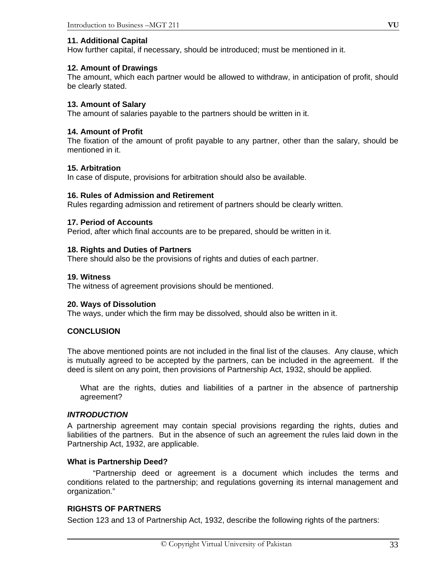### **11. Additional Capital**

How further capital, if necessary, should be introduced; must be mentioned in it.

#### **12. Amount of Drawings**

The amount, which each partner would be allowed to withdraw, in anticipation of profit, should be clearly stated.

### **13. Amount of Salary**

The amount of salaries payable to the partners should be written in it.

#### **14. Amount of Profit**

The fixation of the amount of profit payable to any partner, other than the salary, should be mentioned in it.

### **15. Arbitration**

In case of dispute, provisions for arbitration should also be available.

#### **16. Rules of Admission and Retirement**

Rules regarding admission and retirement of partners should be clearly written.

### **17. Period of Accounts**

Period, after which final accounts are to be prepared, should be written in it.

#### **18. Rights and Duties of Partners**

There should also be the provisions of rights and duties of each partner.

#### **19. Witness**

The witness of agreement provisions should be mentioned.

# **20. Ways of Dissolution**

The ways, under which the firm may be dissolved, should also be written in it.

# **CONCLUSION**

The above mentioned points are not included in the final list of the clauses. Any clause, which is mutually agreed to be accepted by the partners, can be included in the agreement. If the deed is silent on any point, then provisions of Partnership Act, 1932, should be applied.

What are the rights, duties and liabilities of a partner in the absence of partnership agreement?

# *INTRODUCTION*

A partnership agreement may contain special provisions regarding the rights, duties and liabilities of the partners. But in the absence of such an agreement the rules laid down in the Partnership Act, 1932, are applicable.

### **What is Partnership Deed?**

 "Partnership deed or agreement is a document which includes the terms and conditions related to the partnership; and regulations governing its internal management and organization."

#### **RIGHSTS OF PARTNERS**

Section 123 and 13 of Partnership Act, 1932, describe the following rights of the partners: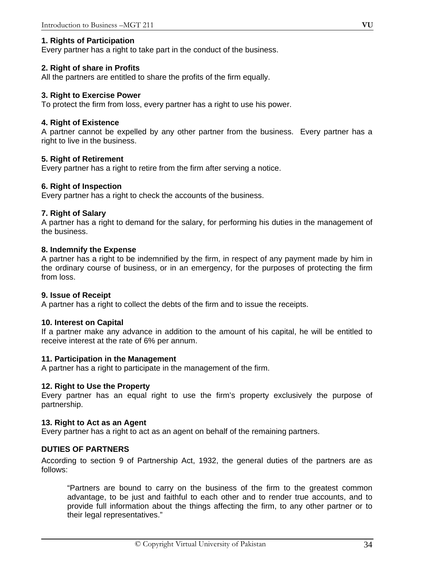# **1. Rights of Participation**

Every partner has a right to take part in the conduct of the business.

# **2. Right of share in Profits**

All the partners are entitled to share the profits of the firm equally.

### **3. Right to Exercise Power**

To protect the firm from loss, every partner has a right to use his power.

### **4. Right of Existence**

A partner cannot be expelled by any other partner from the business. Every partner has a right to live in the business.

### **5. Right of Retirement**

Every partner has a right to retire from the firm after serving a notice.

### **6. Right of Inspection**

Every partner has a right to check the accounts of the business.

### **7. Right of Salary**

A partner has a right to demand for the salary, for performing his duties in the management of the business.

# **8. Indemnify the Expense**

A partner has a right to be indemnified by the firm, in respect of any payment made by him in the ordinary course of business, or in an emergency, for the purposes of protecting the firm from loss.

#### **9. Issue of Receipt**

A partner has a right to collect the debts of the firm and to issue the receipts.

# **10. Interest on Capital**

If a partner make any advance in addition to the amount of his capital, he will be entitled to receive interest at the rate of 6% per annum.

# **11. Participation in the Management**

A partner has a right to participate in the management of the firm.

# **12. Right to Use the Property**

Every partner has an equal right to use the firm's property exclusively the purpose of partnership.

# **13. Right to Act as an Agent**

Every partner has a right to act as an agent on behalf of the remaining partners.

# **DUTIES OF PARTNERS**

According to section 9 of Partnership Act, 1932, the general duties of the partners are as follows:

"Partners are bound to carry on the business of the firm to the greatest common advantage, to be just and faithful to each other and to render true accounts, and to provide full information about the things affecting the firm, to any other partner or to their legal representatives."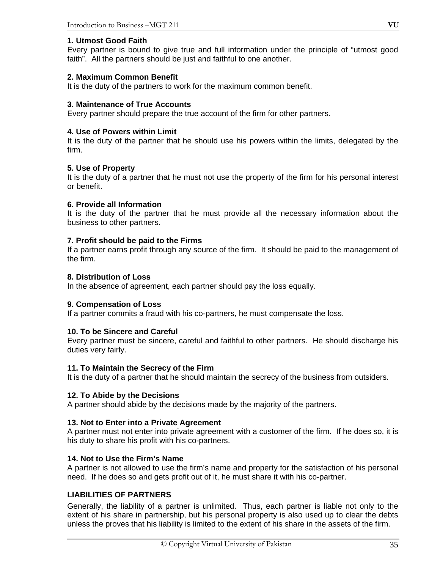### **1. Utmost Good Faith**

Every partner is bound to give true and full information under the principle of "utmost good faith". All the partners should be just and faithful to one another.

### **2. Maximum Common Benefit**

It is the duty of the partners to work for the maximum common benefit.

#### **3. Maintenance of True Accounts**

Every partner should prepare the true account of the firm for other partners.

#### **4. Use of Powers within Limit**

It is the duty of the partner that he should use his powers within the limits, delegated by the firm.

### **5. Use of Property**

It is the duty of a partner that he must not use the property of the firm for his personal interest or benefit.

#### **6. Provide all Information**

It is the duty of the partner that he must provide all the necessary information about the business to other partners.

### **7. Profit should be paid to the Firms**

If a partner earns profit through any source of the firm. It should be paid to the management of the firm.

#### **8. Distribution of Loss**

In the absence of agreement, each partner should pay the loss equally.

### **9. Compensation of Loss**

If a partner commits a fraud with his co-partners, he must compensate the loss.

#### **10. To be Sincere and Careful**

Every partner must be sincere, careful and faithful to other partners. He should discharge his duties very fairly.

#### **11. To Maintain the Secrecy of the Firm**

It is the duty of a partner that he should maintain the secrecy of the business from outsiders.

#### **12. To Abide by the Decisions**

A partner should abide by the decisions made by the majority of the partners.

#### **13. Not to Enter into a Private Agreement**

A partner must not enter into private agreement with a customer of the firm. If he does so, it is his duty to share his profit with his co-partners.

# **14. Not to Use the Firm's Name**

A partner is not allowed to use the firm's name and property for the satisfaction of his personal need. If he does so and gets profit out of it, he must share it with his co-partner.

# **LIABILITIES OF PARTNERS**

Generally, the liability of a partner is unlimited. Thus, each partner is liable not only to the extent of his share in partnership, but his personal property is also used up to clear the debts unless the proves that his liability is limited to the extent of his share in the assets of the firm.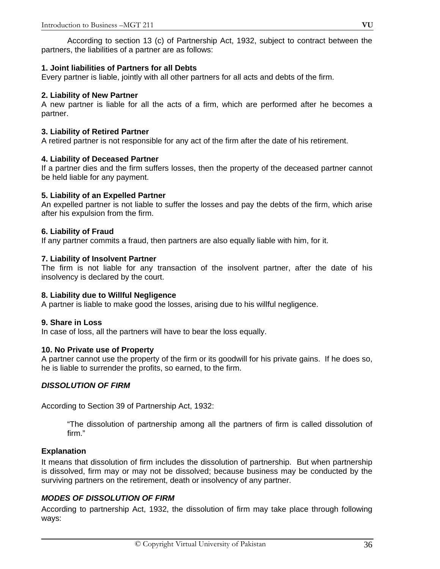According to section 13 (c) of Partnership Act, 1932, subject to contract between the partners, the liabilities of a partner are as follows:

# **1. Joint liabilities of Partners for all Debts**

Every partner is liable, jointly with all other partners for all acts and debts of the firm.

# **2. Liability of New Partner**

A new partner is liable for all the acts of a firm, which are performed after he becomes a partner.

# **3. Liability of Retired Partner**

A retired partner is not responsible for any act of the firm after the date of his retirement.

# **4. Liability of Deceased Partner**

If a partner dies and the firm suffers losses, then the property of the deceased partner cannot be held liable for any payment.

# **5. Liability of an Expelled Partner**

An expelled partner is not liable to suffer the losses and pay the debts of the firm, which arise after his expulsion from the firm.

# **6. Liability of Fraud**

If any partner commits a fraud, then partners are also equally liable with him, for it.

# **7. Liability of Insolvent Partner**

The firm is not liable for any transaction of the insolvent partner, after the date of his insolvency is declared by the court.

# **8. Liability due to Willful Negligence**

A partner is liable to make good the losses, arising due to his willful negligence.

# **9. Share in Loss**

In case of loss, all the partners will have to bear the loss equally.

# **10. No Private use of Property**

A partner cannot use the property of the firm or its goodwill for his private gains. If he does so, he is liable to surrender the profits, so earned, to the firm.

# *DISSOLUTION OF FIRM*

According to Section 39 of Partnership Act, 1932:

"The dissolution of partnership among all the partners of firm is called dissolution of firm."

# **Explanation**

It means that dissolution of firm includes the dissolution of partnership. But when partnership is dissolved, firm may or may not be dissolved; because business may be conducted by the surviving partners on the retirement, death or insolvency of any partner.

# *MODES OF DISSOLUTION OF FIRM*

According to partnership Act, 1932, the dissolution of firm may take place through following ways: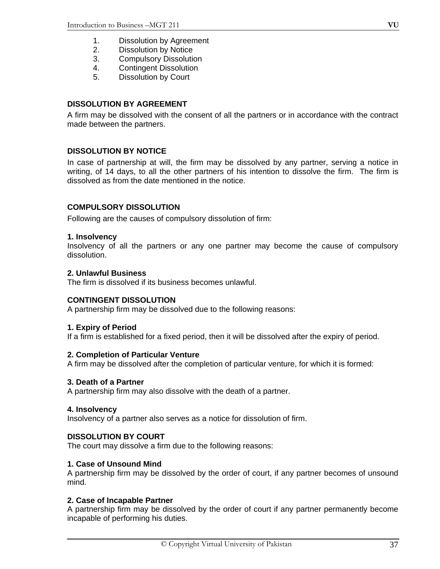- 2. Dissolution by Notice
- 3. Compulsory Dissolution
- 4. Contingent Dissolution
- 5. Dissolution by Court

## **DISSOLUTION BY AGREEMENT**

A firm may be dissolved with the consent of all the partners or in accordance with the contract made between the partners.

## **DISSOLUTION BY NOTICE**

In case of partnership at will, the firm may be dissolved by any partner, serving a notice in writing, of 14 days, to all the other partners of his intention to dissolve the firm. The firm is dissolved as from the date mentioned in the notice.

## **COMPULSORY DISSOLUTION**

Following are the causes of compulsory dissolution of firm:

#### **1. Insolvency**

Insolvency of all the partners or any one partner may become the cause of compulsory dissolution.

#### **2. Unlawful Business**

The firm is dissolved if its business becomes unlawful.

## **CONTINGENT DISSOLUTION**

A partnership firm may be dissolved due to the following reasons:

#### **1. Expiry of Period**

If a firm is established for a fixed period, then it will be dissolved after the expiry of period.

#### **2. Completion of Particular Venture**

A firm may be dissolved after the completion of particular venture, for which it is formed:

#### **3. Death of a Partner**

A partnership firm may also dissolve with the death of a partner.

#### **4. Insolvency**

Insolvency of a partner also serves as a notice for dissolution of firm.

#### **DISSOLUTION BY COURT**

The court may dissolve a firm due to the following reasons:

#### **1. Case of Unsound Mind**

A partnership firm may be dissolved by the order of court, if any partner becomes of unsound mind.

#### **2. Case of Incapable Partner**

A partnership firm may be dissolved by the order of court if any partner permanently become incapable of performing his duties.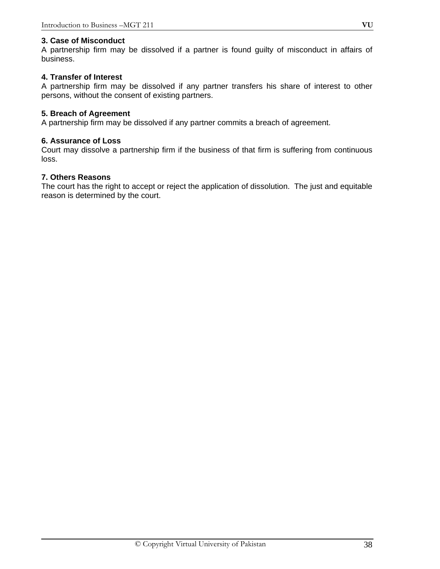## **3. Case of Misconduct**

A partnership firm may be dissolved if a partner is found guilty of misconduct in affairs of business.

## **4. Transfer of Interest**

A partnership firm may be dissolved if any partner transfers his share of interest to other persons, without the consent of existing partners.

## **5. Breach of Agreement**

A partnership firm may be dissolved if any partner commits a breach of agreement.

## **6. Assurance of Loss**

Court may dissolve a partnership firm if the business of that firm is suffering from continuous loss.

## **7. Others Reasons**

The court has the right to accept or reject the application of dissolution. The just and equitable reason is determined by the court.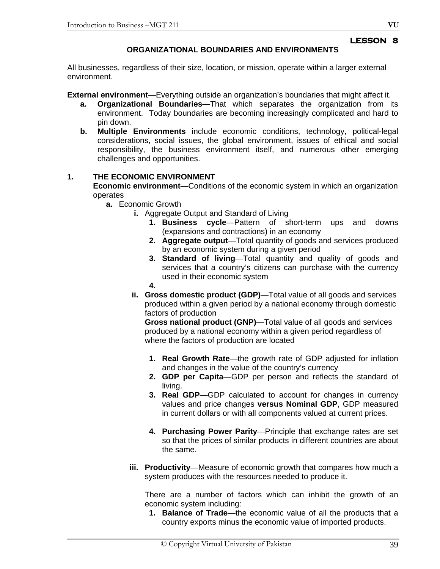**LESSON 8** 

# **ORGANIZATIONAL BOUNDARIES AND ENVIRONMENTS**

All businesses, regardless of their size, location, or mission, operate within a larger external environment.

**External environment**—Everything outside an organization's boundaries that might affect it.

- **a. Organizational Boundaries**—That which separates the organization from its environment. Today boundaries are becoming increasingly complicated and hard to pin down.
- **b. Multiple Environments** include economic conditions, technology, political-legal considerations, social issues, the global environment, issues of ethical and social responsibility, the business environment itself, and numerous other emerging challenges and opportunities.

## **1. THE ECONOMIC ENVIRONMENT**

**Economic environment**—Conditions of the economic system in which an organization operates

- **a.** Economic Growth
	- **i.** Aggregate Output and Standard of Living
		- **1. Business cycle**—Pattern of short-term ups and downs (expansions and contractions) in an economy
		- **2. Aggregate output**—Total quantity of goods and services produced by an economic system during a given period
		- **3. Standard of living**—Total quantity and quality of goods and services that a country's citizens can purchase with the currency used in their economic system
		- **4.**
	- **ii. Gross domestic product (GDP)**—Total value of all goods and services produced within a given period by a national economy through domestic factors of production

**Gross national product (GNP)**—Total value of all goods and services produced by a national economy within a given period regardless of where the factors of production are located

- **1. Real Growth Rate**—the growth rate of GDP adjusted for inflation and changes in the value of the country's currency
- **2. GDP per Capita**—GDP per person and reflects the standard of living.
- **3. Real GDP**—GDP calculated to account for changes in currency values and price changes **versus Nominal GDP**, GDP measured in current dollars or with all components valued at current prices.
- **4. Purchasing Power Parity**—Principle that exchange rates are set so that the prices of similar products in different countries are about the same.
- **iii. Productivity**—Measure of economic growth that compares how much a system produces with the resources needed to produce it.

There are a number of factors which can inhibit the growth of an economic system including:

**1. Balance of Trade**—the economic value of all the products that a country exports minus the economic value of imported products.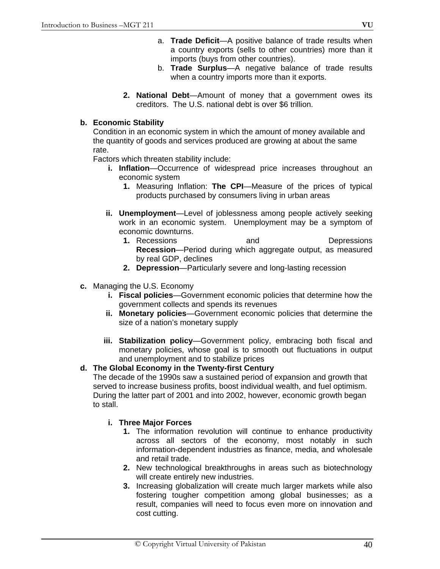- a. **Trade Deficit**—A positive balance of trade results when a country exports (sells to other countries) more than it imports (buys from other countries).
- b. **Trade Surplus**—A negative balance of trade results when a country imports more than it exports.
- **2. National Debt**—Amount of money that a government owes its creditors. The U.S. national debt is over \$6 trillion.

## **b. Economic Stability**

Condition in an economic system in which the amount of money available and the quantity of goods and services produced are growing at about the same rate.

Factors which threaten stability include:

- **i. Inflation**—Occurrence of widespread price increases throughout an economic system
	- **1.** Measuring Inflation: **The CPI**—Measure of the prices of typical products purchased by consumers living in urban areas
- **ii. Unemployment**—Level of joblessness among people actively seeking work in an economic system. Unemployment may be a symptom of economic downturns.
	- **1.** Recessions and **Depressions Recession**—Period during which aggregate output, as measured by real GDP, declines
	- **2. Depression**—Particularly severe and long-lasting recession
- **c.** Managing the U.S. Economy
	- **i. Fiscal policies**—Government economic policies that determine how the government collects and spends its revenues
	- **ii. Monetary policies**—Government economic policies that determine the size of a nation's monetary supply
	- **iii. Stabilization policy**—Government policy, embracing both fiscal and monetary policies, whose goal is to smooth out fluctuations in output and unemployment and to stabilize prices

## **d. The Global Economy in the Twenty-first Century**

The decade of the 1990s saw a sustained period of expansion and growth that served to increase business profits, boost individual wealth, and fuel optimism. During the latter part of 2001 and into 2002, however, economic growth began to stall.

## **i. Three Major Forces**

- **1.** The information revolution will continue to enhance productivity across all sectors of the economy, most notably in such information-dependent industries as finance, media, and wholesale and retail trade.
- **2.** New technological breakthroughs in areas such as biotechnology will create entirely new industries.
- **3.** Increasing globalization will create much larger markets while also fostering tougher competition among global businesses; as a result, companies will need to focus even more on innovation and cost cutting.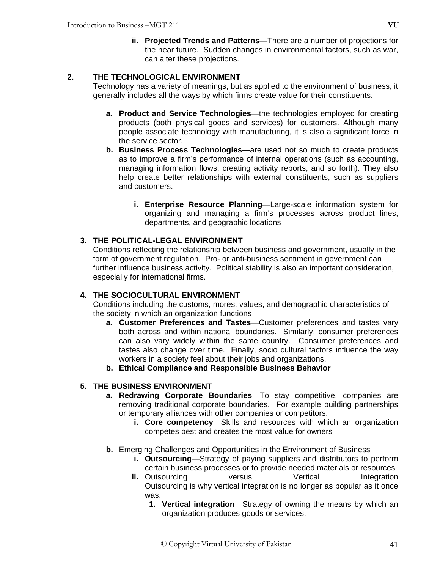**ii. Projected Trends and Patterns**—There are a number of projections for the near future. Sudden changes in environmental factors, such as war, can alter these projections.

## **2. THE TECHNOLOGICAL ENVIRONMENT**

Technology has a variety of meanings, but as applied to the environment of business, it generally includes all the ways by which firms create value for their constituents.

- **a. Product and Service Technologies**—the technologies employed for creating products (both physical goods and services) for customers. Although many people associate technology with manufacturing, it is also a significant force in the service sector.
- **b. Business Process Technologies**—are used not so much to create products as to improve a firm's performance of internal operations (such as accounting, managing information flows, creating activity reports, and so forth). They also help create better relationships with external constituents, such as suppliers and customers.
	- **i. Enterprise Resource Planning**—Large-scale information system for organizing and managing a firm's processes across product lines, departments, and geographic locations

## **3. THE POLITICAL-LEGAL ENVIRONMENT**

Conditions reflecting the relationship between business and government, usually in the form of government regulation. Pro- or anti-business sentiment in government can further influence business activity. Political stability is also an important consideration, especially for international firms.

## **4. THE SOCIOCULTURAL ENVIRONMENT**

Conditions including the customs, mores, values, and demographic characteristics of the society in which an organization functions

- **a. Customer Preferences and Tastes**—Customer preferences and tastes vary both across and within national boundaries. Similarly, consumer preferences can also vary widely within the same country. Consumer preferences and tastes also change over time. Finally, socio cultural factors influence the way workers in a society feel about their jobs and organizations.
- **b. Ethical Compliance and Responsible Business Behavior**

## **5. THE BUSINESS ENVIRONMENT**

- **a. Redrawing Corporate Boundaries**—To stay competitive, companies are removing traditional corporate boundaries. For example building partnerships or temporary alliances with other companies or competitors.
	- **i. Core competency**—Skills and resources with which an organization competes best and creates the most value for owners
- **b.** Emerging Challenges and Opportunities in the Environment of Business
	- **i. Outsourcing**—Strategy of paying suppliers and distributors to perform certain business processes or to provide needed materials or resources
	- **ii.** Outsourcing versus Vertical Integration Outsourcing is why vertical integration is no longer as popular as it once was.
		- **1. Vertical integration**—Strategy of owning the means by which an organization produces goods or services.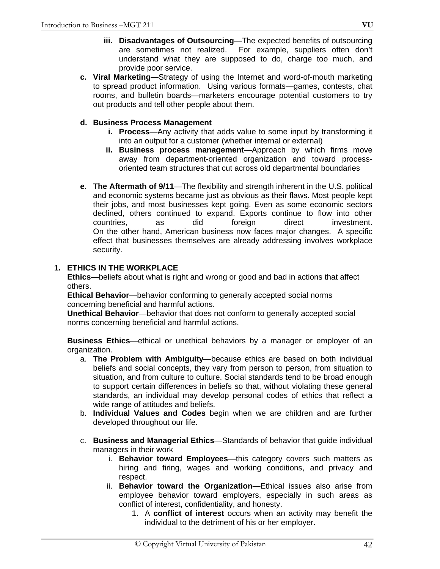- **iii. Disadvantages of Outsourcing**—The expected benefits of outsourcing are sometimes not realized. For example, suppliers often don't understand what they are supposed to do, charge too much, and provide poor service.
- **c. Viral Marketing—**Strategy of using the Internet and word-of-mouth marketing to spread product information. Using various formats—games, contests, chat rooms, and bulletin boards—marketers encourage potential customers to try out products and tell other people about them.

# **d. Business Process Management**

- **i. Process**—Any activity that adds value to some input by transforming it into an output for a customer (whether internal or external)
- **ii. Business process management**—Approach by which firms move away from department-oriented organization and toward processoriented team structures that cut across old departmental boundaries
- **e. The Aftermath of 9/11**—The flexibility and strength inherent in the U.S. political and economic systems became just as obvious as their flaws. Most people kept their jobs, and most businesses kept going. Even as some economic sectors declined, others continued to expand. Exports continue to flow into other countries, as did foreign direct investment. On the other hand, American business now faces major changes. A specific effect that businesses themselves are already addressing involves workplace security.

# **1. ETHICS IN THE WORKPLACE**

**Ethics**—beliefs about what is right and wrong or good and bad in actions that affect others.

**Ethical Behavior**—behavior conforming to generally accepted social norms concerning beneficial and harmful actions.

**Unethical Behavior**—behavior that does not conform to generally accepted social norms concerning beneficial and harmful actions.

**Business Ethics**—ethical or unethical behaviors by a manager or employer of an organization.

- a. **The Problem with Ambiguity**—because ethics are based on both individual beliefs and social concepts, they vary from person to person, from situation to situation, and from culture to culture. Social standards tend to be broad enough to support certain differences in beliefs so that, without violating these general standards, an individual may develop personal codes of ethics that reflect a wide range of attitudes and beliefs.
- b. **Individual Values and Codes** begin when we are children and are further developed throughout our life.
- c. **Business and Managerial Ethics**—Standards of behavior that guide individual managers in their work
	- i. **Behavior toward Employees**—this category covers such matters as hiring and firing, wages and working conditions, and privacy and respect.
	- ii. **Behavior toward the Organization**—Ethical issues also arise from employee behavior toward employers, especially in such areas as conflict of interest, confidentiality, and honesty.
		- 1. A **conflict of interest** occurs when an activity may benefit the individual to the detriment of his or her employer.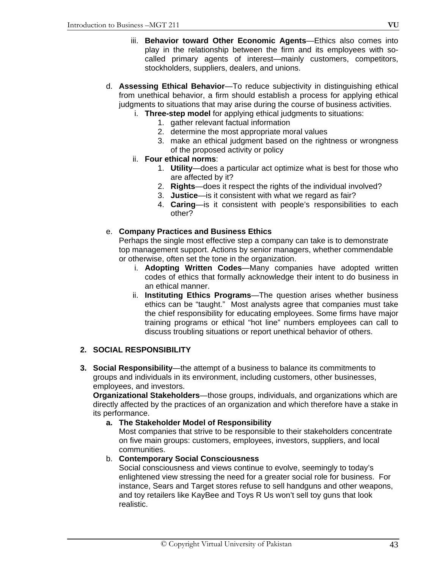- iii. **Behavior toward Other Economic Agents**—Ethics also comes into play in the relationship between the firm and its employees with socalled primary agents of interest—mainly customers, competitors, stockholders, suppliers, dealers, and unions.
- d. **Assessing Ethical Behavior**—To reduce subjectivity in distinguishing ethical from unethical behavior, a firm should establish a process for applying ethical judgments to situations that may arise during the course of business activities.
	- i. **Three-step model** for applying ethical judgments to situations:
		- 1. gather relevant factual information
		- 2. determine the most appropriate moral values
		- 3. make an ethical judgment based on the rightness or wrongness of the proposed activity or policy
	- ii. **Four ethical norms**:
		- 1. **Utility**—does a particular act optimize what is best for those who are affected by it?
		- 2. **Rights**—does it respect the rights of the individual involved?
		- 3. **Justice**—is it consistent with what we regard as fair?
		- 4. **Caring**—is it consistent with people's responsibilities to each other?

### e. **Company Practices and Business Ethics**

Perhaps the single most effective step a company can take is to demonstrate top management support. Actions by senior managers, whether commendable or otherwise, often set the tone in the organization.

- i. **Adopting Written Codes**—Many companies have adopted written codes of ethics that formally acknowledge their intent to do business in an ethical manner.
- ii. **Instituting Ethics Programs**—The question arises whether business ethics can be "taught." Most analysts agree that companies must take the chief responsibility for educating employees. Some firms have major training programs or ethical "hot line" numbers employees can call to discuss troubling situations or report unethical behavior of others.

## **2. SOCIAL RESPONSIBILITY**

**3. Social Responsibility**—the attempt of a business to balance its commitments to groups and individuals in its environment, including customers, other businesses, employees, and investors.

**Organizational Stakeholders**—those groups, individuals, and organizations which are directly affected by the practices of an organization and which therefore have a stake in its performance.

## **a. The Stakeholder Model of Responsibility**

Most companies that strive to be responsible to their stakeholders concentrate on five main groups: customers, employees, investors, suppliers, and local communities.

## b. **Contemporary Social Consciousness**

Social consciousness and views continue to evolve, seemingly to today's enlightened view stressing the need for a greater social role for business. For instance, Sears and Target stores refuse to sell handguns and other weapons, and toy retailers like KayBee and Toys R Us won't sell toy guns that look realistic.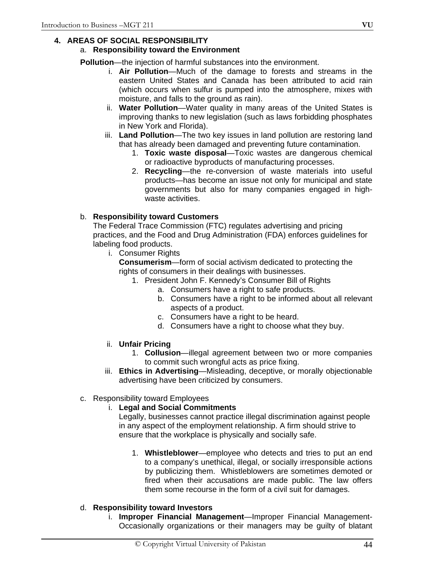# **4. AREAS OF SOCIAL RESPONSIBILITY**

## a. **Responsibility toward the Environment**

**Pollution—the injection of harmful substances into the environment.** 

- i. **Air Pollution**—Much of the damage to forests and streams in the eastern United States and Canada has been attributed to acid rain (which occurs when sulfur is pumped into the atmosphere, mixes with moisture, and falls to the ground as rain).
- ii. **Water Pollution**—Water quality in many areas of the United States is improving thanks to new legislation (such as laws forbidding phosphates in New York and Florida).
- iii. **Land Pollution**—The two key issues in land pollution are restoring land that has already been damaged and preventing future contamination.
	- 1. **Toxic waste disposal**—Toxic wastes are dangerous chemical or radioactive byproducts of manufacturing processes.
	- 2. **Recycling**—the re-conversion of waste materials into useful products—has become an issue not only for municipal and state governments but also for many companies engaged in highwaste activities.

## b. **Responsibility toward Customers**

The Federal Trace Commission (FTC) regulates advertising and pricing practices, and the Food and Drug Administration (FDA) enforces guidelines for labeling food products.

i. Consumer Rights

**Consumerism**—form of social activism dedicated to protecting the rights of consumers in their dealings with businesses.

- 1. President John F. Kennedy's Consumer Bill of Rights
	- a. Consumers have a right to safe products.
	- b. Consumers have a right to be informed about all relevant aspects of a product.
	- c. Consumers have a right to be heard.
	- d. Consumers have a right to choose what they buy.
- ii. **Unfair Pricing**
	- 1. **Collusion**—illegal agreement between two or more companies to commit such wrongful acts as price fixing.
- iii. **Ethics in Advertising**—Misleading, deceptive, or morally objectionable advertising have been criticized by consumers.
- c. Responsibility toward Employees

## i. **Legal and Social Commitments**

Legally, businesses cannot practice illegal discrimination against people in any aspect of the employment relationship. A firm should strive to ensure that the workplace is physically and socially safe.

1. **Whistleblower**—employee who detects and tries to put an end to a company's unethical, illegal, or socially irresponsible actions by publicizing them. Whistleblowers are sometimes demoted or fired when their accusations are made public. The law offers them some recourse in the form of a civil suit for damages.

## d. **Responsibility toward Investors**

i. **Improper Financial Management**—Improper Financial Management-Occasionally organizations or their managers may be guilty of blatant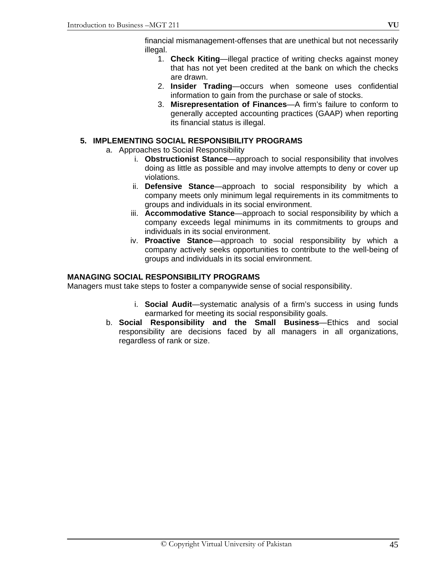financial mismanagement-offenses that are unethical but not necessarily illegal.

- 1. **Check Kiting**—illegal practice of writing checks against money that has not yet been credited at the bank on which the checks are drawn.
- 2. **Insider Trading**—occurs when someone uses confidential information to gain from the purchase or sale of stocks.
- 3. **Misrepresentation of Finances**—A firm's failure to conform to generally accepted accounting practices (GAAP) when reporting its financial status is illegal.

## **5. IMPLEMENTING SOCIAL RESPONSIBILITY PROGRAMS**

- a. Approaches to Social Responsibility
	- i. **Obstructionist Stance**—approach to social responsibility that involves doing as little as possible and may involve attempts to deny or cover up violations.
	- ii. **Defensive Stance**—approach to social responsibility by which a company meets only minimum legal requirements in its commitments to groups and individuals in its social environment.
	- iii. **Accommodative Stance**—approach to social responsibility by which a company exceeds legal minimums in its commitments to groups and individuals in its social environment.
	- iv. **Proactive Stance**—approach to social responsibility by which a company actively seeks opportunities to contribute to the well-being of groups and individuals in its social environment.

### **MANAGING SOCIAL RESPONSIBILITY PROGRAMS**

Managers must take steps to foster a companywide sense of social responsibility.

- i. **Social Audit**—systematic analysis of a firm's success in using funds earmarked for meeting its social responsibility goals.
- b. **Social Responsibility and the Small Business**—Ethics and social responsibility are decisions faced by all managers in all organizations, regardless of rank or size.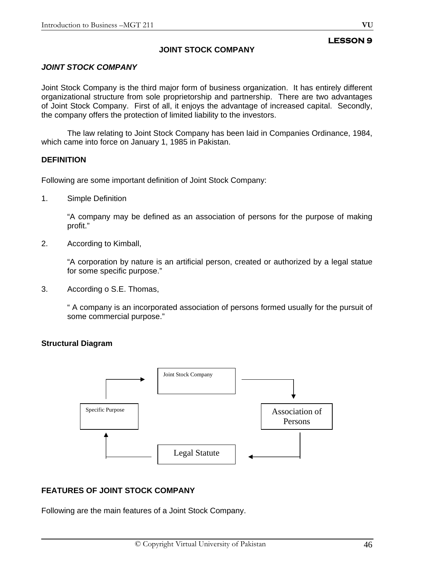## **LESSON 9**

## **JOINT STOCK COMPANY**

### *JOINT STOCK COMPANY*

Joint Stock Company is the third major form of business organization. It has entirely different organizational structure from sole proprietorship and partnership. There are two advantages of Joint Stock Company. First of all, it enjoys the advantage of increased capital. Secondly, the company offers the protection of limited liability to the investors.

 The law relating to Joint Stock Company has been laid in Companies Ordinance, 1984, which came into force on January 1, 1985 in Pakistan.

#### **DEFINITION**

Following are some important definition of Joint Stock Company:

1. Simple Definition

"A company may be defined as an association of persons for the purpose of making profit."

2. According to Kimball,

"A corporation by nature is an artificial person, created or authorized by a legal statue for some specific purpose."

3. According o S.E. Thomas,

" A company is an incorporated association of persons formed usually for the pursuit of some commercial purpose."

#### **Structural Diagram**



## **FEATURES OF JOINT STOCK COMPANY**

Following are the main features of a Joint Stock Company.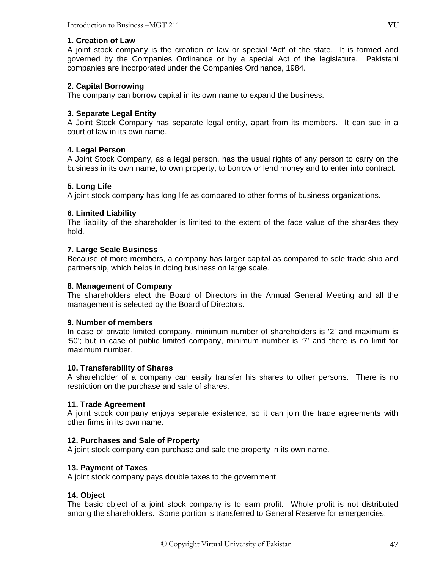### **1. Creation of Law**

A joint stock company is the creation of law or special 'Act' of the state. It is formed and governed by the Companies Ordinance or by a special Act of the legislature. Pakistani companies are incorporated under the Companies Ordinance, 1984.

### **2. Capital Borrowing**

The company can borrow capital in its own name to expand the business.

### **3. Separate Legal Entity**

A Joint Stock Company has separate legal entity, apart from its members. It can sue in a court of law in its own name.

### **4. Legal Person**

A Joint Stock Company, as a legal person, has the usual rights of any person to carry on the business in its own name, to own property, to borrow or lend money and to enter into contract.

### **5. Long Life**

A joint stock company has long life as compared to other forms of business organizations.

#### **6. Limited Liability**

The liability of the shareholder is limited to the extent of the face value of the shar4es they hold.

### **7. Large Scale Business**

Because of more members, a company has larger capital as compared to sole trade ship and partnership, which helps in doing business on large scale.

#### **8. Management of Company**

The shareholders elect the Board of Directors in the Annual General Meeting and all the management is selected by the Board of Directors.

#### **9. Number of members**

In case of private limited company, minimum number of shareholders is '2' and maximum is '50'; but in case of public limited company, minimum number is '7' and there is no limit for maximum number.

#### **10. Transferability of Shares**

A shareholder of a company can easily transfer his shares to other persons. There is no restriction on the purchase and sale of shares.

#### **11. Trade Agreement**

A joint stock company enjoys separate existence, so it can join the trade agreements with other firms in its own name.

#### **12. Purchases and Sale of Property**

A joint stock company can purchase and sale the property in its own name.

#### **13. Payment of Taxes**

A joint stock company pays double taxes to the government.

#### **14. Object**

The basic object of a joint stock company is to earn profit. Whole profit is not distributed among the shareholders. Some portion is transferred to General Reserve for emergencies.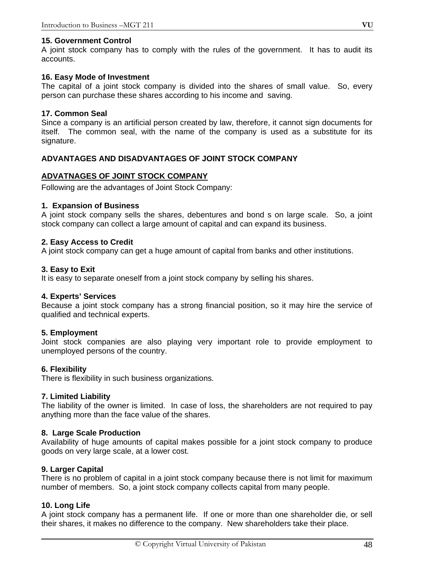#### **15. Government Control**

A joint stock company has to comply with the rules of the government. It has to audit its accounts.

### **16. Easy Mode of Investment**

The capital of a joint stock company is divided into the shares of small value. So, every person can purchase these shares according to his income and saving.

### **17. Common Seal**

Since a company is an artificial person created by law, therefore, it cannot sign documents for itself. The common seal, with the name of the company is used as a substitute for its signature.

## **ADVANTAGES AND DISADVANTAGES OF JOINT STOCK COMPANY**

### **ADVATNAGES OF JOINT STOCK COMPANY**

Following are the advantages of Joint Stock Company:

#### **1. Expansion of Business**

A joint stock company sells the shares, debentures and bond s on large scale. So, a joint stock company can collect a large amount of capital and can expand its business.

#### **2. Easy Access to Credit**

A joint stock company can get a huge amount of capital from banks and other institutions.

#### **3. Easy to Exit**

It is easy to separate oneself from a joint stock company by selling his shares.

#### **4. Experts' Services**

Because a joint stock company has a strong financial position, so it may hire the service of qualified and technical experts.

#### **5. Employment**

Joint stock companies are also playing very important role to provide employment to unemployed persons of the country.

#### **6. Flexibility**

There is flexibility in such business organizations.

#### **7. Limited Liability**

The liability of the owner is limited. In case of loss, the shareholders are not required to pay anything more than the face value of the shares.

#### **8. Large Scale Production**

Availability of huge amounts of capital makes possible for a joint stock company to produce goods on very large scale, at a lower cost.

#### **9. Larger Capital**

There is no problem of capital in a joint stock company because there is not limit for maximum number of members. So, a joint stock company collects capital from many people.

#### **10. Long Life**

A joint stock company has a permanent life. If one or more than one shareholder die, or sell their shares, it makes no difference to the company. New shareholders take their place.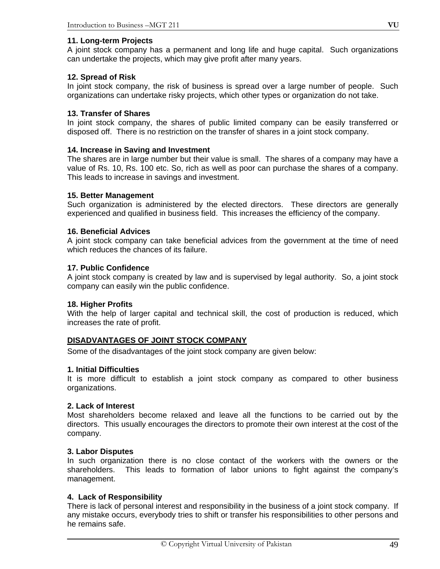### **11. Long-term Projects**

A joint stock company has a permanent and long life and huge capital. Such organizations can undertake the projects, which may give profit after many years.

## **12. Spread of Risk**

In joint stock company, the risk of business is spread over a large number of people. Such organizations can undertake risky projects, which other types or organization do not take.

#### **13. Transfer of Shares**

In joint stock company, the shares of public limited company can be easily transferred or disposed off. There is no restriction on the transfer of shares in a joint stock company.

### **14. Increase in Saving and Investment**

The shares are in large number but their value is small. The shares of a company may have a value of Rs. 10, Rs. 100 etc. So, rich as well as poor can purchase the shares of a company. This leads to increase in savings and investment.

#### **15. Better Management**

Such organization is administered by the elected directors. These directors are generally experienced and qualified in business field. This increases the efficiency of the company.

#### **16. Beneficial Advices**

A joint stock company can take beneficial advices from the government at the time of need which reduces the chances of its failure.

### **17. Public Confidence**

A joint stock company is created by law and is supervised by legal authority. So, a joint stock company can easily win the public confidence.

#### **18. Higher Profits**

With the help of larger capital and technical skill, the cost of production is reduced, which increases the rate of profit.

## **DISADVANTAGES OF JOINT STOCK COMPANY**

Some of the disadvantages of the joint stock company are given below:

#### **1. Initial Difficulties**

It is more difficult to establish a joint stock company as compared to other business organizations.

#### **2. Lack of Interest**

Most shareholders become relaxed and leave all the functions to be carried out by the directors. This usually encourages the directors to promote their own interest at the cost of the company.

#### **3. Labor Disputes**

In such organization there is no close contact of the workers with the owners or the shareholders. This leads to formation of labor unions to fight against the company's management.

#### **4. Lack of Responsibility**

There is lack of personal interest and responsibility in the business of a joint stock company. If any mistake occurs, everybody tries to shift or transfer his responsibilities to other persons and he remains safe.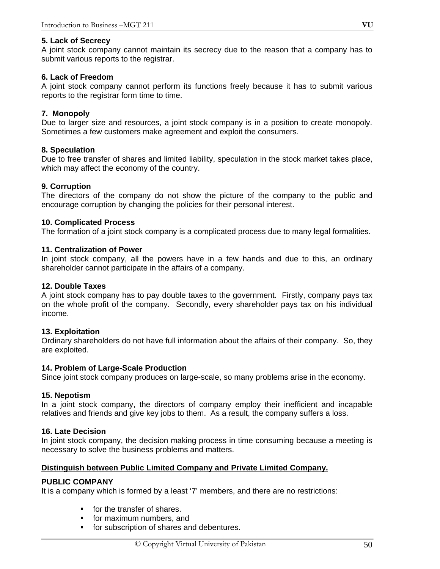## **5. Lack of Secrecy**

A joint stock company cannot maintain its secrecy due to the reason that a company has to submit various reports to the registrar.

## **6. Lack of Freedom**

A joint stock company cannot perform its functions freely because it has to submit various reports to the registrar form time to time.

## **7. Monopoly**

Due to larger size and resources, a joint stock company is in a position to create monopoly. Sometimes a few customers make agreement and exploit the consumers.

## **8. Speculation**

Due to free transfer of shares and limited liability, speculation in the stock market takes place, which may affect the economy of the country.

## **9. Corruption**

The directors of the company do not show the picture of the company to the public and encourage corruption by changing the policies for their personal interest.

## **10. Complicated Process**

The formation of a joint stock company is a complicated process due to many legal formalities.

## **11. Centralization of Power**

In joint stock company, all the powers have in a few hands and due to this, an ordinary shareholder cannot participate in the affairs of a company.

## **12. Double Taxes**

A joint stock company has to pay double taxes to the government. Firstly, company pays tax on the whole profit of the company. Secondly, every shareholder pays tax on his individual income.

## **13. Exploitation**

Ordinary shareholders do not have full information about the affairs of their company. So, they are exploited.

## **14. Problem of Large-Scale Production**

Since joint stock company produces on large-scale, so many problems arise in the economy.

## **15. Nepotism**

In a joint stock company, the directors of company employ their inefficient and incapable relatives and friends and give key jobs to them. As a result, the company suffers a loss.

## **16. Late Decision**

In joint stock company, the decision making process in time consuming because a meeting is necessary to solve the business problems and matters.

## **Distinguish between Public Limited Company and Private Limited Company.**

## **PUBLIC COMPANY**

It is a company which is formed by a least '7' members, and there are no restrictions:

- **for the transfer of shares.**
- **for maximum numbers, and**
- **for subscription of shares and debentures.**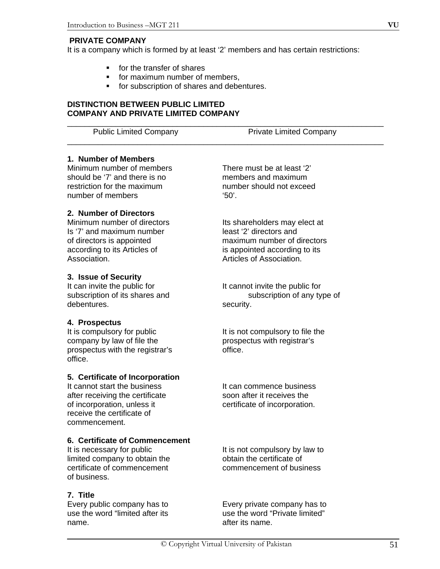## **PRIVATE COMPANY**

It is a company which is formed by at least '2' members and has certain restrictions:

- **for the transfer of shares**
- **for maximum number of members.**
- **for subscription of shares and debentures.**

### **DISTINCTION BETWEEN PUBLIC LIMITED COMPANY AND PRIVATE LIMITED COMPANY**

| <b>Public Limited Company</b> | <b>Private Limited Company</b> |
|-------------------------------|--------------------------------|
|                               |                                |

## **1. Number of Members**

Minimum number of members There must be at least '2' should be '7' and there is no members and maximum restriction for the maximum number should not exceed number of members '50'.

## **2. Number of Directors**

Minimum number of directors Its shareholders may elect at Is '7' and maximum number least '2' directors and according to its Articles of is appointed according to its Association. Articles of Association.

### **3. Issue of Security**

debentures. Security.

#### **4. Prospectus**

company by law of file the prospectus with registrar's prospectus with the registrar's office. office.

#### **5. Certificate of Incorporation**

after receiving the certificate soon after it receives the of incorporation, unless it certificate of incorporation. receive the certificate of commencement.

## **6. Certificate of Commencement**

It is necessary for public **It is not compulsory by law to** limited company to obtain the **channel intervalse of** obtain the certificate of certificate of commencement commencement of business of business.

## **7. Title**

use the word "limited after its use the word "Private limited" name. **after its name**.

of directors is appointed maximum number of directors

It can invite the public for The It cannot invite the public for subscription of its shares and subscription of any type of

It is compulsory for public It is not compulsory to file the

It cannot start the business It can commence business

Every public company has to Every private company has to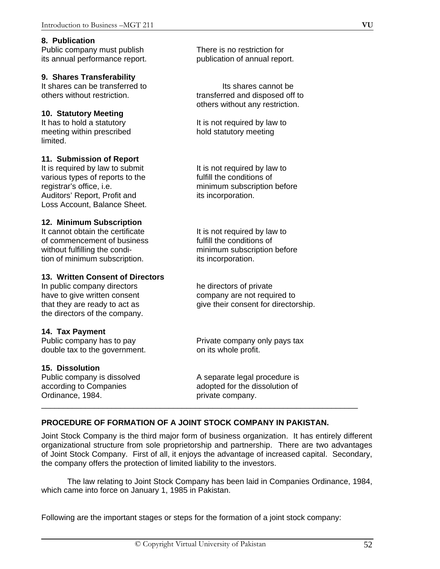## **8. Publication**

Public company must publish There is no restriction for its annual performance report. publication of annual report.

## **9. Shares Transferability**

It shares can be transferred to Its shares cannot be

## **10. Statutory Meeting**

meeting within prescribed hold statutory meeting limited.

## **11. Submission of Report**

It is required by law to submit It is not required by law to various types of reports to the fulfill the conditions of registrar's office, i.e. **minimum** subscription before Auditors' Report, Profit and its incorporation. Loss Account, Balance Sheet.

## **12. Minimum Subscription**

It cannot obtain the certificate It is not required by law to of commencement of business fulfill the conditions of without fulfilling the condi-<br>
<u>minimum</u> subscription before tion of minimum subscription. **its incorporation**.

## **13. Written Consent of Directors**

In public company directors he directors of private have to give written consent company are not required to the directors of the company.

# **14. Tax Payment**

double tax to the government. The same on its whole profit.

## **15. Dissolution**

Ordinance, 1984. **private company.** 

others without restriction. The state of the transferred and disposed off to others without any restriction.

It has to hold a statutory It is not required by law to

that they are ready to act as give their consent for directorship.

Public company has to pay Private company only pays tax

Public company is dissolved **A** separate legal procedure is according to Companies adopted for the dissolution of

# **PROCEDURE OF FORMATION OF A JOINT STOCK COMPANY IN PAKISTAN.**

Joint Stock Company is the third major form of business organization. It has entirely different organizational structure from sole proprietorship and partnership. There are two advantages of Joint Stock Company. First of all, it enjoys the advantage of increased capital. Secondary, the company offers the protection of limited liability to the investors.

\_\_\_\_\_\_\_\_\_\_\_\_\_\_\_\_\_\_\_\_\_\_\_\_\_\_\_\_\_\_\_\_\_\_\_\_\_\_\_\_\_\_\_\_\_\_\_\_\_\_\_\_\_\_\_\_\_\_\_\_\_\_\_\_\_\_\_\_\_\_\_\_

 The law relating to Joint Stock Company has been laid in Companies Ordinance, 1984, which came into force on January 1, 1985 in Pakistan.

Following are the important stages or steps for the formation of a joint stock company: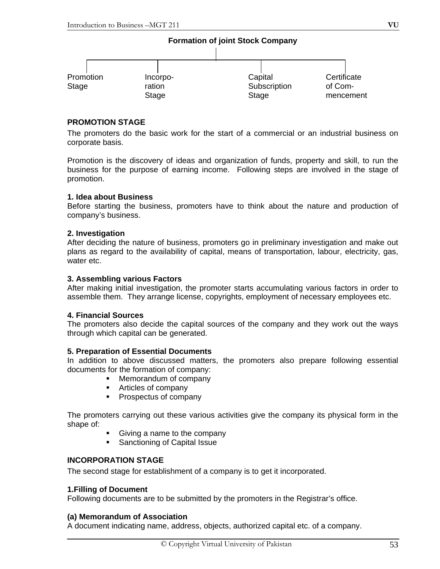## **Formation of joint Stock Company**

| Promotion<br>Stage | Incorpo-<br>ration<br>Stage | Capital<br>Subscription<br>Stage | Certificate<br>of Com-<br>mencement |
|--------------------|-----------------------------|----------------------------------|-------------------------------------|

## **PROMOTION STAGE**

The promoters do the basic work for the start of a commercial or an industrial business on corporate basis.

Promotion is the discovery of ideas and organization of funds, property and skill, to run the business for the purpose of earning income. Following steps are involved in the stage of promotion.

### **1. Idea about Business**

Before starting the business, promoters have to think about the nature and production of company's business.

#### **2. Investigation**

After deciding the nature of business, promoters go in preliminary investigation and make out plans as regard to the availability of capital, means of transportation, labour, electricity, gas, water etc.

### **3. Assembling various Factors**

After making initial investigation, the promoter starts accumulating various factors in order to assemble them. They arrange license, copyrights, employment of necessary employees etc.

#### **4. Financial Sources**

The promoters also decide the capital sources of the company and they work out the ways through which capital can be generated.

#### **5. Preparation of Essential Documents**

In addition to above discussed matters, the promoters also prepare following essential documents for the formation of company:

- **Memorandum of company**
- **Articles of company**
- **Prospectus of company**

The promoters carrying out these various activities give the company its physical form in the shape of:

- Giving a name to the company
- **Sanctioning of Capital Issue**

## **INCORPORATION STAGE**

The second stage for establishment of a company is to get it incorporated.

#### **1.Filling of Document**

Following documents are to be submitted by the promoters in the Registrar's office.

#### **(a) Memorandum of Association**

A document indicating name, address, objects, authorized capital etc. of a company.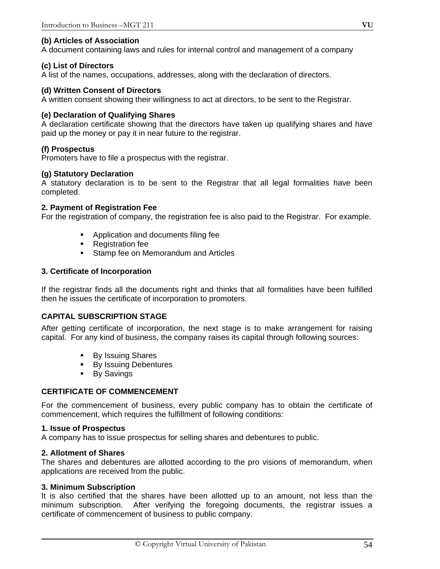## **(b) Articles of Association**

A document containing laws and rules for internal control and management of a company

### **(c) List of Directors**

A list of the names, occupations, addresses, along with the declaration of directors.

### **(d) Written Consent of Directors**

A written consent showing their willingness to act at directors, to be sent to the Registrar.

### **(e) Declaration of Qualifying Shares**

A declaration certificate showing that the directors have taken up qualifying shares and have paid up the money or pay it in near future to the registrar.

## **(f) Prospectus**

Promoters have to file a prospectus with the registrar.

### **(g) Statutory Declaration**

A statutory declaration is to be sent to the Registrar that all legal formalities have been completed.

#### **2. Payment of Registration Fee**

For the registration of company, the registration fee is also paid to the Registrar. For example.

- **Application and documents filing fee**
- **Registration fee**
- **Stamp fee on Memorandum and Articles**

### **3. Certificate of Incorporation**

If the registrar finds all the documents right and thinks that all formalities have been fulfilled then he issues the certificate of incorporation to promoters.

## **CAPITAL SUBSCRIPTION STAGE**

After getting certificate of incorporation, the next stage is to make arrangement for raising capital. For any kind of business, the company raises its capital through following sources:

- **By Issuing Shares**
- **By Issuing Debentures**
- By Savings

## **CERTIFICATE OF COMMENCEMENT**

For the commencement of business, every public company has to obtain the certificate of commencement, which requires the fulfillment of following conditions:

#### **1. Issue of Prospectus**

A company has to issue prospectus for selling shares and debentures to public.

#### **2. Allotment of Shares**

The shares and debentures are allotted according to the pro visions of memorandum, when applications are received from the public.

#### **3. Minimum Subscription**

It is also certified that the shares have been allotted up to an amount, not less than the minimum subscription. After verifying the foregoing documents, the registrar issues a certificate of commencement of business to public company.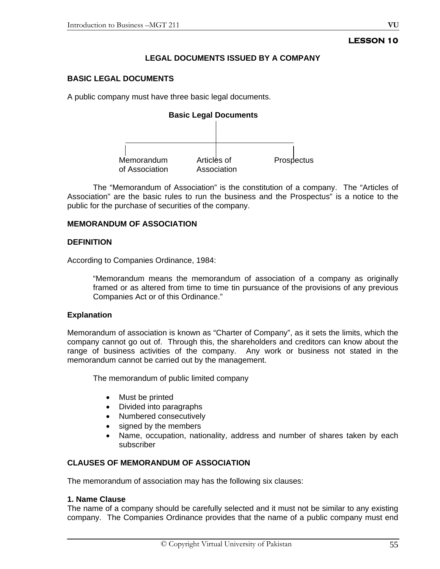# **LESSON 10**

## **LEGAL DOCUMENTS ISSUED BY A COMPANY**

### **BASIC LEGAL DOCUMENTS**

A public company must have three basic legal documents.



 The "Memorandum of Association" is the constitution of a company. The "Articles of Association" are the basic rules to run the business and the Prospectus" is a notice to the public for the purchase of securities of the company.

### **MEMORANDUM OF ASSOCIATION**

#### **DEFINITION**

According to Companies Ordinance, 1984:

"Memorandum means the memorandum of association of a company as originally framed or as altered from time to time tin pursuance of the provisions of any previous Companies Act or of this Ordinance."

#### **Explanation**

Memorandum of association is known as "Charter of Company", as it sets the limits, which the company cannot go out of. Through this, the shareholders and creditors can know about the range of business activities of the company. Any work or business not stated in the memorandum cannot be carried out by the management.

The memorandum of public limited company

- Must be printed
- Divided into paragraphs
- Numbered consecutively
- signed by the members
- Name, occupation, nationality, address and number of shares taken by each subscriber

## **CLAUSES OF MEMORANDUM OF ASSOCIATION**

The memorandum of association may has the following six clauses:

#### **1. Name Clause**

The name of a company should be carefully selected and it must not be similar to any existing company. The Companies Ordinance provides that the name of a public company must end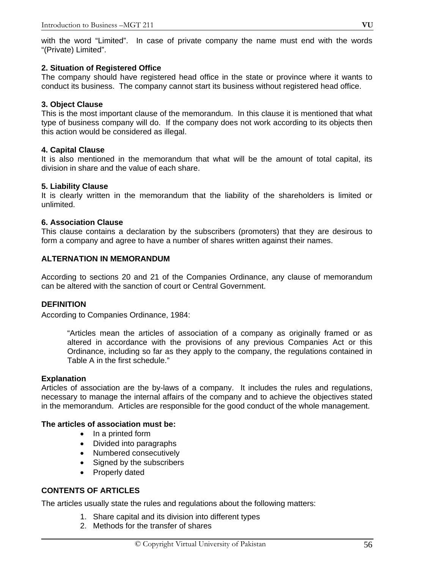## **2. Situation of Registered Office**

The company should have registered head office in the state or province where it wants to conduct its business. The company cannot start its business without registered head office.

## **3. Object Clause**

This is the most important clause of the memorandum. In this clause it is mentioned that what type of business company will do. If the company does not work according to its objects then this action would be considered as illegal.

## **4. Capital Clause**

It is also mentioned in the memorandum that what will be the amount of total capital, its division in share and the value of each share.

## **5. Liability Clause**

It is clearly written in the memorandum that the liability of the shareholders is limited or unlimited.

## **6. Association Clause**

This clause contains a declaration by the subscribers (promoters) that they are desirous to form a company and agree to have a number of shares written against their names.

## **ALTERNATION IN MEMORANDUM**

According to sections 20 and 21 of the Companies Ordinance, any clause of memorandum can be altered with the sanction of court or Central Government.

## **DEFINITION**

According to Companies Ordinance, 1984:

"Articles mean the articles of association of a company as originally framed or as altered in accordance with the provisions of any previous Companies Act or this Ordinance, including so far as they apply to the company, the regulations contained in Table A in the first schedule."

## **Explanation**

Articles of association are the by-laws of a company. It includes the rules and regulations, necessary to manage the internal affairs of the company and to achieve the objectives stated in the memorandum. Articles are responsible for the good conduct of the whole management.

## **The articles of association must be:**

- In a printed form
- Divided into paragraphs
- Numbered consecutively
- Signed by the subscribers
- Properly dated

## **CONTENTS OF ARTICLES**

The articles usually state the rules and regulations about the following matters:

- 1. Share capital and its division into different types
- 2. Methods for the transfer of shares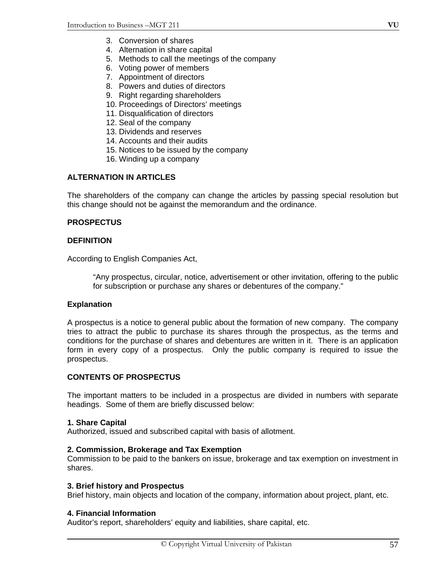- 4. Alternation in share capital
- 5. Methods to call the meetings of the company
- 6. Voting power of members
- 7. Appointment of directors
- 8. Powers and duties of directors
- 9. Right regarding shareholders
- 10. Proceedings of Directors' meetings
- 11. Disqualification of directors
- 12. Seal of the company
- 13. Dividends and reserves
- 14. Accounts and their audits
- 15. Notices to be issued by the company
- 16. Winding up a company

## **ALTERNATION IN ARTICLES**

The shareholders of the company can change the articles by passing special resolution but this change should not be against the memorandum and the ordinance.

### **PROSPECTUS**

### **DEFINITION**

According to English Companies Act,

"Any prospectus, circular, notice, advertisement or other invitation, offering to the public for subscription or purchase any shares or debentures of the company."

#### **Explanation**

A prospectus is a notice to general public about the formation of new company. The company tries to attract the public to purchase its shares through the prospectus, as the terms and conditions for the purchase of shares and debentures are written in it. There is an application form in every copy of a prospectus. Only the public company is required to issue the prospectus.

## **CONTENTS OF PROSPECTUS**

The important matters to be included in a prospectus are divided in numbers with separate headings. Some of them are briefly discussed below:

#### **1. Share Capital**

Authorized, issued and subscribed capital with basis of allotment.

#### **2. Commission, Brokerage and Tax Exemption**

Commission to be paid to the bankers on issue, brokerage and tax exemption on investment in shares.

#### **3. Brief history and Prospectus**

Brief history, main objects and location of the company, information about project, plant, etc.

#### **4. Financial Information**

Auditor's report, shareholders' equity and liabilities, share capital, etc.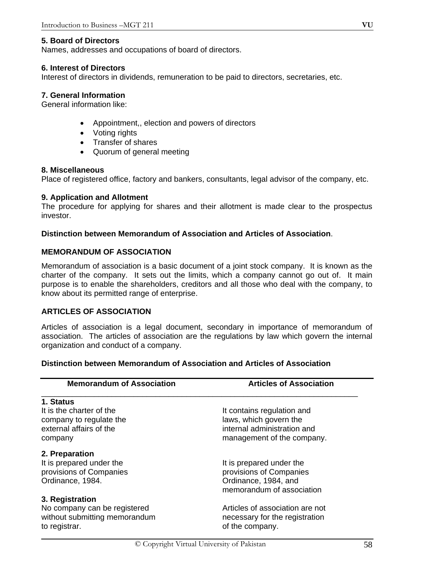## **5. Board of Directors**

Names, addresses and occupations of board of directors.

#### **6. Interest of Directors**

Interest of directors in dividends, remuneration to be paid to directors, secretaries, etc.

## **7. General Information**

General information like:

- Appointment,, election and powers of directors
- Voting rights
- Transfer of shares
- Quorum of general meeting

### **8. Miscellaneous**

Place of registered office, factory and bankers, consultants, legal advisor of the company, etc.

### **9. Application and Allotment**

The procedure for applying for shares and their allotment is made clear to the prospectus investor.

### **Distinction between Memorandum of Association and Articles of Association**.

### **MEMORANDUM OF ASSOCIATION**

Memorandum of association is a basic document of a joint stock company. It is known as the charter of the company. It sets out the limits, which a company cannot go out of. It main purpose is to enable the shareholders, creditors and all those who deal with the company, to know about its permitted range of enterprise.

## **ARTICLES OF ASSOCIATION**

Articles of association is a legal document, secondary in importance of memorandum of association. The articles of association are the regulations by law which govern the internal organization and conduct of a company.

### **Distinction between Memorandum of Association and Articles of Association**

| <b>Memorandum of Association</b>                                               | <b>Articles of Association</b>                                                       |  |
|--------------------------------------------------------------------------------|--------------------------------------------------------------------------------------|--|
| 1. Status                                                                      |                                                                                      |  |
| It is the charter of the                                                       | It contains regulation and                                                           |  |
| company to regulate the                                                        | laws, which govern the                                                               |  |
| external affairs of the                                                        | internal administration and                                                          |  |
| company                                                                        | management of the company.                                                           |  |
| 2. Preparation                                                                 |                                                                                      |  |
| It is prepared under the                                                       | It is prepared under the                                                             |  |
| provisions of Companies                                                        | provisions of Companies                                                              |  |
| Ordinance, 1984.                                                               | Ordinance, 1984, and                                                                 |  |
|                                                                                | memorandum of association                                                            |  |
| 3. Registration                                                                |                                                                                      |  |
| No company can be registered<br>without submitting memorandum<br>to registrar. | Articles of association are not<br>necessary for the registration<br>of the company. |  |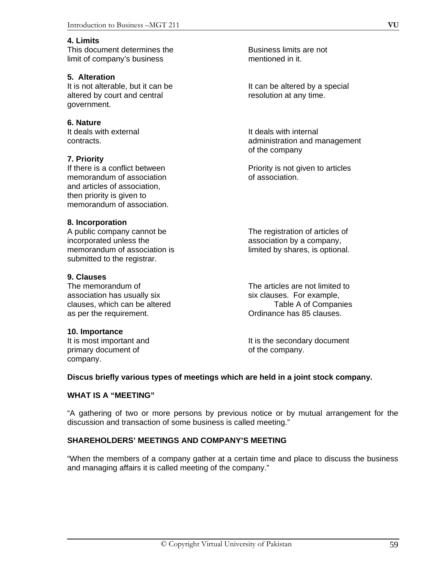### **4. Limits**

This document determines the entitled and Business limits are not limit of company's business mentioned in it.

## **5. Alteration**

It is not alterable, but it can be It can be altered by a special altered by court and central resolution at any time. government.

## **6. Nature**

It deals with external It deals with internal

### **7. Priority**

memorandum of association memorandum of association. and articles of association, then priority is given to memorandum of association.

### **8. Incorporation**

A public company cannot be The registration of articles of incorporated unless the association by a company, memorandum of association is limited by shares, is optional. submitted to the registrar.

## **9. Clauses**

association has usually six state of the six clauses. For example, clauses, which can be altered Table A of Companies as per the requirement. Ordinance has 85 clauses.

## **10. Importance**

primary document of observation of the company. company.

contracts. administration and management of the company

If there is a conflict between **Priority** is not given to articles

The memorandum of The articles are not limited to

It is most important and It is the secondary document

#### **Discus briefly various types of meetings which are held in a joint stock company.**

## **WHAT IS A "MEETING"**

"A gathering of two or more persons by previous notice or by mutual arrangement for the discussion and transaction of some business is called meeting."

## **SHAREHOLDERS' MEETINGS AND COMPANY'S MEETING**

"When the members of a company gather at a certain time and place to discuss the business and managing affairs it is called meeting of the company."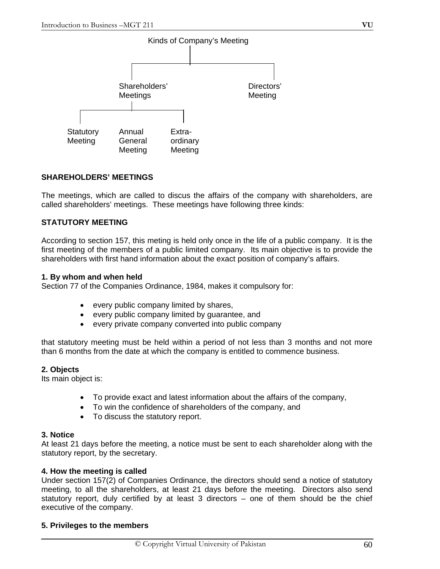

## **SHAREHOLDERS' MEETINGS**

The meetings, which are called to discus the affairs of the company with shareholders, are called shareholders' meetings. These meetings have following three kinds:

## **STATUTORY MEETING**

According to section 157, this meting is held only once in the life of a public company. It is the first meeting of the members of a public limited company. Its main objective is to provide the shareholders with first hand information about the exact position of company's affairs.

## **1. By whom and when held**

Section 77 of the Companies Ordinance, 1984, makes it compulsory for:

- every public company limited by shares,
- every public company limited by guarantee, and
- every private company converted into public company

that statutory meeting must be held within a period of not less than 3 months and not more than 6 months from the date at which the company is entitled to commence business.

#### **2. Objects**

Its main object is:

- To provide exact and latest information about the affairs of the company,
- To win the confidence of shareholders of the company, and
- To discuss the statutory report.

#### **3. Notice**

At least 21 days before the meeting, a notice must be sent to each shareholder along with the statutory report, by the secretary.

## **4. How the meeting is called**

Under section 157(2) of Companies Ordinance, the directors should send a notice of statutory meeting, to all the shareholders, at least 21 days before the meeting. Directors also send statutory report, duly certified by at least 3 directors – one of them should be the chief executive of the company.

## **5. Privileges to the members**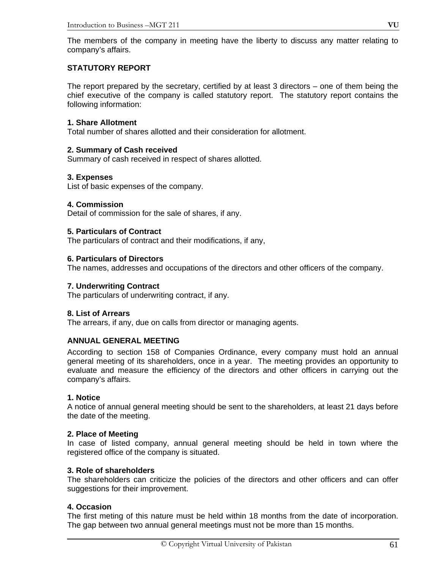The members of the company in meeting have the liberty to discuss any matter relating to company's affairs.

# **STATUTORY REPORT**

The report prepared by the secretary, certified by at least 3 directors – one of them being the chief executive of the company is called statutory report. The statutory report contains the following information:

## **1. Share Allotment**

Total number of shares allotted and their consideration for allotment.

## **2. Summary of Cash received**

Summary of cash received in respect of shares allotted.

## **3. Expenses**

List of basic expenses of the company.

## **4. Commission**

Detail of commission for the sale of shares, if any.

## **5. Particulars of Contract**

The particulars of contract and their modifications, if any,

## **6. Particulars of Directors**

The names, addresses and occupations of the directors and other officers of the company.

## **7. Underwriting Contract**

The particulars of underwriting contract, if any.

## **8. List of Arrears**

The arrears, if any, due on calls from director or managing agents.

## **ANNUAL GENERAL MEETING**

According to section 158 of Companies Ordinance, every company must hold an annual general meeting of its shareholders, once in a year. The meeting provides an opportunity to evaluate and measure the efficiency of the directors and other officers in carrying out the company's affairs.

## **1. Notice**

A notice of annual general meeting should be sent to the shareholders, at least 21 days before the date of the meeting.

## **2. Place of Meeting**

In case of listed company, annual general meeting should be held in town where the registered office of the company is situated.

## **3. Role of shareholders**

The shareholders can criticize the policies of the directors and other officers and can offer suggestions for their improvement.

## **4. Occasion**

The first meting of this nature must be held within 18 months from the date of incorporation. The gap between two annual general meetings must not be more than 15 months.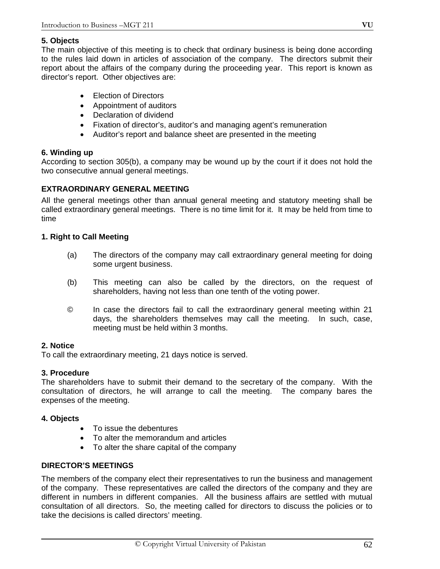## **5. Objects**

The main objective of this meeting is to check that ordinary business is being done according to the rules laid down in articles of association of the company. The directors submit their report about the affairs of the company during the proceeding year. This report is known as director's report. Other objectives are:

- Election of Directors
- Appointment of auditors
- Declaration of dividend
- Fixation of director's, auditor's and managing agent's remuneration
- Auditor's report and balance sheet are presented in the meeting

## **6. Winding up**

According to section 305(b), a company may be wound up by the court if it does not hold the two consecutive annual general meetings.

# **EXTRAORDINARY GENERAL MEETING**

All the general meetings other than annual general meeting and statutory meeting shall be called extraordinary general meetings. There is no time limit for it. It may be held from time to time

## **1. Right to Call Meeting**

- (a) The directors of the company may call extraordinary general meeting for doing some urgent business.
- (b) This meeting can also be called by the directors, on the request of shareholders, having not less than one tenth of the voting power.
- © In case the directors fail to call the extraordinary general meeting within 21 days, the shareholders themselves may call the meeting. In such, case, meeting must be held within 3 months.

## **2. Notice**

To call the extraordinary meeting, 21 days notice is served.

## **3. Procedure**

The shareholders have to submit their demand to the secretary of the company. With the consultation of directors, he will arrange to call the meeting. The company bares the expenses of the meeting.

## **4. Objects**

- To issue the debentures
- To alter the memorandum and articles
- To alter the share capital of the company

## **DIRECTOR'S MEETINGS**

The members of the company elect their representatives to run the business and management of the company. These representatives are called the directors of the company and they are different in numbers in different companies. All the business affairs are settled with mutual consultation of all directors. So, the meeting called for directors to discuss the policies or to take the decisions is called directors' meeting.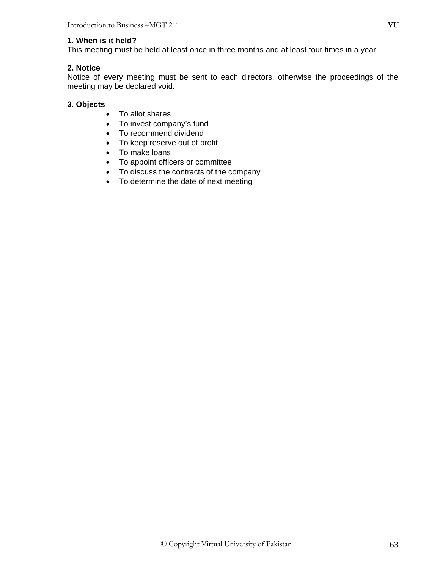## **1. When is it held?**

This meeting must be held at least once in three months and at least four times in a year.

### **2. Notice**

Notice of every meeting must be sent to each directors, otherwise the proceedings of the meeting may be declared void.

### **3. Objects**

- To allot shares
- To invest company's fund
- To recommend dividend
- To keep reserve out of profit
- To make loans
- To appoint officers or committee
- To discuss the contracts of the company
- To determine the date of next meeting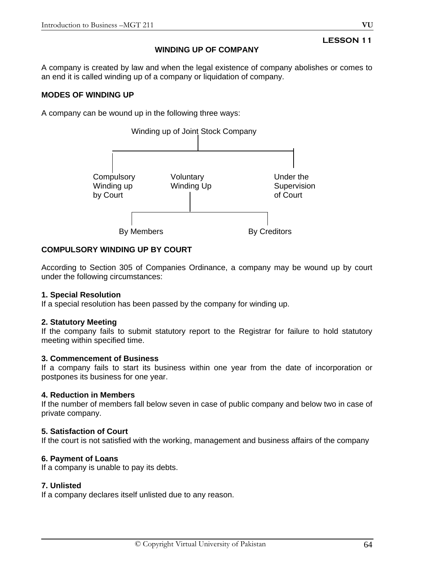## **LESSON 11**

## **WINDING UP OF COMPANY**

A company is created by law and when the legal existence of company abolishes or comes to an end it is called winding up of a company or liquidation of company.

## **MODES OF WINDING UP**

A company can be wound up in the following three ways:



## **COMPULSORY WINDING UP BY COURT**

According to Section 305 of Companies Ordinance, a company may be wound up by court under the following circumstances:

#### **1. Special Resolution**

If a special resolution has been passed by the company for winding up.

#### **2. Statutory Meeting**

If the company fails to submit statutory report to the Registrar for failure to hold statutory meeting within specified time.

#### **3. Commencement of Business**

If a company fails to start its business within one year from the date of incorporation or postpones its business for one year.

## **4. Reduction in Members**

If the number of members fall below seven in case of public company and below two in case of private company.

## **5. Satisfaction of Court**

If the court is not satisfied with the working, management and business affairs of the company

## **6. Payment of Loans**

If a company is unable to pay its debts.

## **7. Unlisted**

If a company declares itself unlisted due to any reason.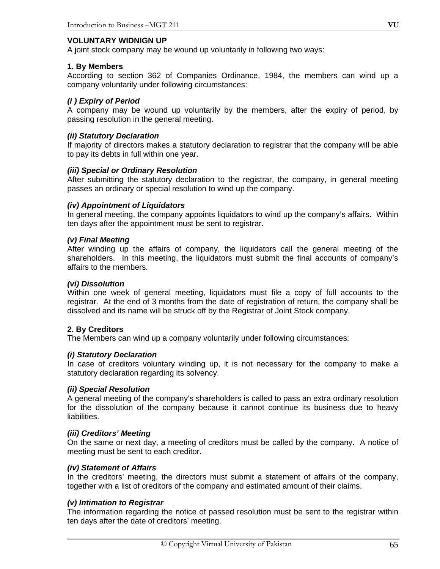### **VOLUNTARY WIDNIGN UP**

A joint stock company may be wound up voluntarily in following two ways:

#### **1. By Members**

According to section 362 of Companies Ordinance, 1984, the members can wind up a company voluntarily under following circumstances:

#### *(i ) Expiry of Period*

A company may be wound up voluntarily by the members, after the expiry of period, by passing resolution in the general meeting.

#### *(ii) Statutory Declaration*

If majority of directors makes a statutory declaration to registrar that the company will be able to pay its debts in full within one year.

### *(iii) Special or Ordinary Resolution*

After submitting the statutory declaration to the registrar, the company, in general meeting passes an ordinary or special resolution to wind up the company.

### *(iv) Appointment of Liquidators*

In general meeting, the company appoints liquidators to wind up the company's affairs. Within ten days after the appointment must be sent to registrar.

#### *(v) Final Meeting*

After winding up the affairs of company, the liquidators call the general meeting of the shareholders. In this meeting, the liquidators must submit the final accounts of company's affairs to the members.

#### *(vi) Dissolution*

Within one week of general meeting, liquidators must file a copy of full accounts to the registrar. At the end of 3 months from the date of registration of return, the company shall be dissolved and its name will be struck off by the Registrar of Joint Stock company.

#### **2. By Creditors**

The Members can wind up a company voluntarily under following circumstances:

### *(i) Statutory Declaration*

In case of creditors voluntary winding up, it is not necessary for the company to make a statutory declaration regarding its solvency.

#### *(ii) Special Resolution*

A general meeting of the company's shareholders is called to pass an extra ordinary resolution for the dissolution of the company because it cannot continue its business due to heavy liabilities.

#### *(iii) Creditors' Meeting*

On the same or next day, a meeting of creditors must be called by the company. A notice of meeting must be sent to each creditor.

#### *(iv) Statement of Affairs*

In the creditors' meeting, the directors must submit a statement of affairs of the company, together with a list of creditors of the company and estimated amount of their claims.

#### *(v) Intimation to Registrar*

The information regarding the notice of passed resolution must be sent to the registrar within ten days after the date of creditors' meeting.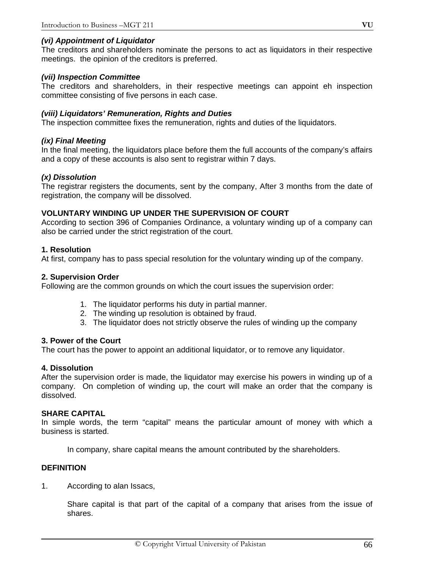## *(vi) Appointment of Liquidator*

The creditors and shareholders nominate the persons to act as liquidators in their respective meetings. the opinion of the creditors is preferred.

## *(vii) Inspection Committee*

The creditors and shareholders, in their respective meetings can appoint eh inspection committee consisting of five persons in each case.

## *(viii) Liquidators' Remuneration, Rights and Duties*

The inspection committee fixes the remuneration, rights and duties of the liquidators.

## *(ix) Final Meeting*

In the final meeting, the liquidators place before them the full accounts of the company's affairs and a copy of these accounts is also sent to registrar within 7 days.

## *(x) Dissolution*

The registrar registers the documents, sent by the company, After 3 months from the date of registration, the company will be dissolved.

## **VOLUNTARY WINDING UP UNDER THE SUPERVISION OF COURT**

According to section 396 of Companies Ordinance, a voluntary winding up of a company can also be carried under the strict registration of the court.

## **1. Resolution**

At first, company has to pass special resolution for the voluntary winding up of the company.

## **2. Supervision Order**

Following are the common grounds on which the court issues the supervision order:

- 1. The liquidator performs his duty in partial manner.
- 2. The winding up resolution is obtained by fraud.
- 3. The liquidator does not strictly observe the rules of winding up the company

## **3. Power of the Court**

The court has the power to appoint an additional liquidator, or to remove any liquidator.

## **4. Dissolution**

After the supervision order is made, the liquidator may exercise his powers in winding up of a company. On completion of winding up, the court will make an order that the company is dissolved.

## **SHARE CAPITAL**

In simple words, the term "capital" means the particular amount of money with which a business is started.

In company, share capital means the amount contributed by the shareholders.

## **DEFINITION**

1. According to alan Issacs,

Share capital is that part of the capital of a company that arises from the issue of shares.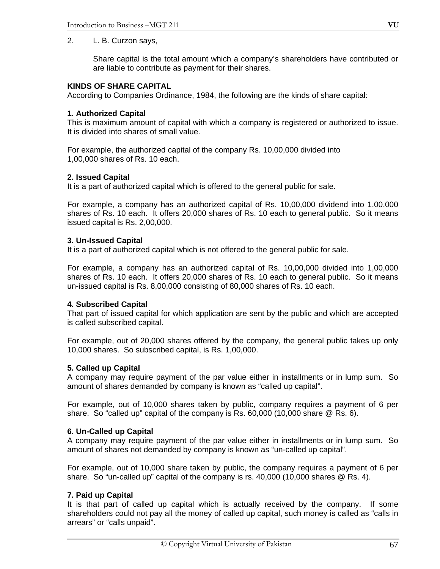### 2. L. B. Curzon says,

Share capital is the total amount which a company's shareholders have contributed or are liable to contribute as payment for their shares.

#### **KINDS OF SHARE CAPITAL**

According to Companies Ordinance, 1984, the following are the kinds of share capital:

### **1. Authorized Capital**

This is maximum amount of capital with which a company is registered or authorized to issue. It is divided into shares of small value.

For example, the authorized capital of the company Rs. 10,00,000 divided into 1,00,000 shares of Rs. 10 each.

### **2. Issued Capital**

It is a part of authorized capital which is offered to the general public for sale.

For example, a company has an authorized capital of Rs. 10,00,000 dividend into 1,00,000 shares of Rs. 10 each. It offers 20,000 shares of Rs. 10 each to general public. So it means issued capital is Rs. 2,00,000.

### **3. Un-Issued Capital**

It is a part of authorized capital which is not offered to the general public for sale.

For example, a company has an authorized capital of Rs. 10,00,000 divided into 1,00,000 shares of Rs. 10 each. It offers 20,000 shares of Rs. 10 each to general public. So it means un-issued capital is Rs. 8,00,000 consisting of 80,000 shares of Rs. 10 each.

## **4. Subscribed Capital**

That part of issued capital for which application are sent by the public and which are accepted is called subscribed capital.

For example, out of 20,000 shares offered by the company, the general public takes up only 10,000 shares. So subscribed capital, is Rs. 1,00,000.

#### **5. Called up Capital**

A company may require payment of the par value either in installments or in lump sum. So amount of shares demanded by company is known as "called up capital".

For example, out of 10,000 shares taken by public, company requires a payment of 6 per share. So "called up" capital of the company is Rs. 60,000 (10,000 share @ Rs. 6).

#### **6. Un-Called up Capital**

A company may require payment of the par value either in installments or in lump sum. So amount of shares not demanded by company is known as "un-called up capital".

For example, out of 10,000 share taken by public, the company requires a payment of 6 per share. So "un-called up" capital of the company is rs. 40,000 (10,000 shares @ Rs. 4).

## **7. Paid up Capital**

It is that part of called up capital which is actually received by the company. If some shareholders could not pay all the money of called up capital, such money is called as "calls in arrears" or "calls unpaid".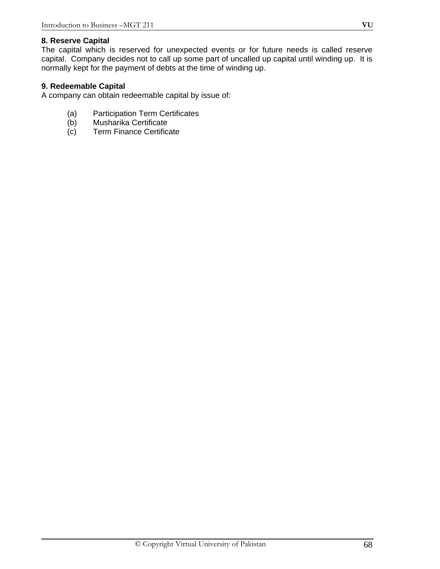## **8. Reserve Capital**

The capital which is reserved for unexpected events or for future needs is called reserve capital. Company decides not to call up some part of uncalled up capital until winding up. It is normally kept for the payment of debts at the time of winding up.

## **9. Redeemable Capital**

A company can obtain redeemable capital by issue of:

- (a) Participation Term Certificates
- (b) Musharika Certificate<br>(c) Term Finance Certifica
- **Term Finance Certificate**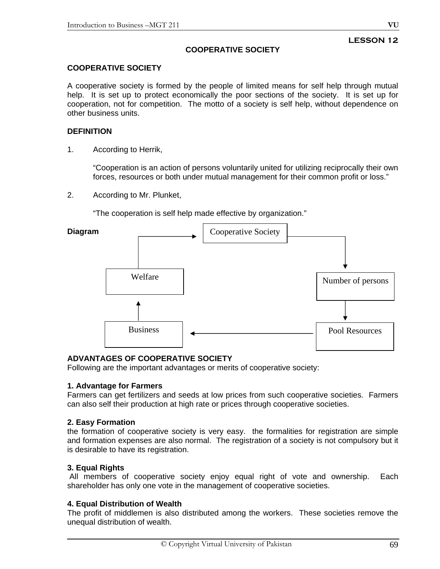## **COOPERATIVE SOCIETY**

## **COOPERATIVE SOCIETY**

A cooperative society is formed by the people of limited means for self help through mutual help. It is set up to protect economically the poor sections of the society. It is set up for cooperation, not for competition. The motto of a society is self help, without dependence on other business units.

## **DEFINITION**

1. According to Herrik,

"Cooperation is an action of persons voluntarily united for utilizing reciprocally their own forces, resources or both under mutual management for their common profit or loss."

2. According to Mr. Plunket,

"The cooperation is self help made effective by organization."



## **ADVANTAGES OF COOPERATIVE SOCIETY**

Following are the important advantages or merits of cooperative society:

## **1. Advantage for Farmers**

Farmers can get fertilizers and seeds at low prices from such cooperative societies. Farmers can also self their production at high rate or prices through cooperative societies.

## **2. Easy Formation**

the formation of cooperative society is very easy. the formalities for registration are simple and formation expenses are also normal. The registration of a society is not compulsory but it is desirable to have its registration.

## **3. Equal Rights**

 All members of cooperative society enjoy equal right of vote and ownership. Each shareholder has only one vote in the management of cooperative societies.

## **4. Equal Distribution of Wealth**

The profit of middlemen is also distributed among the workers. These societies remove the unequal distribution of wealth.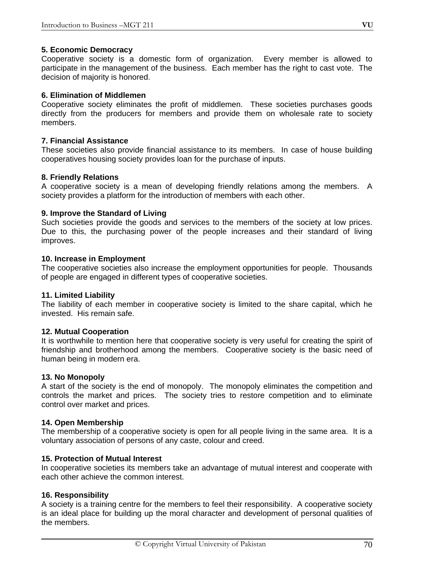#### **5. Economic Democracy**

Cooperative society is a domestic form of organization. Every member is allowed to participate in the management of the business. Each member has the right to cast vote. The decision of majority is honored.

#### **6. Elimination of Middlemen**

Cooperative society eliminates the profit of middlemen. These societies purchases goods directly from the producers for members and provide them on wholesale rate to society members.

#### **7. Financial Assistance**

These societies also provide financial assistance to its members. In case of house building cooperatives housing society provides loan for the purchase of inputs.

#### **8. Friendly Relations**

A cooperative society is a mean of developing friendly relations among the members. A society provides a platform for the introduction of members with each other.

#### **9. Improve the Standard of Living**

Such societies provide the goods and services to the members of the society at low prices. Due to this, the purchasing power of the people increases and their standard of living improves.

#### **10. Increase in Employment**

The cooperative societies also increase the employment opportunities for people. Thousands of people are engaged in different types of cooperative societies.

#### **11. Limited Liability**

The liability of each member in cooperative society is limited to the share capital, which he invested. His remain safe.

#### **12. Mutual Cooperation**

It is worthwhile to mention here that cooperative society is very useful for creating the spirit of friendship and brotherhood among the members. Cooperative society is the basic need of human being in modern era.

#### **13. No Monopoly**

A start of the society is the end of monopoly. The monopoly eliminates the competition and controls the market and prices. The society tries to restore competition and to eliminate control over market and prices.

#### **14. Open Membership**

The membership of a cooperative society is open for all people living in the same area. It is a voluntary association of persons of any caste, colour and creed.

### **15. Protection of Mutual Interest**

In cooperative societies its members take an advantage of mutual interest and cooperate with each other achieve the common interest.

#### **16. Responsibility**

A society is a training centre for the members to feel their responsibility. A cooperative society is an ideal place for building up the moral character and development of personal qualities of the members.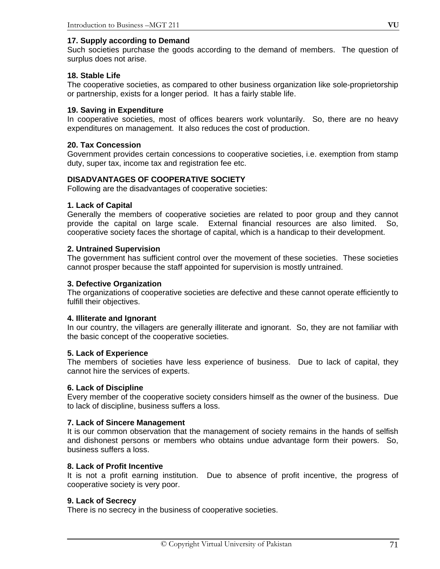## **17. Supply according to Demand**

Such societies purchase the goods according to the demand of members. The question of surplus does not arise.

## **18. Stable Life**

The cooperative societies, as compared to other business organization like sole-proprietorship or partnership, exists for a longer period. It has a fairly stable life.

### **19. Saving in Expenditure**

In cooperative societies, most of offices bearers work voluntarily. So, there are no heavy expenditures on management. It also reduces the cost of production.

### **20. Tax Concession**

Government provides certain concessions to cooperative societies, i.e. exemption from stamp duty, super tax, income tax and registration fee etc.

## **DISADVANTAGES OF COOPERATIVE SOCIETY**

Following are the disadvantages of cooperative societies:

### **1. Lack of Capital**

Generally the members of cooperative societies are related to poor group and they cannot provide the capital on large scale. External financial resources are also limited. So, cooperative society faces the shortage of capital, which is a handicap to their development.

### **2. Untrained Supervision**

The government has sufficient control over the movement of these societies. These societies cannot prosper because the staff appointed for supervision is mostly untrained.

### **3. Defective Organization**

The organizations of cooperative societies are defective and these cannot operate efficiently to fulfill their objectives.

#### **4. Illiterate and Ignorant**

In our country, the villagers are generally illiterate and ignorant. So, they are not familiar with the basic concept of the cooperative societies.

#### **5. Lack of Experience**

The members of societies have less experience of business. Due to lack of capital, they cannot hire the services of experts.

#### **6. Lack of Discipline**

Every member of the cooperative society considers himself as the owner of the business. Due to lack of discipline, business suffers a loss.

### **7. Lack of Sincere Management**

It is our common observation that the management of society remains in the hands of selfish and dishonest persons or members who obtains undue advantage form their powers. So, business suffers a loss.

#### **8. Lack of Profit Incentive**

It is not a profit earning institution. Due to absence of profit incentive, the progress of cooperative society is very poor.

#### **9. Lack of Secrecy**

There is no secrecy in the business of cooperative societies.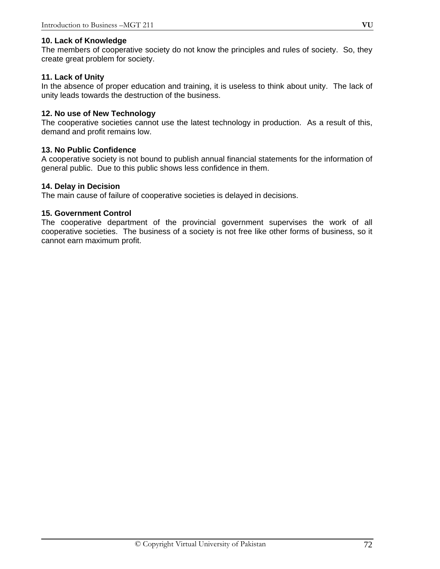## **10. Lack of Knowledge**

The members of cooperative society do not know the principles and rules of society. So, they create great problem for society.

## **11. Lack of Unity**

In the absence of proper education and training, it is useless to think about unity. The lack of unity leads towards the destruction of the business.

## **12. No use of New Technology**

The cooperative societies cannot use the latest technology in production. As a result of this, demand and profit remains low.

## **13. No Public Confidence**

A cooperative society is not bound to publish annual financial statements for the information of general public. Due to this public shows less confidence in them.

## **14. Delay in Decision**

The main cause of failure of cooperative societies is delayed in decisions.

## **15. Government Control**

The cooperative department of the provincial government supervises the work of all cooperative societies. The business of a society is not free like other forms of business, so it cannot earn maximum profit.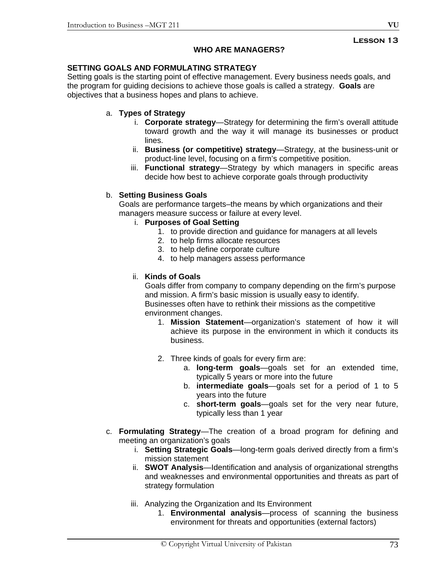# **Lesson 13**

### **WHO ARE MANAGERS?**

### **SETTING GOALS AND FORMULATING STRATEGY**

Setting goals is the starting point of effective management. Every business needs goals, and the program for guiding decisions to achieve those goals is called a strategy. **Goals** are objectives that a business hopes and plans to achieve.

### a. **Types of Strategy**

- i. **Corporate strategy**—Strategy for determining the firm's overall attitude toward growth and the way it will manage its businesses or product lines.
- ii. **Business (or competitive) strategy**—Strategy, at the business-unit or product-line level, focusing on a firm's competitive position.
- iii. **Functional strategy**—Strategy by which managers in specific areas decide how best to achieve corporate goals through productivity

### b. **Setting Business Goals**

Goals are performance targets–the means by which organizations and their managers measure success or failure at every level.

### i. **Purposes of Goal Setting**

- 1. to provide direction and guidance for managers at all levels
- 2. to help firms allocate resources
- 3. to help define corporate culture
- 4. to help managers assess performance

### ii. **Kinds of Goals**

Goals differ from company to company depending on the firm's purpose and mission. A firm's basic mission is usually easy to identify. Businesses often have to rethink their missions as the competitive environment changes.

- 1. **Mission Statement**—organization's statement of how it will achieve its purpose in the environment in which it conducts its business.
- 2. Three kinds of goals for every firm are:
	- a. **long-term goals**—goals set for an extended time, typically 5 years or more into the future
	- b. **intermediate goals**—goals set for a period of 1 to 5 years into the future
	- c. **short-term goals**—goals set for the very near future, typically less than 1 year
- c. **Formulating Strategy**—The creation of a broad program for defining and meeting an organization's goals
	- i. **Setting Strategic Goals**—long-term goals derived directly from a firm's mission statement
	- ii. **SWOT Analysis**—Identification and analysis of organizational strengths and weaknesses and environmental opportunities and threats as part of strategy formulation
	- iii. Analyzing the Organization and Its Environment
		- 1. **Environmental analysis**—process of scanning the business environment for threats and opportunities (external factors)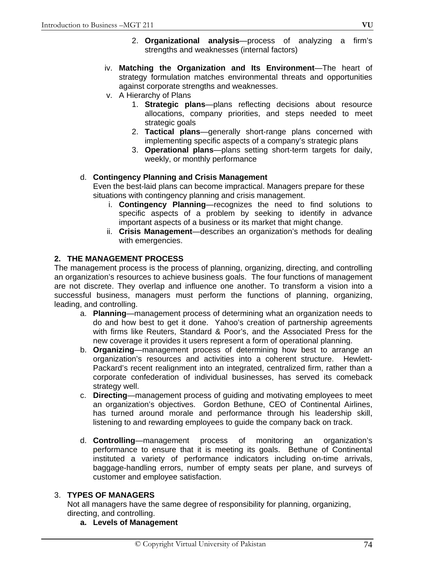- 2. **Organizational analysis**—process of analyzing a firm's strengths and weaknesses (internal factors)
- iv. **Matching the Organization and Its Environment**—The heart of strategy formulation matches environmental threats and opportunities against corporate strengths and weaknesses.
- v. A Hierarchy of Plans
	- 1. **Strategic plans**—plans reflecting decisions about resource allocations, company priorities, and steps needed to meet strategic goals
	- 2. **Tactical plans**—generally short-range plans concerned with implementing specific aspects of a company's strategic plans
	- 3. **Operational plans**—plans setting short-term targets for daily, weekly, or monthly performance

### d. **Contingency Planning and Crisis Management**

Even the best-laid plans can become impractical. Managers prepare for these situations with contingency planning and crisis management.

- i. **Contingency Planning**—recognizes the need to find solutions to specific aspects of a problem by seeking to identify in advance important aspects of a business or its market that might change.
- ii. **Crisis Management**—describes an organization's methods for dealing with emergencies.

### **2. THE MANAGEMENT PROCESS**

The management process is the process of planning, organizing, directing, and controlling an organization's resources to achieve business goals. The four functions of management are not discrete. They overlap and influence one another. To transform a vision into a successful business, managers must perform the functions of planning, organizing, leading, and controlling.

- a. **Planning**—management process of determining what an organization needs to do and how best to get it done. Yahoo's creation of partnership agreements with firms like Reuters, Standard & Poor's, and the Associated Press for the new coverage it provides it users represent a form of operational planning.
- b. **Organizing**—management process of determining how best to arrange an organization's resources and activities into a coherent structure. Hewlett-Packard's recent realignment into an integrated, centralized firm, rather than a corporate confederation of individual businesses, has served its comeback strategy well.
- c. **Directing**—management process of guiding and motivating employees to meet an organization's objectives. Gordon Bethune, CEO of Continental Airlines, has turned around morale and performance through his leadership skill, listening to and rewarding employees to guide the company back on track.
- d. **Controlling**—management process of monitoring an organization's performance to ensure that it is meeting its goals. Bethune of Continental instituted a variety of performance indicators including on-time arrivals, baggage-handling errors, number of empty seats per plane, and surveys of customer and employee satisfaction.

### 3. **TYPES OF MANAGERS**

Not all managers have the same degree of responsibility for planning, organizing, directing, and controlling.

**a. Levels of Management**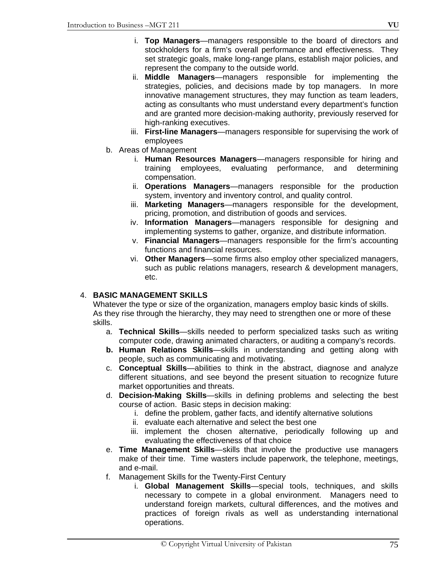- i. **Top Managers**—managers responsible to the board of directors and stockholders for a firm's overall performance and effectiveness. They set strategic goals, make long-range plans, establish major policies, and represent the company to the outside world.
- ii. **Middle Managers**—managers responsible for implementing the strategies, policies, and decisions made by top managers. In more innovative management structures, they may function as team leaders, acting as consultants who must understand every department's function and are granted more decision-making authority, previously reserved for high-ranking executives.
- iii. **First-line Managers**—managers responsible for supervising the work of employees
- b. Areas of Management
	- i. **Human Resources Managers**—managers responsible for hiring and training employees, evaluating performance, and determining compensation.
	- ii. **Operations Managers**—managers responsible for the production system, inventory and inventory control, and quality control.
	- iii. **Marketing Managers**—managers responsible for the development, pricing, promotion, and distribution of goods and services.
	- iv. **Information Managers**—managers responsible for designing and implementing systems to gather, organize, and distribute information.
	- v. **Financial Managers**—managers responsible for the firm's accounting functions and financial resources.
	- vi. **Other Managers**—some firms also employ other specialized managers, such as public relations managers, research & development managers, etc.

# 4. **BASIC MANAGEMENT SKILLS**

Whatever the type or size of the organization, managers employ basic kinds of skills. As they rise through the hierarchy, they may need to strengthen one or more of these skills.

- a. **Technical Skills**—skills needed to perform specialized tasks such as writing computer code, drawing animated characters, or auditing a company's records.
- **b. Human Relations Skills**—skills in understanding and getting along with people, such as communicating and motivating.
- c. **Conceptual Skills**—abilities to think in the abstract, diagnose and analyze different situations, and see beyond the present situation to recognize future market opportunities and threats.
- d. **Decision-Making Skills**—skills in defining problems and selecting the best course of action. Basic steps in decision making:
	- i. define the problem, gather facts, and identify alternative solutions
	- ii. evaluate each alternative and select the best one
	- iii. implement the chosen alternative, periodically following up and evaluating the effectiveness of that choice
- e. **Time Management Skills**—skills that involve the productive use managers make of their time. Time wasters include paperwork, the telephone, meetings, and e-mail.
- f. Management Skills for the Twenty-First Century
	- i. **Global Management Skills**—special tools, techniques, and skills necessary to compete in a global environment. Managers need to understand foreign markets, cultural differences, and the motives and practices of foreign rivals as well as understanding international operations.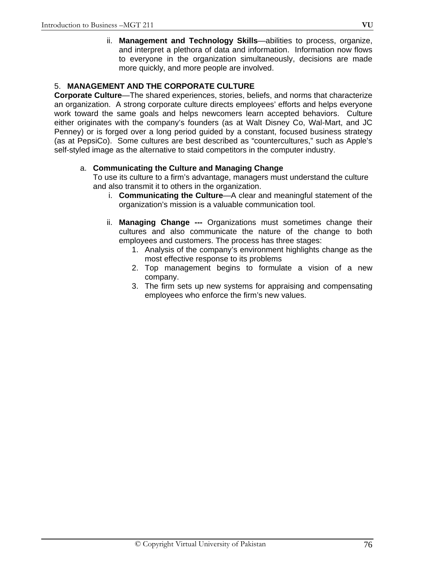ii. **Management and Technology Skills**—abilities to process, organize, and interpret a plethora of data and information. Information now flows to everyone in the organization simultaneously, decisions are made more quickly, and more people are involved.

## 5. **MANAGEMENT AND THE CORPORATE CULTURE**

**Corporate Culture**—The shared experiences, stories, beliefs, and norms that characterize an organization. A strong corporate culture directs employees' efforts and helps everyone work toward the same goals and helps newcomers learn accepted behaviors. Culture either originates with the company's founders (as at Walt Disney Co, Wal-Mart, and JC Penney) or is forged over a long period guided by a constant, focused business strategy (as at PepsiCo). Some cultures are best described as "countercultures," such as Apple's self-styled image as the alternative to staid competitors in the computer industry.

### a. **Communicating the Culture and Managing Change**

To use its culture to a firm's advantage, managers must understand the culture and also transmit it to others in the organization.

- i. **Communicating the Culture**—A clear and meaningful statement of the organization's mission is a valuable communication tool.
- ii. **Managing Change ---** Organizations must sometimes change their cultures and also communicate the nature of the change to both employees and customers. The process has three stages:
	- 1. Analysis of the company's environment highlights change as the most effective response to its problems
	- 2. Top management begins to formulate a vision of a new company.
	- 3. The firm sets up new systems for appraising and compensating employees who enforce the firm's new values.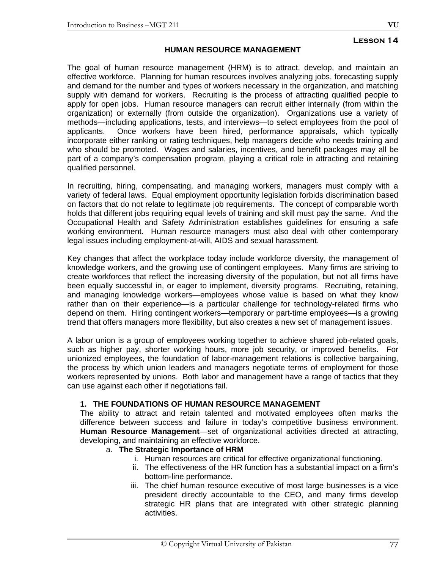# **Lesson 14**

### **HUMAN RESOURCE MANAGEMENT**

The goal of human resource management (HRM) is to attract, develop, and maintain an effective workforce. Planning for human resources involves analyzing jobs, forecasting supply and demand for the number and types of workers necessary in the organization, and matching supply with demand for workers. Recruiting is the process of attracting qualified people to apply for open jobs. Human resource managers can recruit either internally (from within the organization) or externally (from outside the organization). Organizations use a variety of methods—including applications, tests, and interviews—to select employees from the pool of applicants. Once workers have been hired, performance appraisals, which typically incorporate either ranking or rating techniques, help managers decide who needs training and who should be promoted. Wages and salaries, incentives, and benefit packages may all be part of a company's compensation program, playing a critical role in attracting and retaining qualified personnel.

In recruiting, hiring, compensating, and managing workers, managers must comply with a variety of federal laws. Equal employment opportunity legislation forbids discrimination based on factors that do not relate to legitimate job requirements. The concept of comparable worth holds that different jobs requiring equal levels of training and skill must pay the same. And the Occupational Health and Safety Administration establishes guidelines for ensuring a safe working environment. Human resource managers must also deal with other contemporary legal issues including employment-at-will, AIDS and sexual harassment.

Key changes that affect the workplace today include workforce diversity, the management of knowledge workers, and the growing use of contingent employees. Many firms are striving to create workforces that reflect the increasing diversity of the population, but not all firms have been equally successful in, or eager to implement, diversity programs. Recruiting, retaining, and managing knowledge workers—employees whose value is based on what they know rather than on their experience—is a particular challenge for technology-related firms who depend on them. Hiring contingent workers—temporary or part-time employees—is a growing trend that offers managers more flexibility, but also creates a new set of management issues.

A labor union is a group of employees working together to achieve shared job-related goals, such as higher pay, shorter working hours, more job security, or improved benefits. For unionized employees, the foundation of labor-management relations is collective bargaining, the process by which union leaders and managers negotiate terms of employment for those workers represented by unions. Both labor and management have a range of tactics that they can use against each other if negotiations fail.

### **1. THE FOUNDATIONS OF HUMAN RESOURCE MANAGEMENT**

The ability to attract and retain talented and motivated employees often marks the difference between success and failure in today's competitive business environment. **Human Resource Management**—set of organizational activities directed at attracting, developing, and maintaining an effective workforce.

### a. **The Strategic Importance of HRM**

- i. Human resources are critical for effective organizational functioning.
- ii. The effectiveness of the HR function has a substantial impact on a firm's bottom-line performance.
- iii. The chief human resource executive of most large businesses is a vice president directly accountable to the CEO, and many firms develop strategic HR plans that are integrated with other strategic planning activities.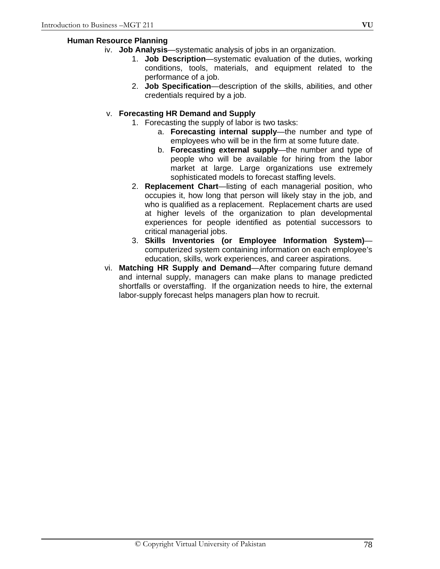### **Human Resource Planning**

- iv. **Job Analysis**—systematic analysis of jobs in an organization.
	- 1. **Job Description**—systematic evaluation of the duties, working conditions, tools, materials, and equipment related to the performance of a job.
	- 2. **Job Specification**—description of the skills, abilities, and other credentials required by a job.

#### v. **Forecasting HR Demand and Supply**

- 1. Forecasting the supply of labor is two tasks:
	- a. **Forecasting internal supply**—the number and type of employees who will be in the firm at some future date.
	- b. **Forecasting external supply**—the number and type of people who will be available for hiring from the labor market at large. Large organizations use extremely sophisticated models to forecast staffing levels.
- 2. **Replacement Chart**—listing of each managerial position, who occupies it, how long that person will likely stay in the job, and who is qualified as a replacement. Replacement charts are used at higher levels of the organization to plan developmental experiences for people identified as potential successors to critical managerial jobs.
- 3. **Skills Inventories (or Employee Information System)** computerized system containing information on each employee's education, skills, work experiences, and career aspirations.
- vi. **Matching HR Supply and Demand**—After comparing future demand and internal supply, managers can make plans to manage predicted shortfalls or overstaffing. If the organization needs to hire, the external labor-supply forecast helps managers plan how to recruit.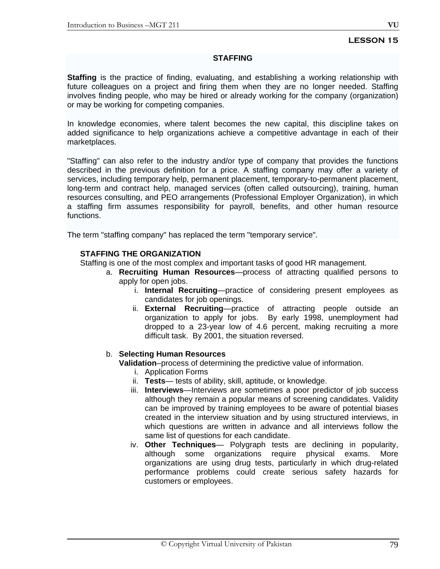#### **STAFFING**

**Staffing** is the practice of finding, evaluating, and establishing a working relationship with future colleagues on a project and firing them when they are no longer needed. Staffing involves finding people, who may be hired or already working for the company (organization) or may be working for competing companies.

In knowledge economies, where talent becomes the new capital, this discipline takes on added significance to help organizations achieve a competitive advantage in each of their marketplaces.

"Staffing" can also refer to the industry and/or type of company that provides the functions described in the previous definition for a price. A staffing company may offer a variety of services, including temporary help, permanent placement, temporary-to-permanent placement, long-term and contract help, managed services (often called outsourcing), training, human resources consulting, and PEO arrangements (Professional Employer Organization), in which a staffing firm assumes responsibility for payroll, benefits, and other human resource functions.

The term "staffing company" has replaced the term "temporary service".

#### **STAFFING THE ORGANIZATION**

Staffing is one of the most complex and important tasks of good HR management.

- a. **Recruiting Human Resources**—process of attracting qualified persons to apply for open jobs.
	- i. **Internal Recruiting**—practice of considering present employees as candidates for job openings.
	- ii. **External Recruiting**—practice of attracting people outside an organization to apply for jobs. By early 1998, unemployment had dropped to a 23-year low of 4.6 percent, making recruiting a more difficult task. By 2001, the situation reversed.

#### b. **Selecting Human Resources**

**Validation**–process of determining the predictive value of information.

- i. Application Forms
- ii. **Tests** tests of ability, skill, aptitude, or knowledge.
- iii. **Interviews**—Interviews are sometimes a poor predictor of job success although they remain a popular means of screening candidates. Validity can be improved by training employees to be aware of potential biases created in the interview situation and by using structured interviews, in which questions are written in advance and all interviews follow the same list of questions for each candidate.
- iv. **Other Techniques** Polygraph tests are declining in popularity, although some organizations require physical exams. More organizations are using drug tests, particularly in which drug-related performance problems could create serious safety hazards for customers or employees.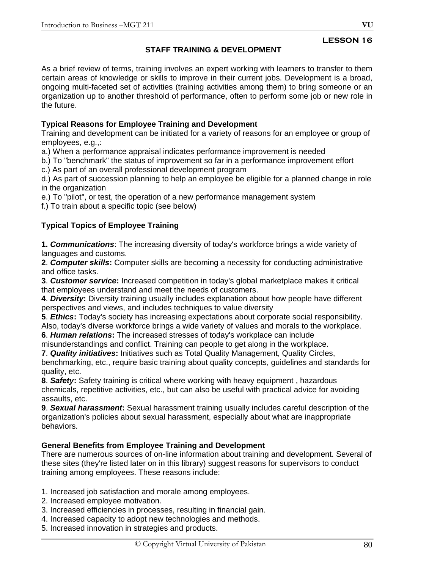### **STAFF TRAINING & DEVELOPMENT**

As a brief review of terms, training involves an expert working with learners to transfer to them certain areas of knowledge or skills to improve in their current jobs. Development is a broad, ongoing multi-faceted set of activities (training activities among them) to bring someone or an organization up to another threshold of performance, often to perform some job or new role in the future.

### **Typical Reasons for Employee Training and Development**

Training and development can be initiated for a variety of reasons for an employee or group of employees, e.g.,:

a.) When a performance appraisal indicates performance improvement is needed

b.) To "benchmark" the status of improvement so far in a performance improvement effort

c.) As part of an overall professional development program

d.) As part of succession planning to help an employee be eligible for a planned change in role in the organization

e.) To "pilot", or test, the operation of a new performance management system

f.) To train about a specific topic (see below)

# **Typical Topics of Employee Training**

**1.** *Communications*: The increasing diversity of today's workforce brings a wide variety of languages and customs.

**2**. *Computer skills***:** Computer skills are becoming a necessity for conducting administrative and office tasks.

**3**. *Customer service***:** Increased competition in today's global marketplace makes it critical that employees understand and meet the needs of customers.

**4**. *Diversity***:** Diversity training usually includes explanation about how people have different perspectives and views, and includes techniques to value diversity

**5**. *Ethics***:** Today's society has increasing expectations about corporate social responsibility. Also, today's diverse workforce brings a wide variety of values and morals to the workplace.

**6**. *Human relations***:** The increased stresses of today's workplace can include

misunderstandings and conflict. Training can people to get along in the workplace.

**7**. *Quality initiatives***:** Initiatives such as Total Quality Management, Quality Circles, benchmarking, etc., require basic training about quality concepts, guidelines and standards for quality, etc.

**8**. *Safety***:** Safety training is critical where working with heavy equipment , hazardous chemicals, repetitive activities, etc., but can also be useful with practical advice for avoiding assaults, etc.

**9**. *Sexual harassment***:** Sexual harassment training usually includes careful description of the organization's policies about sexual harassment, especially about what are inappropriate behaviors.

### **General Benefits from Employee Training and Development**

There are numerous sources of on-line information about training and development. Several of these sites (they're listed later on in this library) suggest reasons for supervisors to conduct training among employees. These reasons include:

- 1. Increased job satisfaction and morale among employees.
- 2. Increased employee motivation.
- 3. Increased efficiencies in processes, resulting in financial gain.
- 4. Increased capacity to adopt new technologies and methods.
- 5. Increased innovation in strategies and products.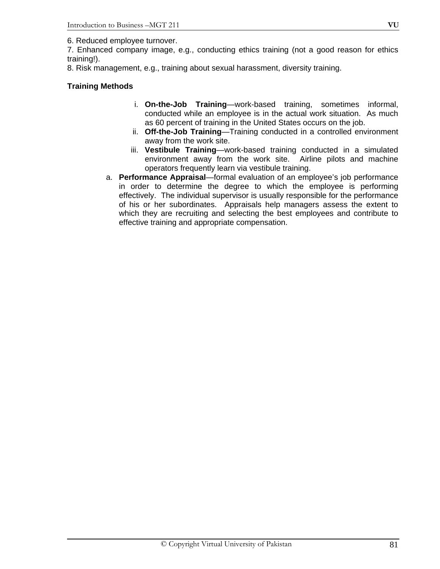6. Reduced employee turnover.

7. Enhanced company image, e.g., conducting ethics training (not a good reason for ethics training!).

8. Risk management, e.g., training about sexual harassment, diversity training.

### **Training Methods**

- i. **On-the-Job Training**—work-based training, sometimes informal, conducted while an employee is in the actual work situation. As much as 60 percent of training in the United States occurs on the job.
- ii. **Off-the-Job Training**—Training conducted in a controlled environment away from the work site.
- iii. **Vestibule Training**—work-based training conducted in a simulated environment away from the work site. Airline pilots and machine operators frequently learn via vestibule training.
- a. **Performance Appraisal**—formal evaluation of an employee's job performance in order to determine the degree to which the employee is performing effectively. The individual supervisor is usually responsible for the performance of his or her subordinates. Appraisals help managers assess the extent to which they are recruiting and selecting the best employees and contribute to effective training and appropriate compensation.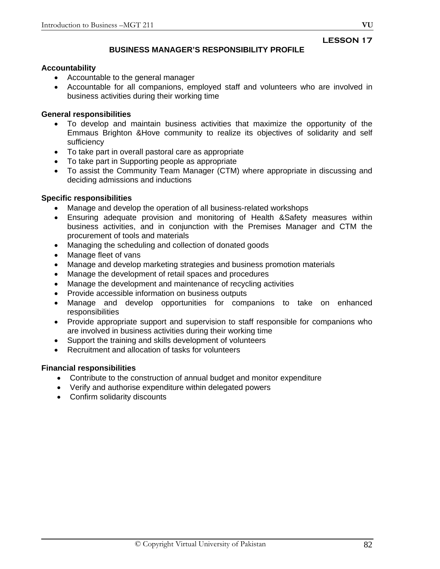### **BUSINESS MANAGER'S RESPONSIBILITY PROFILE**

### **Accountability**

- Accountable to the general manager
- Accountable for all companions, employed staff and volunteers who are involved in business activities during their working time

# **General responsibilities**

- To develop and maintain business activities that maximize the opportunity of the Emmaus Brighton &Hove community to realize its objectives of solidarity and self sufficiency
- To take part in overall pastoral care as appropriate
- To take part in Supporting people as appropriate
- To assist the Community Team Manager (CTM) where appropriate in discussing and deciding admissions and inductions

### **Specific responsibilities**

- Manage and develop the operation of all business-related workshops
- Ensuring adequate provision and monitoring of Health &Safety measures within business activities, and in conjunction with the Premises Manager and CTM the procurement of tools and materials
- Managing the scheduling and collection of donated goods
- Manage fleet of vans
- Manage and develop marketing strategies and business promotion materials
- Manage the development of retail spaces and procedures
- Manage the development and maintenance of recycling activities
- Provide accessible information on business outputs
- Manage and develop opportunities for companions to take on enhanced responsibilities
- Provide appropriate support and supervision to staff responsible for companions who are involved in business activities during their working time
- Support the training and skills development of volunteers
- Recruitment and allocation of tasks for volunteers

# **Financial responsibilities**

- Contribute to the construction of annual budget and monitor expenditure
- Verify and authorise expenditure within delegated powers
- Confirm solidarity discounts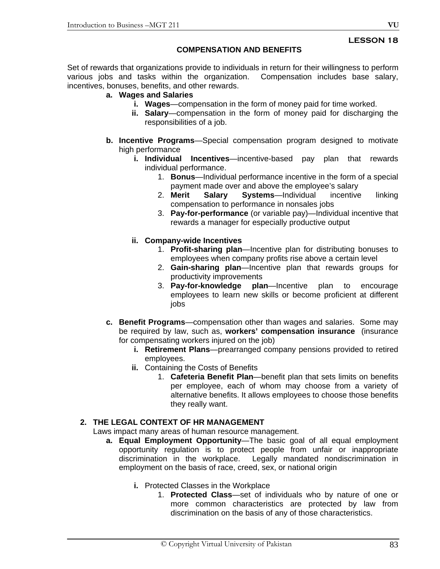#### **COMPENSATION AND BENEFITS**

Set of rewards that organizations provide to individuals in return for their willingness to perform various jobs and tasks within the organization.Compensation includes base salary, incentives, bonuses, benefits, and other rewards.

### **a. Wages and Salaries**

- **i. Wages**—compensation in the form of money paid for time worked.
- **ii. Salary**—compensation in the form of money paid for discharging the responsibilities of a job.
- **b. Incentive Programs**—Special compensation program designed to motivate high performance
	- **i. Individual Incentives**—incentive-based pay plan that rewards individual performance.
		- 1. **Bonus**—Individual performance incentive in the form of a special payment made over and above the employee's salary
		- 2. **Merit Salary Systems**—Individual incentive linking compensation to performance in nonsales jobs
		- 3. **Pay-for-performance** (or variable pay)—Individual incentive that rewards a manager for especially productive output

### **ii. Company-wide Incentives**

- 1. **Profit-sharing plan**—Incentive plan for distributing bonuses to employees when company profits rise above a certain level
- 2. **Gain-sharing plan**—Incentive plan that rewards groups for productivity improvements
- 3. **Pay-for-knowledge plan**—Incentive plan to encourage employees to learn new skills or become proficient at different jobs
- **c. Benefit Programs**—compensation other than wages and salaries. Some may be required by law, such as, **workers' compensation insurance** (insurance for compensating workers injured on the job)
	- **i. Retirement Plans**—prearranged company pensions provided to retired employees.
	- **ii.** Containing the Costs of Benefits
		- 1. **Cafeteria Benefit Plan**—benefit plan that sets limits on benefits per employee, each of whom may choose from a variety of alternative benefits. It allows employees to choose those benefits they really want.

### **2. THE LEGAL CONTEXT OF HR MANAGEMENT**

Laws impact many areas of human resource management.

- **a. Equal Employment Opportunity**—The basic goal of all equal employment opportunity regulation is to protect people from unfair or inappropriate discrimination in the workplace. Legally mandated nondiscrimination in employment on the basis of race, creed, sex, or national origin
	- **i.** Protected Classes in the Workplace
		- 1. **Protected Class**—set of individuals who by nature of one or more common characteristics are protected by law from discrimination on the basis of any of those characteristics.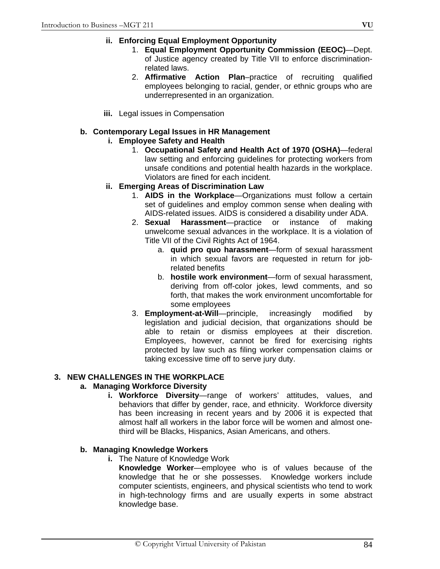### **ii. Enforcing Equal Employment Opportunity**

- 1. **Equal Employment Opportunity Commission (EEOC)**—Dept. of Justice agency created by Title VII to enforce discriminationrelated laws.
- 2. **Affirmative Action Plan**–practice of recruiting qualified employees belonging to racial, gender, or ethnic groups who are underrepresented in an organization.
- **iii.** Legal issues in Compensation

# **b. Contemporary Legal Issues in HR Management**

### **i. Employee Safety and Health**

- 1. **Occupational Safety and Health Act of 1970 (OSHA)**—federal law setting and enforcing guidelines for protecting workers from unsafe conditions and potential health hazards in the workplace. Violators are fined for each incident.
- **ii. Emerging Areas of Discrimination Law**
	- 1. **AIDS in the Workplace**—Organizations must follow a certain set of guidelines and employ common sense when dealing with AIDS-related issues. AIDS is considered a disability under ADA.
	- 2. **Sexual Harassment**—practice or instance of making unwelcome sexual advances in the workplace. It is a violation of Title VII of the Civil Rights Act of 1964.
		- a. **quid pro quo harassment**—form of sexual harassment in which sexual favors are requested in return for jobrelated benefits
		- b. **hostile work environment**—form of sexual harassment, deriving from off-color jokes, lewd comments, and so forth, that makes the work environment uncomfortable for some employees
	- 3. **Employment-at-Will**—principle, increasingly modified by legislation and judicial decision, that organizations should be able to retain or dismiss employees at their discretion. Employees, however, cannot be fired for exercising rights protected by law such as filing worker compensation claims or taking excessive time off to serve jury duty.

### **3. NEW CHALLENGES IN THE WORKPLACE**

# **a. Managing Workforce Diversity**

**i. Workforce Diversity**—range of workers' attitudes, values, and behaviors that differ by gender, race, and ethnicity. Workforce diversity has been increasing in recent years and by 2006 it is expected that almost half all workers in the labor force will be women and almost onethird will be Blacks, Hispanics, Asian Americans, and others.

### **b. Managing Knowledge Workers**

**i.** The Nature of Knowledge Work

**Knowledge Worker**—employee who is of values because of the knowledge that he or she possesses. Knowledge workers include computer scientists, engineers, and physical scientists who tend to work in high-technology firms and are usually experts in some abstract knowledge base.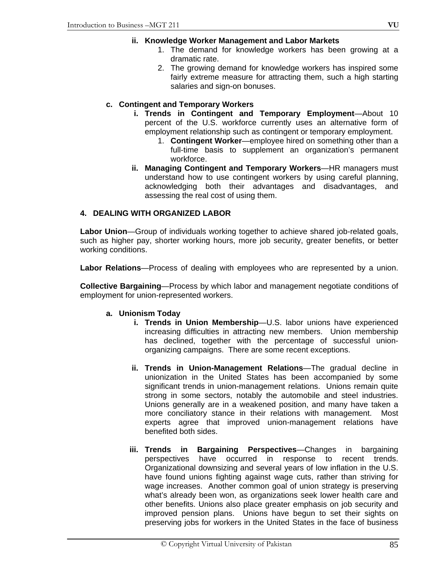### **ii. Knowledge Worker Management and Labor Markets**

- 1. The demand for knowledge workers has been growing at a dramatic rate.
- 2. The growing demand for knowledge workers has inspired some fairly extreme measure for attracting them, such a high starting salaries and sign-on bonuses.

# **c. Contingent and Temporary Workers**

- **i. Trends in Contingent and Temporary Employment**—About 10 percent of the U.S. workforce currently uses an alternative form of employment relationship such as contingent or temporary employment.
	- 1. **Contingent Worker**—employee hired on something other than a full-time basis to supplement an organization's permanent workforce.
- **ii. Managing Contingent and Temporary Workers**—HR managers must understand how to use contingent workers by using careful planning, acknowledging both their advantages and disadvantages, and assessing the real cost of using them.

## **4. DEALING WITH ORGANIZED LABOR**

**Labor Union**—Group of individuals working together to achieve shared job-related goals, such as higher pay, shorter working hours, more job security, greater benefits, or better working conditions.

**Labor Relations**—Process of dealing with employees who are represented by a union.

**Collective Bargaining**—Process by which labor and management negotiate conditions of employment for union-represented workers.

### **a. Unionism Today**

- **i. Trends in Union Membership**—U.S. labor unions have experienced increasing difficulties in attracting new members. Union membership has declined, together with the percentage of successful unionorganizing campaigns. There are some recent exceptions.
- **ii. Trends in Union-Management Relations**—The gradual decline in unionization in the United States has been accompanied by some significant trends in union-management relations. Unions remain quite strong in some sectors, notably the automobile and steel industries. Unions generally are in a weakened position, and many have taken a more conciliatory stance in their relations with management. Most experts agree that improved union-management relations have benefited both sides.
- **iii. Trends in Bargaining Perspectives**—Changes in bargaining perspectives have occurred in response to recent trends. Organizational downsizing and several years of low inflation in the U.S. have found unions fighting against wage cuts, rather than striving for wage increases. Another common goal of union strategy is preserving what's already been won, as organizations seek lower health care and other benefits. Unions also place greater emphasis on job security and improved pension plans. Unions have begun to set their sights on preserving jobs for workers in the United States in the face of business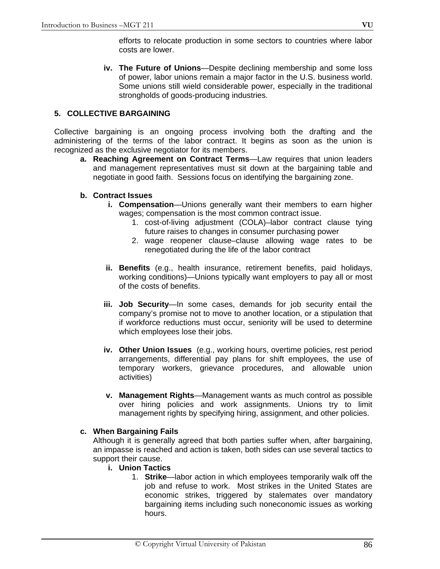efforts to relocate production in some sectors to countries where labor costs are lower.

**iv. The Future of Unions**—Despite declining membership and some loss of power, labor unions remain a major factor in the U.S. business world. Some unions still wield considerable power, especially in the traditional strongholds of goods-producing industries.

### **5. COLLECTIVE BARGAINING**

Collective bargaining is an ongoing process involving both the drafting and the administering of the terms of the labor contract. It begins as soon as the union is recognized as the exclusive negotiator for its members.

- **a. Reaching Agreement on Contract Terms**—Law requires that union leaders and management representatives must sit down at the bargaining table and negotiate in good faith. Sessions focus on identifying the bargaining zone.
- **b. Contract Issues**
	- **i. Compensation**—Unions generally want their members to earn higher wages; compensation is the most common contract issue.
		- 1. cost-of-living adjustment (COLA)–labor contract clause tying future raises to changes in consumer purchasing power
		- 2. wage reopener clause–clause allowing wage rates to be renegotiated during the life of the labor contract
	- **ii. Benefits** (e.g., health insurance, retirement benefits, paid holidays, working conditions)—Unions typically want employers to pay all or most of the costs of benefits.
	- **iii. Job Security**—In some cases, demands for job security entail the company's promise not to move to another location, or a stipulation that if workforce reductions must occur, seniority will be used to determine which employees lose their jobs.
	- **iv. Other Union Issues** (e.g., working hours, overtime policies, rest period arrangements, differential pay plans for shift employees, the use of temporary workers, grievance procedures, and allowable union activities)
	- **v. Management Rights**—Management wants as much control as possible over hiring policies and work assignments. Unions try to limit management rights by specifying hiring, assignment, and other policies.

### **c. When Bargaining Fails**

Although it is generally agreed that both parties suffer when, after bargaining, an impasse is reached and action is taken, both sides can use several tactics to support their cause.

- **i. Union Tactics**
	- 1. **Strike**—labor action in which employees temporarily walk off the job and refuse to work. Most strikes in the United States are economic strikes, triggered by stalemates over mandatory bargaining items including such noneconomic issues as working hours.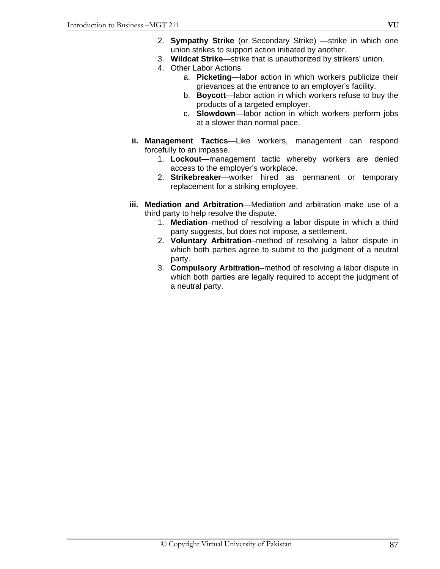- 2. **Sympathy Strike** (or Secondary Strike) —strike in which one union strikes to support action initiated by another.
- 3. **Wildcat Strike**—strike that is unauthorized by strikers' union.
- 4. Other Labor Actions
	- a. **Picketing**—labor action in which workers publicize their grievances at the entrance to an employer's facility.
	- b. **Boycott**—labor action in which workers refuse to buy the products of a targeted employer.
	- c. **Slowdown**—labor action in which workers perform jobs at a slower than normal pace.
- **ii. Management Tactics**—Like workers, management can respond forcefully to an impasse.
	- 1. **Lockout**—management tactic whereby workers are denied access to the employer's workplace.
	- 2. **Strikebreaker**—worker hired as permanent or temporary replacement for a striking employee.
- **iii. Mediation and Arbitration**—Mediation and arbitration make use of a third party to help resolve the dispute.
	- 1. **Mediation**–method of resolving a labor dispute in which a third party suggests, but does not impose, a settlement.
	- 2. **Voluntary Arbitration**–method of resolving a labor dispute in which both parties agree to submit to the judgment of a neutral party.
	- 3. **Compulsory Arbitration**–method of resolving a labor dispute in which both parties are legally required to accept the judgment of a neutral party.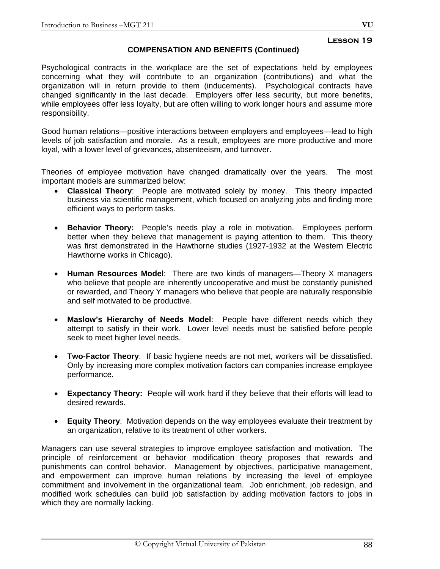### **COMPENSATION AND BENEFITS (Continued)**

Psychological contracts in the workplace are the set of expectations held by employees concerning what they will contribute to an organization (contributions) and what the organization will in return provide to them (inducements). Psychological contracts have changed significantly in the last decade. Employers offer less security, but more benefits, while employees offer less loyalty, but are often willing to work longer hours and assume more responsibility.

Good human relations—positive interactions between employers and employees—lead to high levels of job satisfaction and morale. As a result, employees are more productive and more loyal, with a lower level of grievances, absenteeism, and turnover.

Theories of employee motivation have changed dramatically over the years. The most important models are summarized below:

- **Classical Theory**: People are motivated solely by money. This theory impacted business via scientific management, which focused on analyzing jobs and finding more efficient ways to perform tasks.
- **Behavior Theory:** People's needs play a role in motivation. Employees perform better when they believe that management is paying attention to them. This theory was first demonstrated in the Hawthorne studies (1927-1932 at the Western Electric Hawthorne works in Chicago).
- **Human Resources Model**: There are two kinds of managers—Theory X managers who believe that people are inherently uncooperative and must be constantly punished or rewarded, and Theory Y managers who believe that people are naturally responsible and self motivated to be productive.
- **Maslow's Hierarchy of Needs Model**: People have different needs which they attempt to satisfy in their work. Lower level needs must be satisfied before people seek to meet higher level needs.
- **Two-Factor Theory**: If basic hygiene needs are not met, workers will be dissatisfied. Only by increasing more complex motivation factors can companies increase employee performance.
- **Expectancy Theory:** People will work hard if they believe that their efforts will lead to desired rewards.
- **Equity Theory**: Motivation depends on the way employees evaluate their treatment by an organization, relative to its treatment of other workers.

Managers can use several strategies to improve employee satisfaction and motivation. The principle of reinforcement or behavior modification theory proposes that rewards and punishments can control behavior. Management by objectives, participative management, and empowerment can improve human relations by increasing the level of employee commitment and involvement in the organizational team. Job enrichment, job redesign, and modified work schedules can build job satisfaction by adding motivation factors to jobs in which they are normally lacking.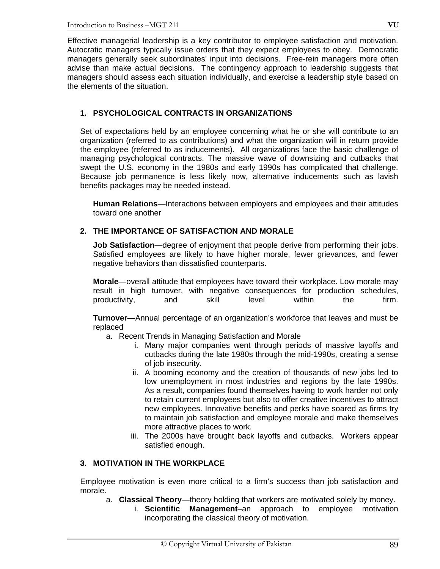Effective managerial leadership is a key contributor to employee satisfaction and motivation. Autocratic managers typically issue orders that they expect employees to obey. Democratic managers generally seek subordinates' input into decisions. Free-rein managers more often advise than make actual decisions. The contingency approach to leadership suggests that managers should assess each situation individually, and exercise a leadership style based on the elements of the situation.

# **1. PSYCHOLOGICAL CONTRACTS IN ORGANIZATIONS**

Set of expectations held by an employee concerning what he or she will contribute to an organization (referred to as contributions) and what the organization will in return provide the employee (referred to as inducements). All organizations face the basic challenge of managing psychological contracts. The massive wave of downsizing and cutbacks that swept the U.S. economy in the 1980s and early 1990s has complicated that challenge. Because job permanence is less likely now, alternative inducements such as lavish benefits packages may be needed instead.

**Human Relations**—Interactions between employers and employees and their attitudes toward one another

# **2. THE IMPORTANCE OF SATISFACTION AND MORALE**

**Job Satisfaction**—degree of enjoyment that people derive from performing their jobs. Satisfied employees are likely to have higher morale, fewer grievances, and fewer negative behaviors than dissatisfied counterparts.

**Morale**—overall attitude that employees have toward their workplace. Low morale may result in high turnover, with negative consequences for production schedules, productivity, and skill level within the firm.

**Turnover**—Annual percentage of an organization's workforce that leaves and must be replaced

- a. Recent Trends in Managing Satisfaction and Morale
	- i. Many major companies went through periods of massive layoffs and cutbacks during the late 1980s through the mid-1990s, creating a sense of job insecurity.
	- ii. A booming economy and the creation of thousands of new jobs led to low unemployment in most industries and regions by the late 1990s. As a result, companies found themselves having to work harder not only to retain current employees but also to offer creative incentives to attract new employees. Innovative benefits and perks have soared as firms try to maintain job satisfaction and employee morale and make themselves more attractive places to work.
	- iii. The 2000s have brought back layoffs and cutbacks. Workers appear satisfied enough.

# **3. MOTIVATION IN THE WORKPLACE**

Employee motivation is even more critical to a firm's success than job satisfaction and morale.

- a. **Classical Theory**—theory holding that workers are motivated solely by money.
	- i. **Scientific Management**–an approach to employee motivation incorporating the classical theory of motivation.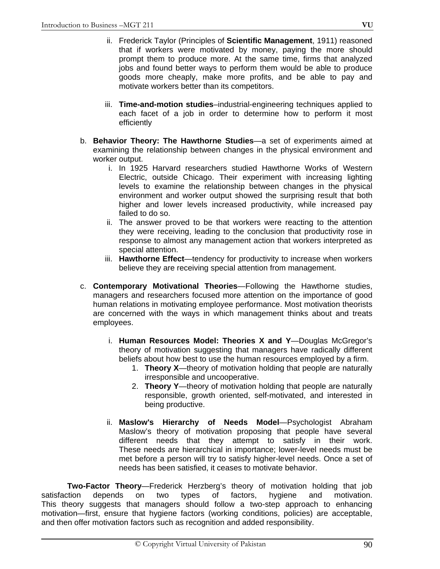- ii. Frederick Taylor (Principles of **Scientific Management**, 1911) reasoned that if workers were motivated by money, paying the more should prompt them to produce more. At the same time, firms that analyzed jobs and found better ways to perform them would be able to produce goods more cheaply, make more profits, and be able to pay and motivate workers better than its competitors.
- iii. **Time-and-motion studies**–industrial-engineering techniques applied to each facet of a job in order to determine how to perform it most efficiently
- b. **Behavior Theory: The Hawthorne Studies**—a set of experiments aimed at examining the relationship between changes in the physical environment and worker output.
	- i. In 1925 Harvard researchers studied Hawthorne Works of Western Electric, outside Chicago. Their experiment with increasing lighting levels to examine the relationship between changes in the physical environment and worker output showed the surprising result that both higher and lower levels increased productivity, while increased pay failed to do so.
	- ii. The answer proved to be that workers were reacting to the attention they were receiving, leading to the conclusion that productivity rose in response to almost any management action that workers interpreted as special attention.
	- iii. **Hawthorne Effect**—tendency for productivity to increase when workers believe they are receiving special attention from management.
- c. **Contemporary Motivational Theories**—Following the Hawthorne studies, managers and researchers focused more attention on the importance of good human relations in motivating employee performance. Most motivation theorists are concerned with the ways in which management thinks about and treats employees.
	- i. **Human Resources Model: Theories X and Y**—Douglas McGregor's theory of motivation suggesting that managers have radically different beliefs about how best to use the human resources employed by a firm.
		- 1. **Theory X**—theory of motivation holding that people are naturally irresponsible and uncooperative.
		- 2. **Theory Y**—theory of motivation holding that people are naturally responsible, growth oriented, self-motivated, and interested in being productive.
	- ii. **Maslow's Hierarchy of Needs Model**—Psychologist Abraham Maslow's theory of motivation proposing that people have several different needs that they attempt to satisfy in their work. These needs are hierarchical in importance; lower-level needs must be met before a person will try to satisfy higher-level needs. Once a set of needs has been satisfied, it ceases to motivate behavior.

**Two-Factor Theory**—Frederick Herzberg's theory of motivation holding that job satisfaction depends on two types of factors, hygiene and motivation. This theory suggests that managers should follow a two-step approach to enhancing motivation—first, ensure that hygiene factors (working conditions, policies) are acceptable, and then offer motivation factors such as recognition and added responsibility.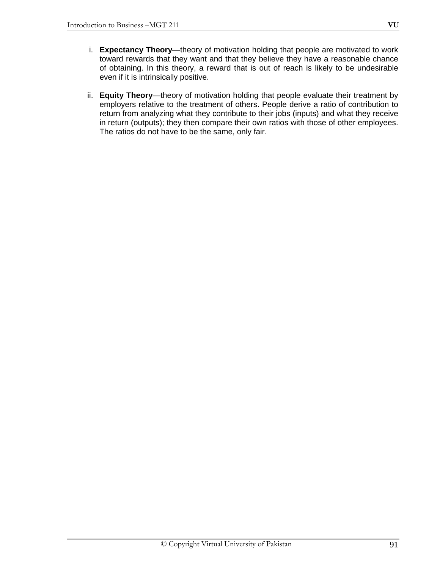- i. **Expectancy Theory**—theory of motivation holding that people are motivated to work toward rewards that they want and that they believe they have a reasonable chance of obtaining. In this theory, a reward that is out of reach is likely to be undesirable even if it is intrinsically positive.
- ii. **Equity Theory**—theory of motivation holding that people evaluate their treatment by employers relative to the treatment of others. People derive a ratio of contribution to return from analyzing what they contribute to their jobs (inputs) and what they receive in return (outputs); they then compare their own ratios with those of other employees. The ratios do not have to be the same, only fair.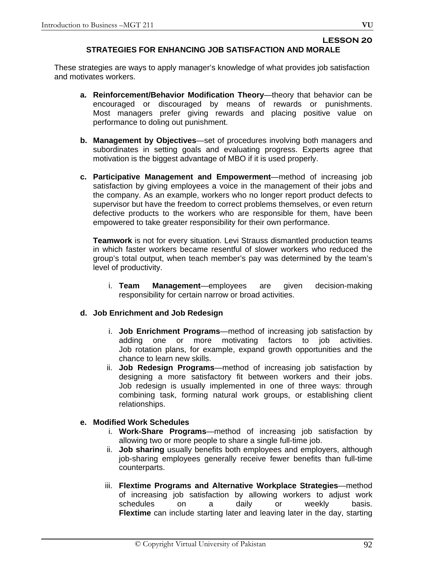#### **LESSON 20 STRATEGIES FOR ENHANCING JOB SATISFACTION AND MORALE**

These strategies are ways to apply manager's knowledge of what provides job satisfaction and motivates workers.

- **a. Reinforcement/Behavior Modification Theory**—theory that behavior can be encouraged or discouraged by means of rewards or punishments. Most managers prefer giving rewards and placing positive value on performance to doling out punishment.
- **b. Management by Objectives**—set of procedures involving both managers and subordinates in setting goals and evaluating progress. Experts agree that motivation is the biggest advantage of MBO if it is used properly.
- **c. Participative Management and Empowerment**—method of increasing job satisfaction by giving employees a voice in the management of their jobs and the company. As an example, workers who no longer report product defects to supervisor but have the freedom to correct problems themselves, or even return defective products to the workers who are responsible for them, have been empowered to take greater responsibility for their own performance.

**Teamwork** is not for every situation. Levi Strauss dismantled production teams in which faster workers became resentful of slower workers who reduced the group's total output, when teach member's pay was determined by the team's level of productivity.

i. **Team Management**—employees are given decision-making responsibility for certain narrow or broad activities.

### **d. Job Enrichment and Job Redesign**

- i. **Job Enrichment Programs**—method of increasing job satisfaction by adding one or more motivating factors to job activities. Job rotation plans, for example, expand growth opportunities and the chance to learn new skills.
- ii. **Job Redesign Programs**—method of increasing job satisfaction by designing a more satisfactory fit between workers and their jobs. Job redesign is usually implemented in one of three ways: through combining task, forming natural work groups, or establishing client relationships.

### **e. Modified Work Schedules**

- i. **Work-Share Programs**—method of increasing job satisfaction by allowing two or more people to share a single full-time job.
- ii. **Job sharing** usually benefits both employees and employers, although job-sharing employees generally receive fewer benefits than full-time counterparts.
- iii. **Flextime Programs and Alternative Workplace Strategies**—method of increasing job satisfaction by allowing workers to adjust work schedules on a daily or weekly basis. **Flextime** can include starting later and leaving later in the day, starting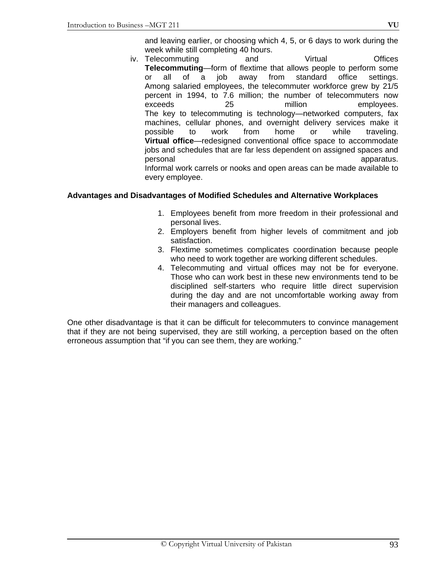and leaving earlier, or choosing which 4, 5, or 6 days to work during the week while still completing 40 hours.

iv. Telecommuting and Virtual Offices **Telecommuting**—form of flextime that allows people to perform some or all of a job away from standard office settings. Among salaried employees, the telecommuter workforce grew by 21/5 percent in 1994, to 7.6 million; the number of telecommuters now exceeds 25 million employees. The key to telecommuting is technology—networked computers, fax machines, cellular phones, and overnight delivery services make it possible to work from home or while traveling. **Virtual office**—redesigned conventional office space to accommodate jobs and schedules that are far less dependent on assigned spaces and personal apparatus. Informal work carrels or nooks and open areas can be made available to every employee.

### **Advantages and Disadvantages of Modified Schedules and Alternative Workplaces**

- 1. Employees benefit from more freedom in their professional and personal lives.
- 2. Employers benefit from higher levels of commitment and job satisfaction.
- 3. Flextime sometimes complicates coordination because people who need to work together are working different schedules.
- 4. Telecommuting and virtual offices may not be for everyone. Those who can work best in these new environments tend to be disciplined self-starters who require little direct supervision during the day and are not uncomfortable working away from their managers and colleagues.

One other disadvantage is that it can be difficult for telecommuters to convince management that if they are not being supervised, they are still working, a perception based on the often erroneous assumption that "if you can see them, they are working."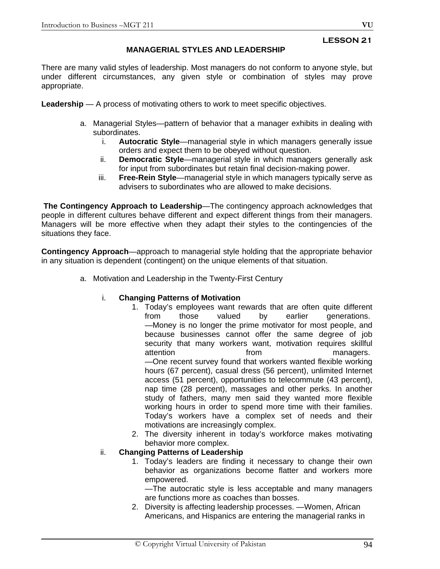#### **MANAGERIAL STYLES AND LEADERSHIP**

There are many valid styles of leadership. Most managers do not conform to anyone style, but under different circumstances, any given style or combination of styles may prove appropriate.

**Leadership** — A process of motivating others to work to meet specific objectives.

- a. Managerial Styles—pattern of behavior that a manager exhibits in dealing with subordinates.
	- i. **Autocratic Style**—managerial style in which managers generally issue orders and expect them to be obeyed without question.
	- ii. **Democratic Style**—managerial style in which managers generally ask for input from subordinates but retain final decision-making power.
	- iii. **Free-Rein Style**—managerial style in which managers typically serve as advisers to subordinates who are allowed to make decisions.

**The Contingency Approach to Leadership**—The contingency approach acknowledges that people in different cultures behave different and expect different things from their managers. Managers will be more effective when they adapt their styles to the contingencies of the situations they face.

**Contingency Approach**—approach to managerial style holding that the appropriate behavior in any situation is dependent (contingent) on the unique elements of that situation.

a. Motivation and Leadership in the Twenty-First Century

#### i. **Changing Patterns of Motivation**

- 1. Today's employees want rewards that are often quite different from those valued by earlier generations. —Money is no longer the prime motivator for most people, and because businesses cannot offer the same degree of job security that many workers want, motivation requires skillful attention **from managers**. —One recent survey found that workers wanted flexible working hours (67 percent), casual dress (56 percent), unlimited Internet access (51 percent), opportunities to telecommute (43 percent), nap time (28 percent), massages and other perks. In another study of fathers, many men said they wanted more flexible working hours in order to spend more time with their families. Today's workers have a complex set of needs and their motivations are increasingly complex.
- 2. The diversity inherent in today's workforce makes motivating behavior more complex.

### ii. **Changing Patterns of Leadership**

1. Today's leaders are finding it necessary to change their own behavior as organizations become flatter and workers more empowered.

—The autocratic style is less acceptable and many managers are functions more as coaches than bosses.

2. Diversity is affecting leadership processes. —Women, African Americans, and Hispanics are entering the managerial ranks in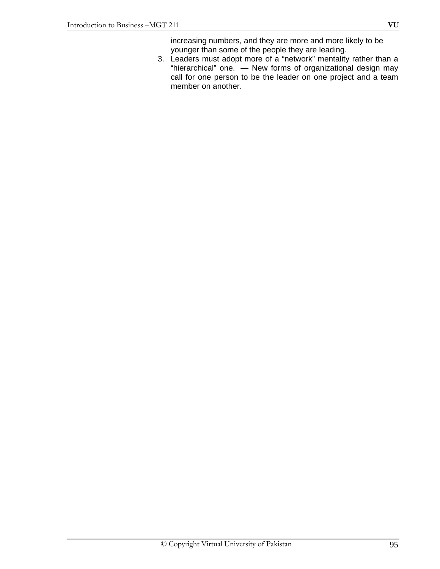increasing numbers, and they are more and more likely to be younger than some of the people they are leading.

3. Leaders must adopt more of a "network" mentality rather than a "hierarchical" one. — New forms of organizational design may call for one person to be the leader on one project and a team member on another.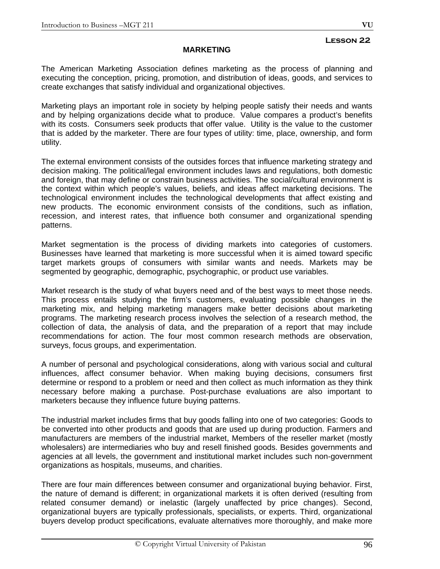### **MARKETING**

The American Marketing Association defines marketing as the process of planning and executing the conception, pricing, promotion, and distribution of ideas, goods, and services to create exchanges that satisfy individual and organizational objectives.

Marketing plays an important role in society by helping people satisfy their needs and wants and by helping organizations decide what to produce. Value compares a product's benefits with its costs. Consumers seek products that offer value. Utility is the value to the customer that is added by the marketer. There are four types of utility: time, place, ownership, and form utility.

The external environment consists of the outsides forces that influence marketing strategy and decision making. The political/legal environment includes laws and regulations, both domestic and foreign, that may define or constrain business activities. The social/cultural environment is the context within which people's values, beliefs, and ideas affect marketing decisions. The technological environment includes the technological developments that affect existing and new products. The economic environment consists of the conditions, such as inflation, recession, and interest rates, that influence both consumer and organizational spending patterns.

Market segmentation is the process of dividing markets into categories of customers. Businesses have learned that marketing is more successful when it is aimed toward specific target markets groups of consumers with similar wants and needs. Markets may be segmented by geographic, demographic, psychographic, or product use variables.

Market research is the study of what buyers need and of the best ways to meet those needs. This process entails studying the firm's customers, evaluating possible changes in the marketing mix, and helping marketing managers make better decisions about marketing programs. The marketing research process involves the selection of a research method, the collection of data, the analysis of data, and the preparation of a report that may include recommendations for action. The four most common research methods are observation, surveys, focus groups, and experimentation.

A number of personal and psychological considerations, along with various social and cultural influences, affect consumer behavior. When making buying decisions, consumers first determine or respond to a problem or need and then collect as much information as they think necessary before making a purchase. Post-purchase evaluations are also important to marketers because they influence future buying patterns.

The industrial market includes firms that buy goods falling into one of two categories: Goods to be converted into other products and goods that are used up during production. Farmers and manufacturers are members of the industrial market, Members of the reseller market (mostly wholesalers) are intermediaries who buy and resell finished goods. Besides governments and agencies at all levels, the government and institutional market includes such non-government organizations as hospitals, museums, and charities.

There are four main differences between consumer and organizational buying behavior. First, the nature of demand is different; in organizational markets it is often derived (resulting from related consumer demand) or inelastic (largely unaffected by price changes). Second, organizational buyers are typically professionals, specialists, or experts. Third, organizational buyers develop product specifications, evaluate alternatives more thoroughly, and make more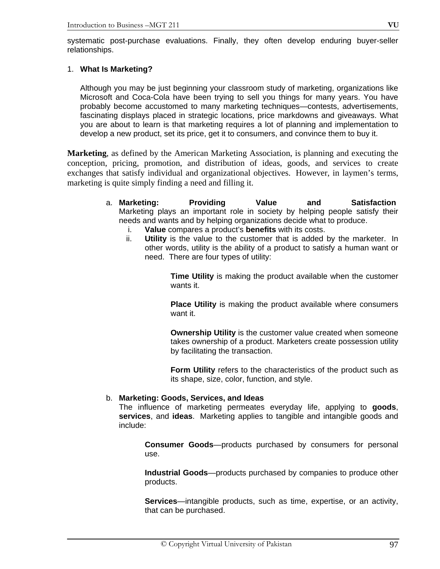systematic post-purchase evaluations. Finally, they often develop enduring buyer-seller relationships.

### 1. **What Is Marketing?**

 Although you may be just beginning your classroom study of marketing, organizations like Microsoft and Coca-Cola have been trying to sell you things for many years. You have probably become accustomed to many marketing techniques—contests, advertisements, fascinating displays placed in strategic locations, price markdowns and giveaways. What you are about to learn is that marketing requires a lot of planning and implementation to develop a new product, set its price, get it to consumers, and convince them to buy it.

**Marketing**, as defined by the American Marketing Association, is planning and executing the conception, pricing, promotion, and distribution of ideas, goods, and services to create exchanges that satisfy individual and organizational objectives. However, in laymen's terms, marketing is quite simply finding a need and filling it.

- a. **Marketing: Providing Value and Satisfaction**  Marketing plays an important role in society by helping people satisfy their needs and wants and by helping organizations decide what to produce.
	- i. **Value** compares a product's **benefits** with its costs.
	- ii. **Utility** is the value to the customer that is added by the marketer. In other words, utility is the ability of a product to satisfy a human want or need. There are four types of utility:

**Time Utility** is making the product available when the customer wants it.

**Place Utility** is making the product available where consumers want it.

**Ownership Utility** is the customer value created when someone takes ownership of a product. Marketers create possession utility by facilitating the transaction.

**Form Utility** refers to the characteristics of the product such as its shape, size, color, function, and style.

### b. **Marketing: Goods, Services, and Ideas**

The influence of marketing permeates everyday life, applying to **goods**, **services**, and **ideas**. Marketing applies to tangible and intangible goods and include:

**Consumer Goods**—products purchased by consumers for personal use.

**Industrial Goods**—products purchased by companies to produce other products.

**Services**—intangible products, such as time, expertise, or an activity, that can be purchased.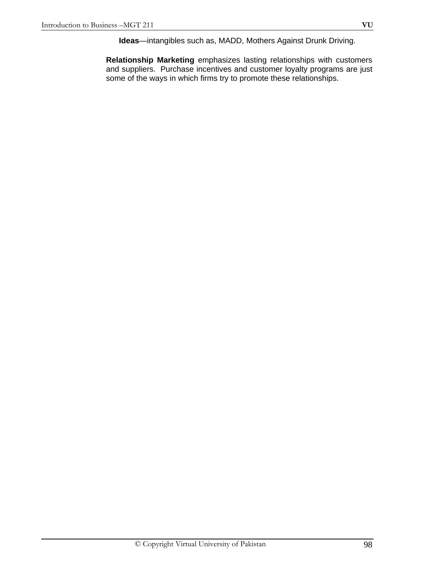**Ideas**—intangibles such as, MADD, Mothers Against Drunk Driving.

**Relationship Marketing** emphasizes lasting relationships with customers and suppliers. Purchase incentives and customer loyalty programs are just some of the ways in which firms try to promote these relationships.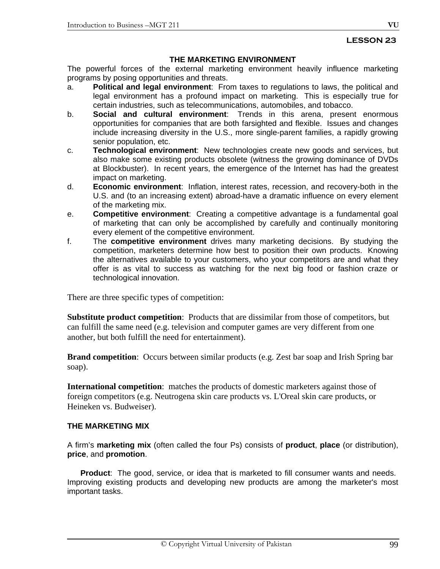#### **THE MARKETING ENVIRONMENT**

The powerful forces of the external marketing environment heavily influence marketing programs by posing opportunities and threats.

- a. **Political and legal environment**: From taxes to regulations to laws, the political and legal environment has a profound impact on marketing. This is especially true for certain industries, such as telecommunications, automobiles, and tobacco.
- b. **Social and cultural environment**: Trends in this arena, present enormous opportunities for companies that are both farsighted and flexible. Issues and changes include increasing diversity in the U.S., more single-parent families, a rapidly growing senior population, etc.
- c. **Technological environment**: New technologies create new goods and services, but also make some existing products obsolete (witness the growing dominance of DVDs at Blockbuster). In recent years, the emergence of the Internet has had the greatest impact on marketing.
- d. **Economic environment**: Inflation, interest rates, recession, and recovery-both in the U.S. and (to an increasing extent) abroad-have a dramatic influence on every element of the marketing mix.
- e. **Competitive environment**: Creating a competitive advantage is a fundamental goal of marketing that can only be accomplished by carefully and continually monitoring every element of the competitive environment.
- f. The **competitive environment** drives many marketing decisions. By studying the competition, marketers determine how best to position their own products. Knowing the alternatives available to your customers, who your competitors are and what they offer is as vital to success as watching for the next big food or fashion craze or technological innovation.

There are three specific types of competition:

**Substitute product competition**: Products that are dissimilar from those of competitors, but can fulfill the same need (e.g. television and computer games are very different from one another, but both fulfill the need for entertainment).

**Brand competition**: Occurs between similar products (e.g. Zest bar soap and Irish Spring bar soap).

**International competition**: matches the products of domestic marketers against those of foreign competitors (e.g. Neutrogena skin care products vs. L'Oreal skin care products, or Heineken vs. Budweiser).

### **THE MARKETING MIX**

A firm's **marketing mix** (often called the four Ps) consists of **product**, **place** (or distribution), **price**, and **promotion**.

 **Product**: The good, service, or idea that is marketed to fill consumer wants and needs. Improving existing products and developing new products are among the marketer's most important tasks.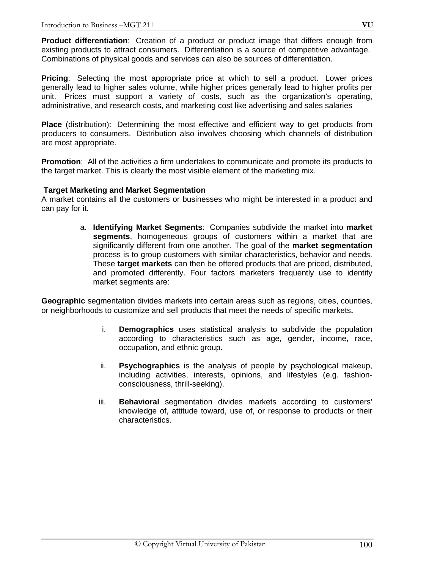**Product differentiation**: Creation of a product or product image that differs enough from existing products to attract consumers. Differentiation is a source of competitive advantage. Combinations of physical goods and services can also be sources of differentiation.

**Pricing**: Selecting the most appropriate price at which to sell a product. Lower prices generally lead to higher sales volume, while higher prices generally lead to higher profits per unit. Prices must support a variety of costs, such as the organization's operating, administrative, and research costs, and marketing cost like advertising and sales salaries

**Place** (distribution): Determining the most effective and efficient way to get products from producers to consumers. Distribution also involves choosing which channels of distribution are most appropriate.

**Promotion:** All of the activities a firm undertakes to communicate and promote its products to the target market. This is clearly the most visible element of the marketing mix.

#### **Target Marketing and Market Segmentation**

A market contains all the customers or businesses who might be interested in a product and can pay for it.

> a. **Identifying Market Segments**: Companies subdivide the market into **market segments**, homogeneous groups of customers within a market that are significantly different from one another. The goal of the **market segmentation** process is to group customers with similar characteristics, behavior and needs. These **target markets** can then be offered products that are priced, distributed, and promoted differently. Four factors marketers frequently use to identify market segments are:

**Geographic** segmentation divides markets into certain areas such as regions, cities, counties, or neighborhoods to customize and sell products that meet the needs of specific markets**.**

- i. **Demographics** uses statistical analysis to subdivide the population according to characteristics such as age, gender, income, race, occupation, and ethnic group.
- ii. **Psychographics** is the analysis of people by psychological makeup, including activities, interests, opinions, and lifestyles (e.g. fashionconsciousness, thrill-seeking).
- iii. **Behavioral** segmentation divides markets according to customers' knowledge of, attitude toward, use of, or response to products or their characteristics.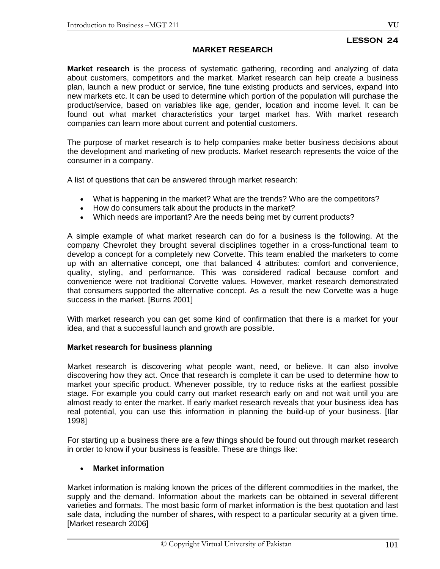#### **MARKET RESEARCH**

**Market research** is the process of systematic gathering, recording and analyzing of data about customers, competitors and the market. Market research can help create a business plan, launch a new product or service, fine tune existing products and services, expand into new markets etc. It can be used to determine which portion of the population will purchase the product/service, based on variables like age, gender, location and income level. It can be found out what market characteristics your target market has. With market research companies can learn more about current and potential customers.

The purpose of market research is to help companies make better business decisions about the development and marketing of new products. Market research represents the voice of the consumer in a company.

A list of questions that can be answered through market research:

- What is happening in the market? What are the trends? Who are the competitors?
- How do consumers talk about the products in the market?
- Which needs are important? Are the needs being met by current products?

A simple example of what market research can do for a business is the following. At the company Chevrolet they brought several disciplines together in a cross-functional team to develop a concept for a completely new Corvette. This team enabled the marketers to come up with an alternative concept, one that balanced 4 attributes: comfort and convenience, quality, styling, and performance. This was considered radical because comfort and convenience were not traditional Corvette values. However, market research demonstrated that consumers supported the alternative concept. As a result the new Corvette was a huge success in the market. [Burns 2001]

With market research you can get some kind of confirmation that there is a market for your idea, and that a successful launch and growth are possible.

### **Market research for business planning**

Market research is discovering what people want, need, or believe. It can also involve discovering how they act. Once that research is complete it can be used to determine how to market your specific product. Whenever possible, try to reduce risks at the earliest possible stage. For example you could carry out market research early on and not wait until you are almost ready to enter the market. If early market research reveals that your business idea has real potential, you can use this information in planning the build-up of your business. [Ilar 1998]

For starting up a business there are a few things should be found out through market research in order to know if your business is feasible. These are things like:

### • **Market information**

Market information is making known the prices of the different commodities in the market, the supply and the demand. Information about the markets can be obtained in several different varieties and formats. The most basic form of market information is the best quotation and last sale data, including the number of shares, with respect to a particular security at a given time. [Market research 2006]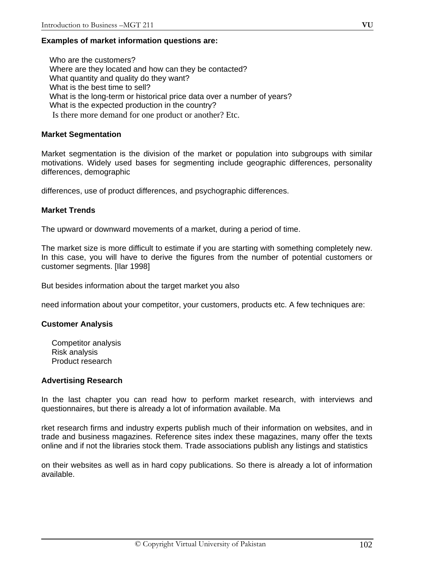### **Examples of market information questions are:**

 Who are the customers? Where are they located and how can they be contacted? What quantity and quality do they want? What is the best time to sell? What is the long-term or historical price data over a number of years? What is the expected production in the country? Is there more demand for one product or another? Etc.

#### **Market Segmentation**

Market segmentation is the division of the market or population into subgroups with similar motivations. Widely used bases for segmenting include geographic differences, personality differences, demographic

differences, use of product differences, and psychographic differences.

#### **Market Trends**

The upward or downward movements of a market, during a period of time.

The market size is more difficult to estimate if you are starting with something completely new. In this case, you will have to derive the figures from the number of potential customers or customer segments. [Ilar 1998]

But besides information about the target market you also

need information about your competitor, your customers, products etc. A few techniques are:

#### **Customer Analysis**

 Competitor analysis Risk analysis Product research

#### **Advertising Research**

In the last chapter you can read how to perform market research, with interviews and questionnaires, but there is already a lot of information available. Ma

rket research firms and industry experts publish much of their information on websites, and in trade and business magazines. Reference sites index these magazines, many offer the texts online and if not the libraries stock them. Trade associations publish any listings and statistics

on their websites as well as in hard copy publications. So there is already a lot of information available.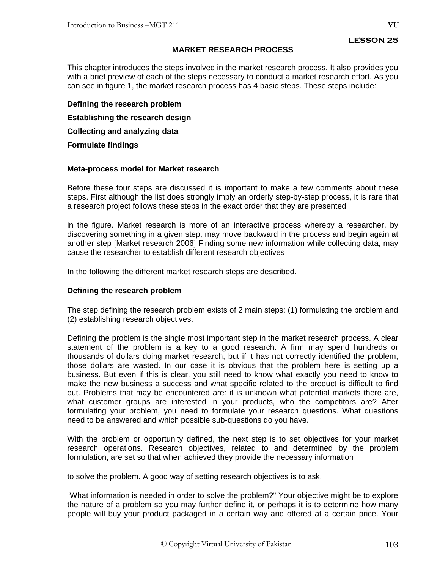## **MARKET RESEARCH PROCESS**

This chapter introduces the steps involved in the market research process. It also provides you with a brief preview of each of the steps necessary to conduct a market research effort. As you can see in figure 1, the market research process has 4 basic steps. These steps include:

**Defining the research problem** 

**Establishing the research design** 

**Collecting and analyzing data** 

**Formulate findings** 

#### **Meta-process model for Market research**

Before these four steps are discussed it is important to make a few comments about these steps. First although the list does strongly imply an orderly step-by-step process, it is rare that a research project follows these steps in the exact order that they are presented

in the figure. Market research is more of an interactive process whereby a researcher, by discovering something in a given step, may move backward in the process and begin again at another step [Market research 2006] Finding some new information while collecting data, may cause the researcher to establish different research objectives

In the following the different market research steps are described.

### **Defining the research problem**

The step defining the research problem exists of 2 main steps: (1) formulating the problem and (2) establishing research objectives.

Defining the problem is the single most important step in the market research process. A clear statement of the problem is a key to a good research. A firm may spend hundreds or thousands of dollars doing market research, but if it has not correctly identified the problem, those dollars are wasted. In our case it is obvious that the problem here is setting up a business. But even if this is clear, you still need to know what exactly you need to know to make the new business a success and what specific related to the product is difficult to find out. Problems that may be encountered are: it is unknown what potential markets there are, what customer groups are interested in your products, who the competitors are? After formulating your problem, you need to formulate your research questions. What questions need to be answered and which possible sub-questions do you have.

With the problem or opportunity defined, the next step is to set objectives for your market research operations. Research objectives, related to and determined by the problem formulation, are set so that when achieved they provide the necessary information

to solve the problem. A good way of setting research objectives is to ask,

"What information is needed in order to solve the problem?" Your objective might be to explore the nature of a problem so you may further define it, or perhaps it is to determine how many people will buy your product packaged in a certain way and offered at a certain price. Your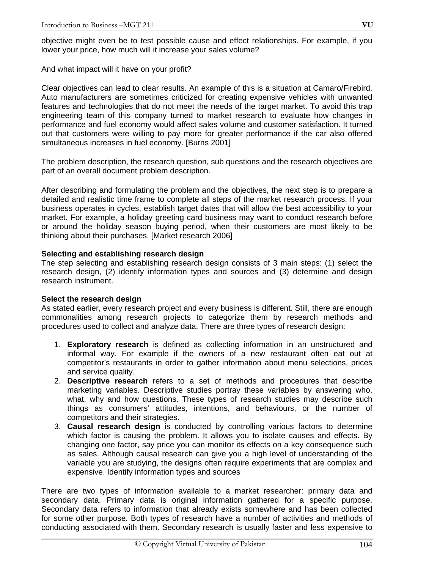objective might even be to test possible cause and effect relationships. For example, if you lower your price, how much will it increase your sales volume?

And what impact will it have on your profit?

Clear objectives can lead to clear results. An example of this is a situation at Camaro/Firebird. Auto manufacturers are sometimes criticized for creating expensive vehicles with unwanted features and technologies that do not meet the needs of the target market. To avoid this trap engineering team of this company turned to market research to evaluate how changes in performance and fuel economy would affect sales volume and customer satisfaction. It turned out that customers were willing to pay more for greater performance if the car also offered simultaneous increases in fuel economy. [Burns 2001]

The problem description, the research question, sub questions and the research objectives are part of an overall document problem description.

After describing and formulating the problem and the objectives, the next step is to prepare a detailed and realistic time frame to complete all steps of the market research process. If your business operates in cycles, establish target dates that will allow the best accessibility to your market. For example, a holiday greeting card business may want to conduct research before or around the holiday season buying period, when their customers are most likely to be thinking about their purchases. [Market research 2006]

#### **Selecting and establishing research design**

The step selecting and establishing research design consists of 3 main steps: (1) select the research design, (2) identify information types and sources and (3) determine and design research instrument.

#### **Select the research design**

As stated earlier, every research project and every business is different. Still, there are enough commonalities among research projects to categorize them by research methods and procedures used to collect and analyze data. There are three types of research design:

- 1. **Exploratory research** is defined as collecting information in an unstructured and informal way. For example if the owners of a new restaurant often eat out at competitor's restaurants in order to gather information about menu selections, prices and service quality.
- 2. **Descriptive research** refers to a set of methods and procedures that describe marketing variables. Descriptive studies portray these variables by answering who, what, why and how questions. These types of research studies may describe such things as consumers' attitudes, intentions, and behaviours, or the number of competitors and their strategies.
- 3. **Causal research design** is conducted by controlling various factors to determine which factor is causing the problem. It allows you to isolate causes and effects. By changing one factor, say price you can monitor its effects on a key consequence such as sales. Although causal research can give you a high level of understanding of the variable you are studying, the designs often require experiments that are complex and expensive. Identify information types and sources

There are two types of information available to a market researcher: primary data and secondary data. Primary data is original information gathered for a specific purpose. Secondary data refers to information that already exists somewhere and has been collected for some other purpose. Both types of research have a number of activities and methods of conducting associated with them. Secondary research is usually faster and less expensive to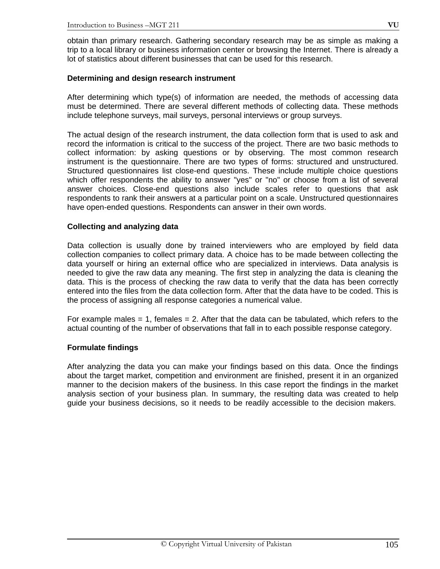obtain than primary research. Gathering secondary research may be as simple as making a trip to a local library or business information center or browsing the Internet. There is already a lot of statistics about different businesses that can be used for this research.

#### **Determining and design research instrument**

After determining which type(s) of information are needed, the methods of accessing data must be determined. There are several different methods of collecting data. These methods include telephone surveys, mail surveys, personal interviews or group surveys.

The actual design of the research instrument, the data collection form that is used to ask and record the information is critical to the success of the project. There are two basic methods to collect information: by asking questions or by observing. The most common research instrument is the questionnaire. There are two types of forms: structured and unstructured. Structured questionnaires list close-end questions. These include multiple choice questions which offer respondents the ability to answer "yes" or "no" or choose from a list of several answer choices. Close-end questions also include scales refer to questions that ask respondents to rank their answers at a particular point on a scale. Unstructured questionnaires have open-ended questions. Respondents can answer in their own words.

#### **Collecting and analyzing data**

Data collection is usually done by trained interviewers who are employed by field data collection companies to collect primary data. A choice has to be made between collecting the data yourself or hiring an external office who are specialized in interviews. Data analysis is needed to give the raw data any meaning. The first step in analyzing the data is cleaning the data. This is the process of checking the raw data to verify that the data has been correctly entered into the files from the data collection form. After that the data have to be coded. This is the process of assigning all response categories a numerical value.

For example males  $= 1$ , females  $= 2$ . After that the data can be tabulated, which refers to the actual counting of the number of observations that fall in to each possible response category.

### **Formulate findings**

After analyzing the data you can make your findings based on this data. Once the findings about the target market, competition and environment are finished, present it in an organized manner to the decision makers of the business. In this case report the findings in the market analysis section of your business plan. In summary, the resulting data was created to help guide your business decisions, so it needs to be readily accessible to the decision makers.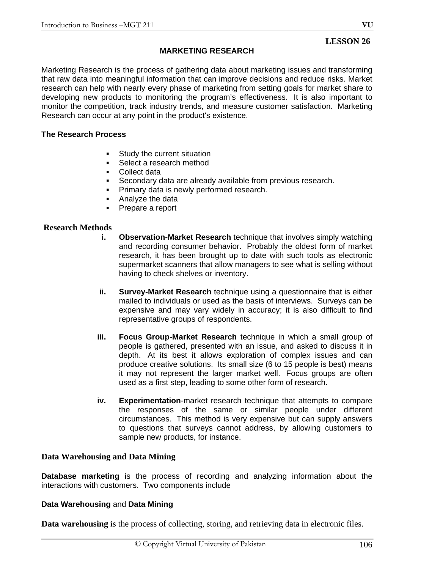## **MARKETING RESEARCH**

Marketing Research is the process of gathering data about marketing issues and transforming that raw data into meaningful information that can improve decisions and reduce risks. Market research can help with nearly every phase of marketing from setting goals for market share to developing new products to monitoring the program's effectiveness. It is also important to monitor the competition, track industry trends, and measure customer satisfaction. Marketing Research can occur at any point in the product's existence.

### **The Research Process**

- Study the current situation
- **Select a research method**
- Collect data
- Secondary data are already available from previous research.
- **Primary data is newly performed research.**
- Analyze the data
- **Prepare a report**

### **Research Methods**

- **i.** Observation-Market Research technique that involves simply watching and recording consumer behavior. Probably the oldest form of market research, it has been brought up to date with such tools as electronic supermarket scanners that allow managers to see what is selling without having to check shelves or inventory.
- **ii. Survey-Market Research** technique using a questionnaire that is either mailed to individuals or used as the basis of interviews. Surveys can be expensive and may vary widely in accuracy; it is also difficult to find representative groups of respondents.
- **iii. Focus Group**-**Market Research** technique in which a small group of people is gathered, presented with an issue, and asked to discuss it in depth. At its best it allows exploration of complex issues and can produce creative solutions. Its small size (6 to 15 people is best) means it may not represent the larger market well. Focus groups are often used as a first step, leading to some other form of research.
- **iv. Experimentation**-market research technique that attempts to compare the responses of the same or similar people under different circumstances. This method is very expensive but can supply answers to questions that surveys cannot address, by allowing customers to sample new products, for instance.

### **Data Warehousing and Data Mining**

**Database marketing** is the process of recording and analyzing information about the interactions with customers. Two components include

### **Data Warehousing** and **Data Mining**

**Data warehousing** is the process of collecting, storing, and retrieving data in electronic files.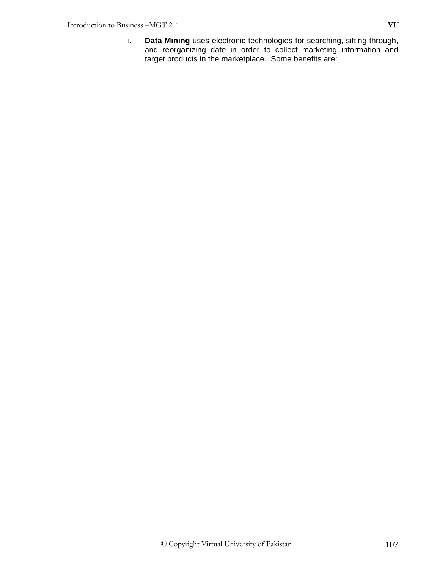i. **Data Mining** uses electronic technologies for searching, sifting through, and reorganizing date in order to collect marketing information and target products in the marketplace. Some benefits are: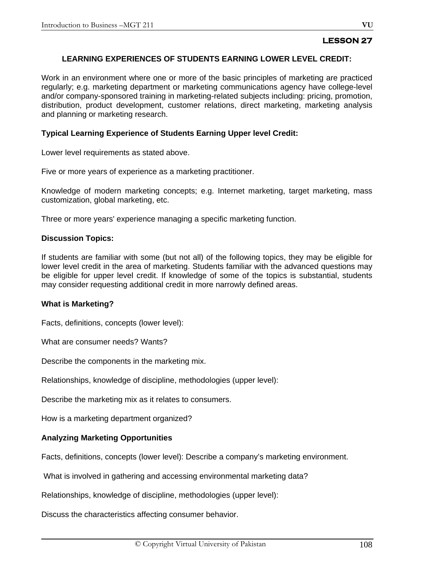### **LEARNING EXPERIENCES OF STUDENTS EARNING LOWER LEVEL CREDIT:**

Work in an environment where one or more of the basic principles of marketing are practiced regularly; e.g. marketing department or marketing communications agency have college-level and/or company-sponsored training in marketing-related subjects including: pricing, promotion, distribution, product development, customer relations, direct marketing, marketing analysis and planning or marketing research.

#### **Typical Learning Experience of Students Earning Upper level Credit:**

Lower level requirements as stated above.

Five or more years of experience as a marketing practitioner.

Knowledge of modern marketing concepts; e.g. Internet marketing, target marketing, mass customization, global marketing, etc.

Three or more years' experience managing a specific marketing function.

#### **Discussion Topics:**

If students are familiar with some (but not all) of the following topics, they may be eligible for lower level credit in the area of marketing. Students familiar with the advanced questions may be eligible for upper level credit. If knowledge of some of the topics is substantial, students may consider requesting additional credit in more narrowly defined areas.

#### **What is Marketing?**

Facts, definitions, concepts (lower level):

What are consumer needs? Wants?

Describe the components in the marketing mix.

Relationships, knowledge of discipline, methodologies (upper level):

Describe the marketing mix as it relates to consumers.

How is a marketing department organized?

#### **Analyzing Marketing Opportunities**

Facts, definitions, concepts (lower level): Describe a company's marketing environment.

What is involved in gathering and accessing environmental marketing data?

Relationships, knowledge of discipline, methodologies (upper level):

Discuss the characteristics affecting consumer behavior.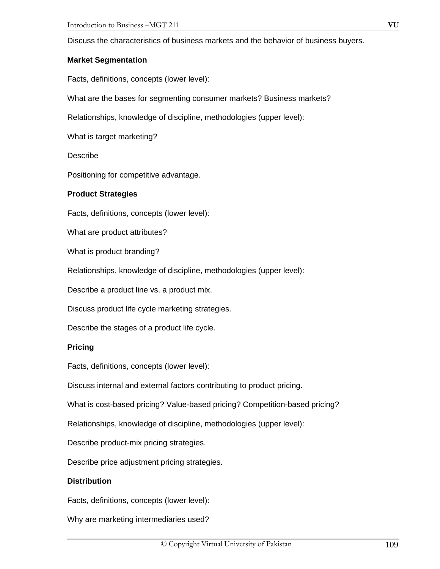Discuss the characteristics of business markets and the behavior of business buyers.

### **Market Segmentation**

Facts, definitions, concepts (lower level):

What are the bases for segmenting consumer markets? Business markets?

Relationships, knowledge of discipline, methodologies (upper level):

What is target marketing?

Describe

Positioning for competitive advantage.

### **Product Strategies**

Facts, definitions, concepts (lower level):

What are product attributes?

What is product branding?

Relationships, knowledge of discipline, methodologies (upper level):

Describe a product line vs. a product mix.

Discuss product life cycle marketing strategies.

Describe the stages of a product life cycle.

### **Pricing**

Facts, definitions, concepts (lower level):

Discuss internal and external factors contributing to product pricing.

What is cost-based pricing? Value-based pricing? Competition-based pricing?

Relationships, knowledge of discipline, methodologies (upper level):

Describe product-mix pricing strategies.

Describe price adjustment pricing strategies.

### **Distribution**

Facts, definitions, concepts (lower level):

Why are marketing intermediaries used?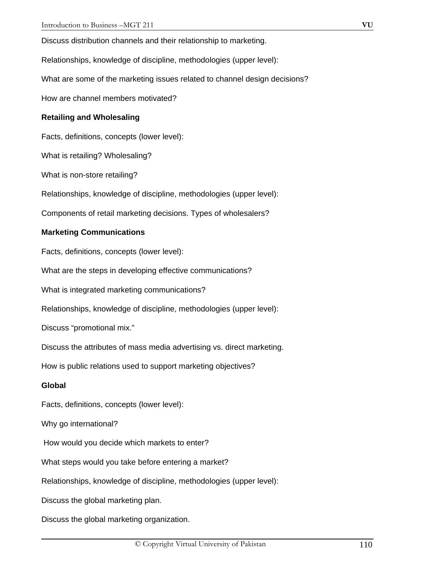Discuss distribution channels and their relationship to marketing.

Relationships, knowledge of discipline, methodologies (upper level):

What are some of the marketing issues related to channel design decisions?

How are channel members motivated?

### **Retailing and Wholesaling**

Facts, definitions, concepts (lower level):

What is retailing? Wholesaling?

What is non-store retailing?

Relationships, knowledge of discipline, methodologies (upper level):

Components of retail marketing decisions. Types of wholesalers?

### **Marketing Communications**

Facts, definitions, concepts (lower level):

What are the steps in developing effective communications?

What is integrated marketing communications?

Relationships, knowledge of discipline, methodologies (upper level):

Discuss "promotional mix."

Discuss the attributes of mass media advertising vs. direct marketing.

How is public relations used to support marketing objectives?

#### **Global**

Facts, definitions, concepts (lower level):

Why go international?

How would you decide which markets to enter?

What steps would you take before entering a market?

Relationships, knowledge of discipline, methodologies (upper level):

Discuss the global marketing plan.

Discuss the global marketing organization.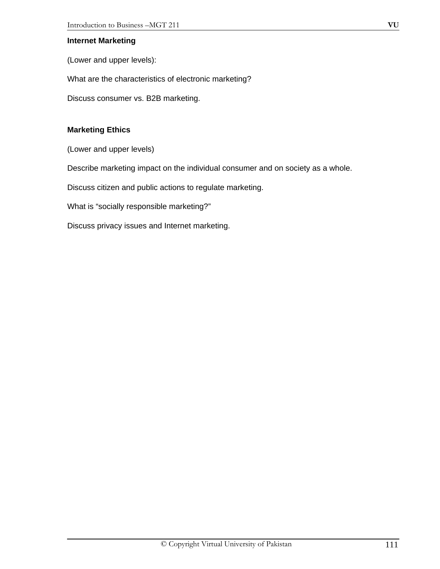### **Internet Marketing**

(Lower and upper levels):

What are the characteristics of electronic marketing?

Discuss consumer vs. B2B marketing.

## **Marketing Ethics**

(Lower and upper levels)

Describe marketing impact on the individual consumer and on society as a whole.

Discuss citizen and public actions to regulate marketing.

What is "socially responsible marketing?"

Discuss privacy issues and Internet marketing.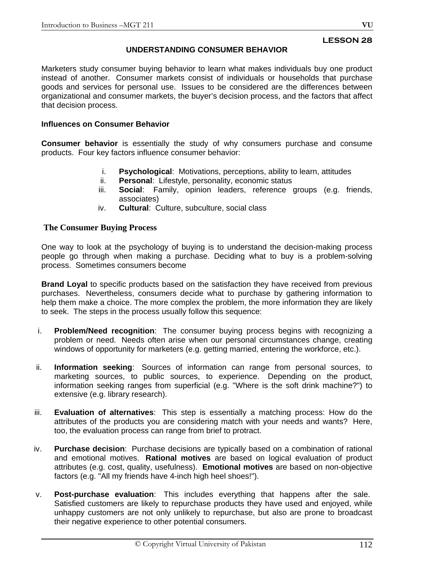#### **LESSON 28**

### **UNDERSTANDING CONSUMER BEHAVIOR**

Marketers study consumer buying behavior to learn what makes individuals buy one product instead of another. Consumer markets consist of individuals or households that purchase goods and services for personal use. Issues to be considered are the differences between organizational and consumer markets, the buyer's decision process, and the factors that affect that decision process.

#### **Influences on Consumer Behavior**

**Consumer behavior** is essentially the study of why consumers purchase and consume products. Four key factors influence consumer behavior:

- i. **Psychological**: Motivations, perceptions, ability to learn, attitudes
- ii. **Personal**: Lifestyle, personality, economic status
- iii. **Social**: Family, opinion leaders, reference groups (e.g. friends, associates)
- iv. **Cultural**: Culture, subculture, social class

### **The Consumer Buying Process**

One way to look at the psychology of buying is to understand the decision-making process people go through when making a purchase. Deciding what to buy is a problem-solving process. Sometimes consumers become

**Brand Loyal** to specific products based on the satisfaction they have received from previous purchases. Nevertheless, consumers decide what to purchase by gathering information to help them make a choice. The more complex the problem, the more information they are likely to seek. The steps in the process usually follow this sequence:

- i. **Problem/Need recognition**: The consumer buying process begins with recognizing a problem or need. Needs often arise when our personal circumstances change, creating windows of opportunity for marketers (e.g. getting married, entering the workforce, etc.).
- ii. **Information seeking**: Sources of information can range from personal sources, to marketing sources, to public sources, to experience. Depending on the product, information seeking ranges from superficial (e.g. "Where is the soft drink machine?") to extensive (e.g. library research).
- iii. **Evaluation of alternatives**: This step is essentially a matching process: How do the attributes of the products you are considering match with your needs and wants? Here, too, the evaluation process can range from brief to protract.
- iv. **Purchase decision**: Purchase decisions are typically based on a combination of rational and emotional motives. **Rational motives** are based on logical evaluation of product attributes (e.g. cost, quality, usefulness). **Emotional motives** are based on non-objective factors (e.g. "All my friends have 4-inch high heel shoes!").
- v. **Post-purchase evaluation**: This includes everything that happens after the sale. Satisfied customers are likely to repurchase products they have used and enjoyed, while unhappy customers are not only unlikely to repurchase, but also are prone to broadcast their negative experience to other potential consumers.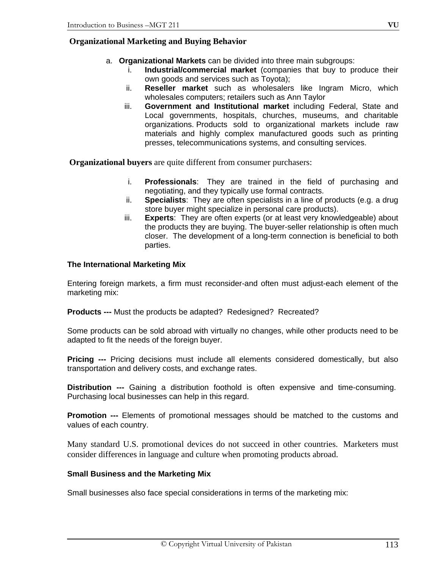# **Organizational Marketing and Buying Behavior**

- a. **Organizational Markets** can be divided into three main subgroups:
	- i. **Industrial/commercial market** (companies that buy to produce their own goods and services such as Toyota);
	- ii. **Reseller market** such as wholesalers like Ingram Micro, which wholesales computers; retailers such as Ann Taylor
	- iii. **Government and Institutional market** including Federal, State and Local governments, hospitals, churches, museums, and charitable organizations. Products sold to organizational markets include raw materials and highly complex manufactured goods such as printing presses, telecommunications systems, and consulting services.

**Organizational buyers** are quite different from consumer purchasers:

- i. **Professionals**: They are trained in the field of purchasing and negotiating, and they typically use formal contracts.
- ii. **Specialists**: They are often specialists in a line of products (e.g. a drug store buyer might specialize in personal care products).
- iii. **Experts**: They are often experts (or at least very knowledgeable) about the products they are buying. The buyer-seller relationship is often much closer. The development of a long-term connection is beneficial to both parties.

### **The International Marketing Mix**

Entering foreign markets, a firm must reconsider-and often must adjust-each element of the marketing mix:

**Products ---** Must the products be adapted? Redesigned? Recreated?

Some products can be sold abroad with virtually no changes, while other products need to be adapted to fit the needs of the foreign buyer.

**Pricing ---** Pricing decisions must include all elements considered domestically, but also transportation and delivery costs, and exchange rates.

**Distribution ---** Gaining a distribution foothold is often expensive and time-consuming. Purchasing local businesses can help in this regard.

**Promotion ---** Elements of promotional messages should be matched to the customs and values of each country.

Many standard U.S. promotional devices do not succeed in other countries. Marketers must consider differences in language and culture when promoting products abroad.

### **Small Business and the Marketing Mix**

Small businesses also face special considerations in terms of the marketing mix: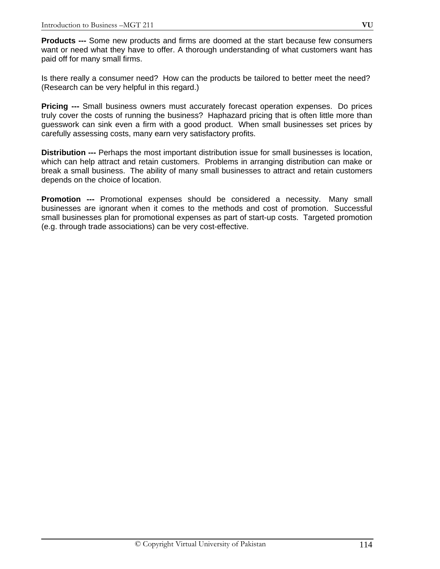**Products ---** Some new products and firms are doomed at the start because few consumers want or need what they have to offer. A thorough understanding of what customers want has paid off for many small firms.

Is there really a consumer need? How can the products be tailored to better meet the need? (Research can be very helpful in this regard.)

**Pricing ---** Small business owners must accurately forecast operation expenses. Do prices truly cover the costs of running the business? Haphazard pricing that is often little more than guesswork can sink even a firm with a good product. When small businesses set prices by carefully assessing costs, many earn very satisfactory profits.

**Distribution ---** Perhaps the most important distribution issue for small businesses is location, which can help attract and retain customers. Problems in arranging distribution can make or break a small business. The ability of many small businesses to attract and retain customers depends on the choice of location.

**Promotion ---** Promotional expenses should be considered a necessity. Many small businesses are ignorant when it comes to the methods and cost of promotion. Successful small businesses plan for promotional expenses as part of start-up costs. Targeted promotion (e.g. through trade associations) can be very cost-effective.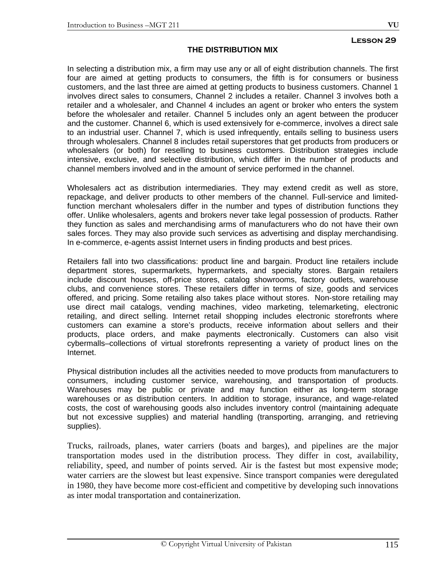### **THE DISTRIBUTION MIX**

In selecting a distribution mix, a firm may use any or all of eight distribution channels. The first four are aimed at getting products to consumers, the fifth is for consumers or business customers, and the last three are aimed at getting products to business customers. Channel 1 involves direct sales to consumers, Channel 2 includes a retailer. Channel 3 involves both a retailer and a wholesaler, and Channel 4 includes an agent or broker who enters the system before the wholesaler and retailer. Channel 5 includes only an agent between the producer and the customer. Channel 6, which is used extensively for e-commerce, involves a direct sale to an industrial user. Channel 7, which is used infrequently, entails selling to business users through wholesalers. Channel 8 includes retail superstores that get products from producers or wholesalers (or both) for reselling to business customers. Distribution strategies include intensive, exclusive, and selective distribution, which differ in the number of products and channel members involved and in the amount of service performed in the channel.

Wholesalers act as distribution intermediaries. They may extend credit as well as store, repackage, and deliver products to other members of the channel. Full-service and limitedfunction merchant wholesalers differ in the number and types of distribution functions they offer. Unlike wholesalers, agents and brokers never take legal possession of products. Rather they function as sales and merchandising arms of manufacturers who do not have their own sales forces. They may also provide such services as advertising and display merchandising. In e-commerce, e-agents assist Internet users in finding products and best prices.

Retailers fall into two classifications: product line and bargain. Product line retailers include department stores, supermarkets, hypermarkets, and specialty stores. Bargain retailers include discount houses, off-price stores, catalog showrooms, factory outlets, warehouse clubs, and convenience stores. These retailers differ in terms of size, goods and services offered, and pricing. Some retailing also takes place without stores. Non-store retailing may use direct mail catalogs, vending machines, video marketing, telemarketing, electronic retailing, and direct selling. Internet retail shopping includes electronic storefronts where customers can examine a store's products, receive information about sellers and their products, place orders, and make payments electronically. Customers can also visit cybermalls–collections of virtual storefronts representing a variety of product lines on the Internet.

Physical distribution includes all the activities needed to move products from manufacturers to consumers, including customer service, warehousing, and transportation of products. Warehouses may be public or private and may function either as long-term storage warehouses or as distribution centers. In addition to storage, insurance, and wage-related costs, the cost of warehousing goods also includes inventory control (maintaining adequate but not excessive supplies) and material handling (transporting, arranging, and retrieving supplies).

Trucks, railroads, planes, water carriers (boats and barges), and pipelines are the major transportation modes used in the distribution process. They differ in cost, availability, reliability, speed, and number of points served. Air is the fastest but most expensive mode; water carriers are the slowest but least expensive. Since transport companies were deregulated in 1980, they have become more cost-efficient and competitive by developing such innovations as inter modal transportation and containerization.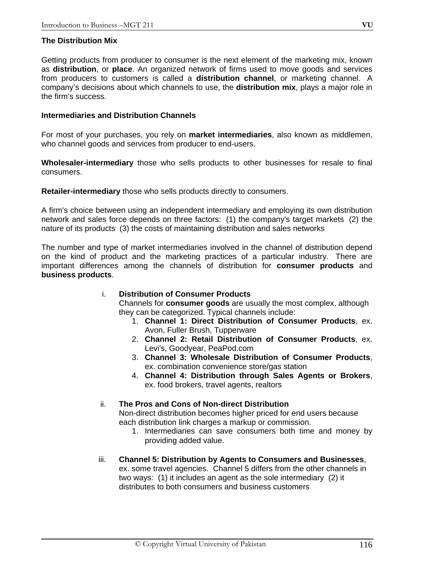## **The Distribution Mix**

Getting products from producer to consumer is the next element of the marketing mix, known as **distribution**, or **place**. An organized network of firms used to move goods and services from producers to customers is called a **distribution channel**, or marketing channel. A company's decisions about which channels to use, the **distribution mix**, plays a major role in the firm's success.

#### **Intermediaries and Distribution Channels**

For most of your purchases, you rely on **market intermediaries**, also known as middlemen, who channel goods and services from producer to end-users.

**Wholesaler-intermediary** those who sells products to other businesses for resale to final consumers.

**Retailer-intermediary** those who sells products directly to consumers.

A firm's choice between using an independent intermediary and employing its own distribution network and sales force depends on three factors: (1) the company's target markets (2) the nature of its products (3) the costs of maintaining distribution and sales networks

The number and type of market intermediaries involved in the channel of distribution depend on the kind of product and the marketing practices of a particular industry. There are important differences among the channels of distribution for **consumer products** and **business products**.

### i. **Distribution of Consumer Products**

Channels for **consumer goods** are usually the most complex, although they can be categorized. Typical channels include:

- 1. **Channel 1: Direct Distribution of Consumer Products**, ex. Avon, Fuller Brush, Tupperware
- 2. **Channel 2: Retail Distribution of Consumer Products**, ex. Levi's, Goodyear, PeaPod.com
- 3. **Channel 3: Wholesale Distribution of Consumer Products**, ex. combination convenience store/gas station
- 4. **Channel 4: Distribution through Sales Agents or Brokers**, ex. food brokers, travel agents, realtors

### ii. **The Pros and Cons of Non-direct Distribution**

Non-direct distribution becomes higher priced for end users because each distribution link charges a markup or commission.

- 1. Intermediaries can save consumers both time and money by providing added value.
- iii. **Channel 5: Distribution by Agents to Consumers and Businesses**, ex. some travel agencies. Channel 5 differs from the other channels in two ways: (1) it includes an agent as the sole intermediary (2) it distributes to both consumers and business customers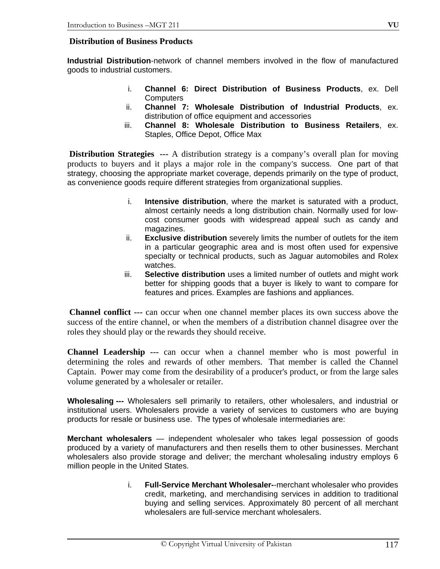## **Distribution of Business Products**

**Industrial Distribution**-network of channel members involved in the flow of manufactured goods to industrial customers.

- i. **Channel 6: Direct Distribution of Business Products**, ex. Dell **Computers**
- ii. **Channel 7: Wholesale Distribution of Industrial Products**, ex. distribution of office equipment and accessories
- iii. **Channel 8: Wholesale Distribution to Business Retailers**, ex. Staples, Office Depot, Office Max

**Distribution Strategies ---** A distribution strategy is a company's overall plan for moving products to buyers and it plays a major role in the company's success. One part of that strategy, choosing the appropriate market coverage, depends primarily on the type of product, as convenience goods require different strategies from organizational supplies.

- i. **Intensive distribution**, where the market is saturated with a product, almost certainly needs a long distribution chain. Normally used for lowcost consumer goods with widespread appeal such as candy and magazines.
- ii. **Exclusive distribution** severely limits the number of outlets for the item in a particular geographic area and is most often used for expensive specialty or technical products, such as Jaguar automobiles and Rolex watches.
- iii. **Selective distribution** uses a limited number of outlets and might work better for shipping goods that a buyer is likely to want to compare for features and prices. Examples are fashions and appliances.

**Channel conflict ---** can occur when one channel member places its own success above the success of the entire channel, or when the members of a distribution channel disagree over the roles they should play or the rewards they should receive.

**Channel Leadership ---** can occur when a channel member who is most powerful in determining the roles and rewards of other members. That member is called the Channel Captain. Power may come from the desirability of a producer's product, or from the large sales volume generated by a wholesaler or retailer.

**Wholesaling ---** Wholesalers sell primarily to retailers, other wholesalers, and industrial or institutional users. Wholesalers provide a variety of services to customers who are buying products for resale or business use. The types of wholesale intermediaries are:

**Merchant wholesalers** — independent wholesaler who takes legal possession of goods produced by a variety of manufacturers and then resells them to other businesses. Merchant wholesalers also provide storage and deliver; the merchant wholesaling industry employs 6 million people in the United States.

> i. **Full-Service Merchant Wholesaler-**-merchant wholesaler who provides credit, marketing, and merchandising services in addition to traditional buying and selling services. Approximately 80 percent of all merchant wholesalers are full-service merchant wholesalers.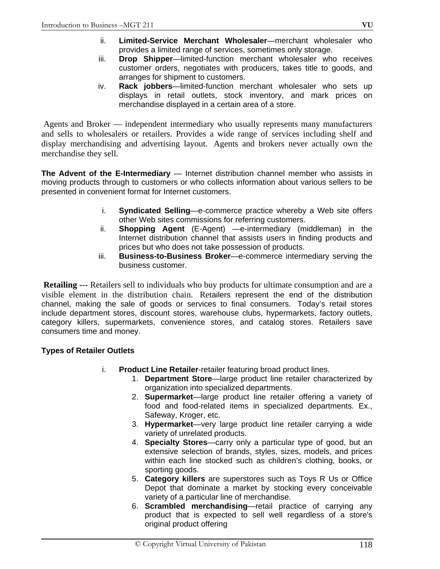- ii. **Limited-Service Merchant Wholesaler**—merchant wholesaler who provides a limited range of services, sometimes only storage.
- iii. **Drop Shipper**—limited-function merchant wholesaler who receives customer orders, negotiates with producers, takes title to goods, and arranges for shipment to customers.
- iv. **Rack jobbers**—limited-function merchant wholesaler who sets up displays in retail outlets, stock inventory, and mark prices on merchandise displayed in a certain area of a store.

 Agents and Broker — independent intermediary who usually represents many manufacturers and sells to wholesalers or retailers. Provides a wide range of services including shelf and display merchandising and advertising layout. Agents and brokers never actually own the merchandise they sell.

**The Advent of the E-Intermediary** — Internet distribution channel member who assists in moving products through to customers or who collects information about various sellers to be presented in convenient format for Internet customers.

- i. **Syndicated Selling**—e-commerce practice whereby a Web site offers other Web sites commissions for referring customers.
- ii. **Shopping Agent** (E-Agent) —e-intermediary (middleman) in the Internet distribution channel that assists users in finding products and prices but who does not take possession of products.
- iii. **Business-to-Business Broker**—e-commerce intermediary serving the business customer.

**Retailing ---** Retailers sell to individuals who buy products for ultimate consumption and are a visible element in the distribution chain. Retailers represent the end of the distribution channel, making the sale of goods or services to final consumers. Today's retail stores include department stores, discount stores, warehouse clubs, hypermarkets, factory outlets, category killers, supermarkets, convenience stores, and catalog stores. Retailers save consumers time and money.

# **Types of Retailer Outlets**

- i. **Product Line Retailer**-retailer featuring broad product lines.
	- 1. **Department Store**—large product line retailer characterized by organization into specialized departments.
	- 2. **Supermarket**—large product line retailer offering a variety of food and food-related items in specialized departments. Ex., Safeway, Kroger, etc.
	- 3. **Hypermarket**—very large product line retailer carrying a wide variety of unrelated products.
	- 4. **Specialty Stores**—carry only a particular type of good, but an extensive selection of brands, styles, sizes, models, and prices within each line stocked such as children's clothing, books, or sporting goods.
	- 5. **Category killers** are superstores such as Toys R Us or Office Depot that dominate a market by stocking every conceivable variety of a particular line of merchandise.
	- 6. **Scrambled merchandising**—retail practice of carrying any product that is expected to sell well regardless of a store's original product offering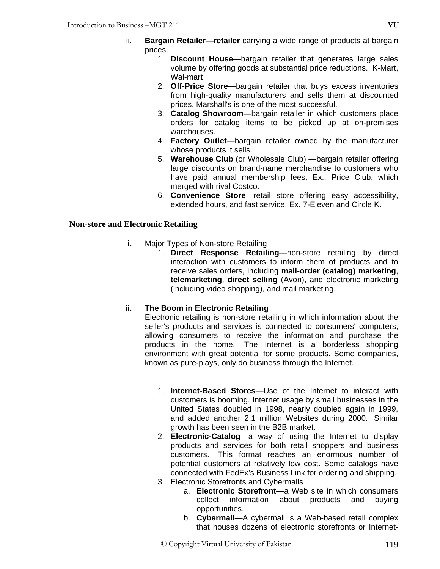- 1. **Discount House**—bargain retailer that generates large sales volume by offering goods at substantial price reductions. K-Mart, Wal-mart
- 2. **Off-Price Store**—bargain retailer that buys excess inventories from high-quality manufacturers and sells them at discounted prices. Marshall's is one of the most successful.
- 3. **Catalog Showroom**—bargain retailer in which customers place orders for catalog items to be picked up at on-premises warehouses.
- 4. **Factory Outlet**—bargain retailer owned by the manufacturer whose products it sells.
- 5. **Warehouse Club** (or Wholesale Club) —bargain retailer offering large discounts on brand-name merchandise to customers who have paid annual membership fees. Ex., Price Club, which merged with rival Costco.
- 6. **Convenience Store**—retail store offering easy accessibility, extended hours, and fast service. Ex. 7-Eleven and Circle K.

# **Non-store and Electronic Retailing**

- **i.** Major Types of Non-store Retailing
	- 1. **Direct Response Retailing**—non-store retailing by direct interaction with customers to inform them of products and to receive sales orders, including **mail-order (catalog) marketing**, **telemarketing**, **direct selling** (Avon), and electronic marketing (including video shopping), and mail marketing.

# **ii. The Boom in Electronic Retailing**

Electronic retailing is non-store retailing in which information about the seller's products and services is connected to consumers' computers, allowing consumers to receive the information and purchase the products in the home. The Internet is a borderless shopping environment with great potential for some products. Some companies, known as pure-plays, only do business through the Internet.

- 1. **Internet-Based Stores**—Use of the Internet to interact with customers is booming. Internet usage by small businesses in the United States doubled in 1998, nearly doubled again in 1999, and added another 2.1 million Websites during 2000. Similar growth has been seen in the B2B market.
- 2. **Electronic-Catalog**—a way of using the Internet to display products and services for both retail shoppers and business customers. This format reaches an enormous number of potential customers at relatively low cost. Some catalogs have connected with FedEx's Business Link for ordering and shipping.
- 3. Electronic Storefronts and Cybermalls
	- a. **Electronic Storefront**—a Web site in which consumers collect information about products and buying opportunities.
	- b. **Cybermall**—A cybermall is a Web-based retail complex that houses dozens of electronic storefronts or Internet-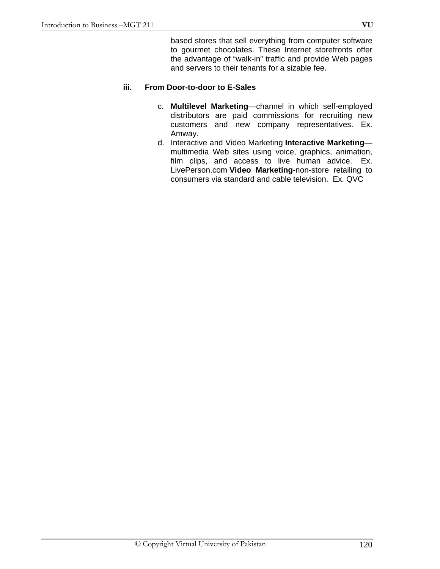based stores that sell everything from computer software to gourmet chocolates. These Internet storefronts offer the advantage of "walk-in" traffic and provide Web pages and servers to their tenants for a sizable fee.

## **iii. From Door-to-door to E-Sales**

- c. **Multilevel Marketing**—channel in which self-employed distributors are paid commissions for recruiting new customers and new company representatives. Ex. Amway.
- d. Interactive and Video Marketing **Interactive Marketing** multimedia Web sites using voice, graphics, animation, film clips, and access to live human advice. Ex. LivePerson.com **Video Marketing**-non-store retailing to consumers via standard and cable television. Ex. QVC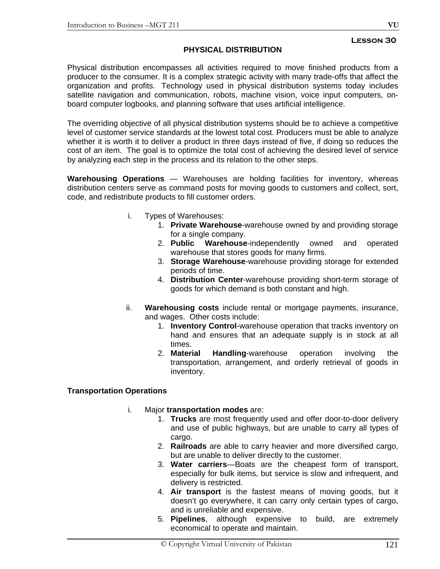### **PHYSICAL DISTRIBUTION**

Physical distribution encompasses all activities required to move finished products from a producer to the consumer. It is a complex strategic activity with many trade-offs that affect the organization and profits. Technology used in physical distribution systems today includes satellite navigation and communication, robots, machine vision, voice input computers, onboard computer logbooks, and planning software that uses artificial intelligence.

The overriding objective of all physical distribution systems should be to achieve a competitive level of customer service standards at the lowest total cost. Producers must be able to analyze whether it is worth it to deliver a product in three days instead of five, if doing so reduces the cost of an item. The goal is to optimize the total cost of achieving the desired level of service by analyzing each step in the process and its relation to the other steps.

**Warehousing Operations** — Warehouses are holding facilities for inventory, whereas distribution centers serve as command posts for moving goods to customers and collect, sort, code, and redistribute products to fill customer orders.

- i. Types of Warehouses:
	- 1. **Private Warehouse**-warehouse owned by and providing storage for a single company.
	- 2. **Public Warehouse**-independently owned and operated warehouse that stores goods for many firms.
	- 3. **Storage Warehouse**-warehouse providing storage for extended periods of time.
	- 4. **Distribution Center**-warehouse providing short-term storage of goods for which demand is both constant and high.
- ii. **Warehousing costs** include rental or mortgage payments, insurance, and wages. Other costs include:
	- 1. **Inventory Control**-warehouse operation that tracks inventory on hand and ensures that an adequate supply is in stock at all times.
	- 2. **Material Handling**-warehouse operation involving the transportation, arrangement, and orderly retrieval of goods in inventory.

### **Transportation Operations**

- i. Major **transportation modes** are:
	- 1. **Trucks** are most frequently used and offer door-to-door delivery and use of public highways, but are unable to carry all types of cargo.
	- 2. **Railroads** are able to carry heavier and more diversified cargo, but are unable to deliver directly to the customer.
	- 3. **Water carriers**—Boats are the cheapest form of transport, especially for bulk items, but service is slow and infrequent, and delivery is restricted.
	- 4. **Air transport** is the fastest means of moving goods, but it doesn't go everywhere, it can carry only certain types of cargo, and is unreliable and expensive.
	- 5. **Pipelines**, although expensive to build, are extremely economical to operate and maintain.

**Lesson 30**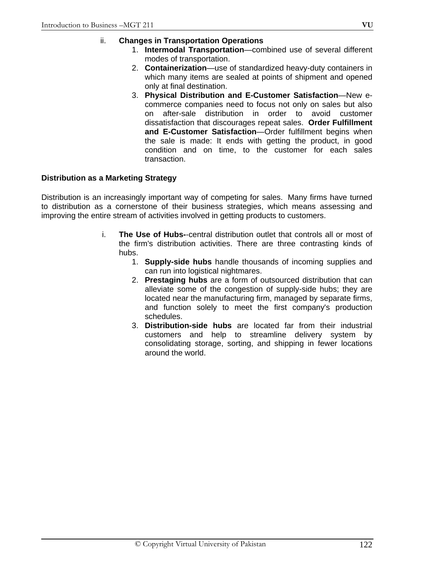- 1. **Intermodal Transportation**—combined use of several different modes of transportation.
- 2. **Containerization**—use of standardized heavy-duty containers in which many items are sealed at points of shipment and opened only at final destination.
- 3. **Physical Distribution and E-Customer Satisfaction**—New ecommerce companies need to focus not only on sales but also on after-sale distribution in order to avoid customer dissatisfaction that discourages repeat sales. **Order Fulfillment and E-Customer Satisfaction**—Order fulfillment begins when the sale is made: It ends with getting the product, in good condition and on time, to the customer for each sales transaction.

## **Distribution as a Marketing Strategy**

Distribution is an increasingly important way of competing for sales. Many firms have turned to distribution as a cornerstone of their business strategies, which means assessing and improving the entire stream of activities involved in getting products to customers.

- i. **The Use of Hubs-**-central distribution outlet that controls all or most of the firm's distribution activities. There are three contrasting kinds of hubs.
	- 1. **Supply-side hubs** handle thousands of incoming supplies and can run into logistical nightmares.
	- 2. **Prestaging hubs** are a form of outsourced distribution that can alleviate some of the congestion of supply-side hubs; they are located near the manufacturing firm, managed by separate firms, and function solely to meet the first company's production schedules.
	- 3. **Distribution-side hubs** are located far from their industrial customers and help to streamline delivery system by consolidating storage, sorting, and shipping in fewer locations around the world.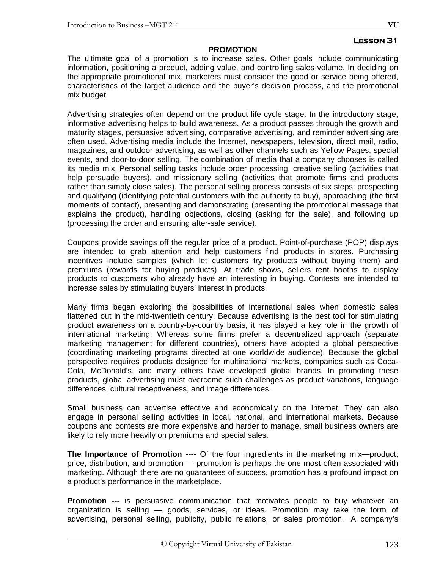### **PROMOTION**

The ultimate goal of a promotion is to increase sales. Other goals include communicating information, positioning a product, adding value, and controlling sales volume. In deciding on the appropriate promotional mix, marketers must consider the good or service being offered, characteristics of the target audience and the buyer's decision process, and the promotional mix budget.

Advertising strategies often depend on the product life cycle stage. In the introductory stage, informative advertising helps to build awareness. As a product passes through the growth and maturity stages, persuasive advertising, comparative advertising, and reminder advertising are often used. Advertising media include the Internet, newspapers, television, direct mail, radio, magazines, and outdoor advertising, as well as other channels such as Yellow Pages, special events, and door-to-door selling. The combination of media that a company chooses is called its media mix. Personal selling tasks include order processing, creative selling (activities that help persuade buyers), and missionary selling (activities that promote firms and products rather than simply close sales). The personal selling process consists of six steps: prospecting and qualifying (identifying potential customers with the authority to buy), approaching (the first moments of contact), presenting and demonstrating (presenting the promotional message that explains the product), handling objections, closing (asking for the sale), and following up (processing the order and ensuring after-sale service).

Coupons provide savings off the regular price of a product. Point-of-purchase (POP) displays are intended to grab attention and help customers find products in stores. Purchasing incentives include samples (which let customers try products without buying them) and premiums (rewards for buying products). At trade shows, sellers rent booths to display products to customers who already have an interesting in buying. Contests are intended to increase sales by stimulating buyers' interest in products.

Many firms began exploring the possibilities of international sales when domestic sales flattened out in the mid-twentieth century. Because advertising is the best tool for stimulating product awareness on a country-by-country basis, it has played a key role in the growth of international marketing. Whereas some firms prefer a decentralized approach (separate marketing management for different countries), others have adopted a global perspective (coordinating marketing programs directed at one worldwide audience). Because the global perspective requires products designed for multinational markets, companies such as Coca-Cola, McDonald's, and many others have developed global brands. In promoting these products, global advertising must overcome such challenges as product variations, language differences, cultural receptiveness, and image differences.

Small business can advertise effective and economically on the Internet. They can also engage in personal selling activities in local, national, and international markets. Because coupons and contests are more expensive and harder to manage, small business owners are likely to rely more heavily on premiums and special sales.

**The Importance of Promotion ----** Of the four ingredients in the marketing mix—product, price, distribution, and promotion — promotion is perhaps the one most often associated with marketing. Although there are no guarantees of success, promotion has a profound impact on a product's performance in the marketplace.

**Promotion ---** is persuasive communication that motivates people to buy whatever an organization is selling — goods, services, or ideas. Promotion may take the form of advertising, personal selling, publicity, public relations, or sales promotion. A company's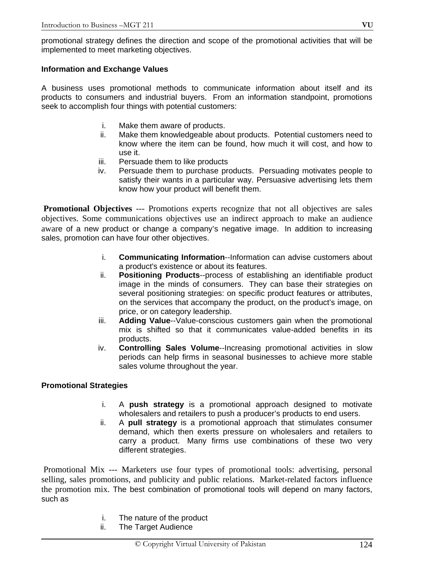promotional strategy defines the direction and scope of the promotional activities that will be implemented to meet marketing objectives.

# **Information and Exchange Values**

A business uses promotional methods to communicate information about itself and its products to consumers and industrial buyers. From an information standpoint, promotions seek to accomplish four things with potential customers:

- i. Make them aware of products.
- ii. Make them knowledgeable about products. Potential customers need to know where the item can be found, how much it will cost, and how to use it.
- iii. Persuade them to like products
- iv. Persuade them to purchase products. Persuading motivates people to satisfy their wants in a particular way. Persuasive advertising lets them know how your product will benefit them.

**Promotional Objectives** --- Promotions experts recognize that not all objectives are sales objectives. Some communications objectives use an indirect approach to make an audience aware of a new product or change a company's negative image. In addition to increasing sales, promotion can have four other objectives.

- i. **Communicating Information**--Information can advise customers about a product's existence or about its features.
- ii. **Positioning Products**--process of establishing an identifiable product image in the minds of consumers. They can base their strategies on several positioning strategies: on specific product features or attributes, on the services that accompany the product, on the product's image, on price, or on category leadership.
- iii. **Adding Value**--Value-conscious customers gain when the promotional mix is shifted so that it communicates value-added benefits in its products.
- iv. **Controlling Sales Volume**--Increasing promotional activities in slow periods can help firms in seasonal businesses to achieve more stable sales volume throughout the year.

# **Promotional Strategies**

- i. A **push strategy** is a promotional approach designed to motivate wholesalers and retailers to push a producer's products to end users.
- ii. A **pull strategy** is a promotional approach that stimulates consumer demand, which then exerts pressure on wholesalers and retailers to carry a product. Many firms use combinations of these two very different strategies.

 Promotional Mix --- Marketers use four types of promotional tools: advertising, personal selling, sales promotions, and publicity and public relations. Market-related factors influence the promotion mix. The best combination of promotional tools will depend on many factors, such as

- i. The nature of the product
- ii. The Target Audience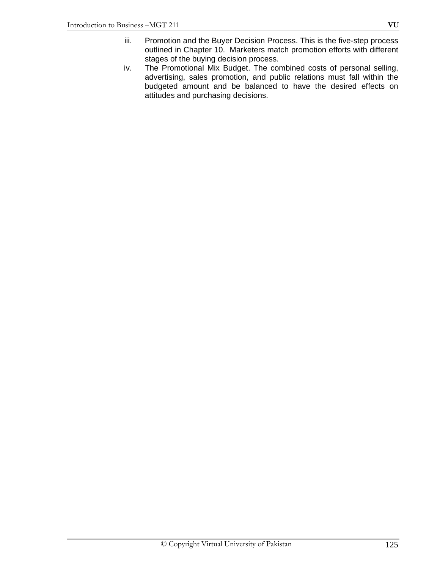iv. The Promotional Mix Budget. The combined costs of personal selling, advertising, sales promotion, and public relations must fall within the budgeted amount and be balanced to have the desired effects on attitudes and purchasing decisions.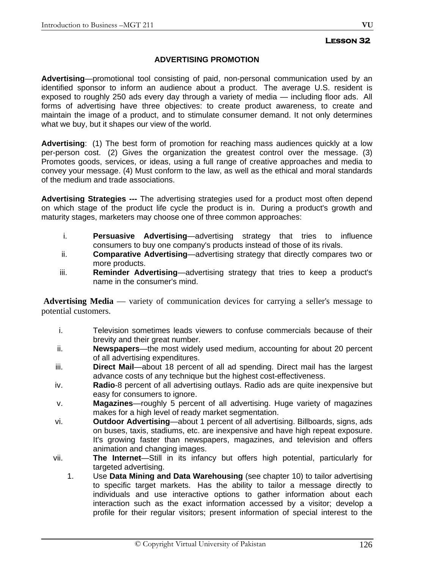## **ADVERTISING PROMOTION**

**Advertising**—promotional tool consisting of paid, non-personal communication used by an identified sponsor to inform an audience about a product. The average U.S. resident is exposed to roughly 250 ads every day through a variety of media — including floor ads. All forms of advertising have three objectives: to create product awareness, to create and maintain the image of a product, and to stimulate consumer demand. It not only determines what we buy, but it shapes our view of the world.

**Advertising**: (1) The best form of promotion for reaching mass audiences quickly at a low per-person cost. (2) Gives the organization the greatest control over the message. (3) Promotes goods, services, or ideas, using a full range of creative approaches and media to convey your message. (4) Must conform to the law, as well as the ethical and moral standards of the medium and trade associations.

**Advertising Strategies ---** The advertising strategies used for a product most often depend on which stage of the product life cycle the product is in. During a product's growth and maturity stages, marketers may choose one of three common approaches:

- i. **Persuasive Advertising**—advertising strategy that tries to influence consumers to buy one company's products instead of those of its rivals.
- ii. **Comparative Advertising**—advertising strategy that directly compares two or more products.
- iii. **Reminder Advertising**—advertising strategy that tries to keep a product's name in the consumer's mind.

**Advertising Media** — variety of communication devices for carrying a seller's message to potential customers.

- i. Television sometimes leads viewers to confuse commercials because of their brevity and their great number.
- ii. **Newspapers**—the most widely used medium, accounting for about 20 percent of all advertising expenditures.
- iii. **Direct Mail**—about 18 percent of all ad spending. Direct mail has the largest advance costs of any technique but the highest cost-effectiveness.
- iv. **Radio**-8 percent of all advertising outlays. Radio ads are quite inexpensive but easy for consumers to ignore.
- v. **Magazines**—roughly 5 percent of all advertising. Huge variety of magazines makes for a high level of ready market segmentation.
- vi. **Outdoor Advertising**—about 1 percent of all advertising. Billboards, signs, ads on buses, taxis, stadiums, etc. are inexpensive and have high repeat exposure. It's growing faster than newspapers, magazines, and television and offers animation and changing images.
- vii. **The Internet**—Still in its infancy but offers high potential, particularly for targeted advertising.
	- 1. Use **Data Mining and Data Warehousing** (see chapter 10) to tailor advertising to specific target markets. Has the ability to tailor a message directly to individuals and use interactive options to gather information about each interaction such as the exact information accessed by a visitor; develop a profile for their regular visitors; present information of special interest to the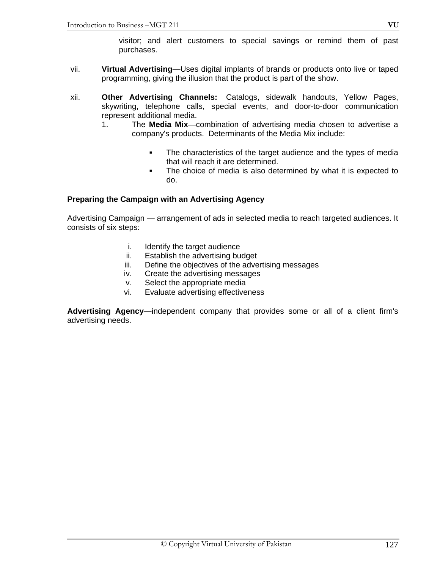- vii. **Virtual Advertising**—Uses digital implants of brands or products onto live or taped programming, giving the illusion that the product is part of the show.
- xii. **Other Advertising Channels:** Catalogs, sidewalk handouts, Yellow Pages, skywriting, telephone calls, special events, and door-to-door communication represent additional media.
	- 1. The **Media Mix**—combination of advertising media chosen to advertise a company's products. Determinants of the Media Mix include:
		- **The characteristics of the target audience and the types of media** that will reach it are determined.
		- The choice of media is also determined by what it is expected to do.

### **Preparing the Campaign with an Advertising Agency**

Advertising Campaign — arrangement of ads in selected media to reach targeted audiences. It consists of six steps:

- i. Identify the target audience
- ii. Establish the advertising budget
- iii. Define the objectives of the advertising messages
- iv. Create the advertising messages
- v. Select the appropriate media
- vi. Evaluate advertising effectiveness

**Advertising Agency**—independent company that provides some or all of a client firm's advertising needs.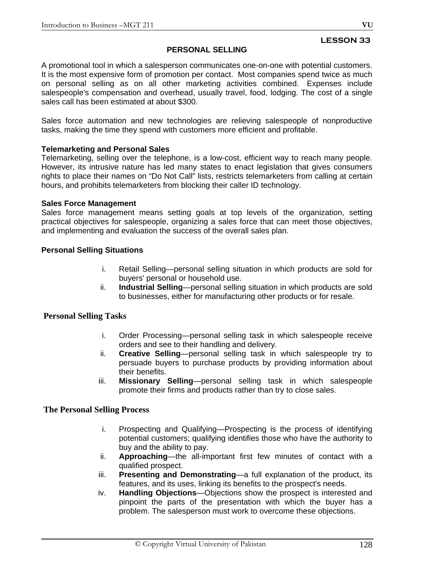## **LESSON 33**

## **PERSONAL SELLING**

A promotional tool in which a salesperson communicates one-on-one with potential customers. It is the most expensive form of promotion per contact. Most companies spend twice as much on personal selling as on all other marketing activities combined. Expenses include salespeople's compensation and overhead, usually travel, food, lodging. The cost of a single sales call has been estimated at about \$300.

Sales force automation and new technologies are relieving salespeople of nonproductive tasks, making the time they spend with customers more efficient and profitable.

### **Telemarketing and Personal Sales**

Telemarketing, selling over the telephone, is a low-cost, efficient way to reach many people. However, its intrusive nature has led many states to enact legislation that gives consumers rights to place their names on "Do Not Call" lists, restricts telemarketers from calling at certain hours, and prohibits telemarketers from blocking their caller ID technology.

### **Sales Force Management**

Sales force management means setting goals at top levels of the organization, setting practical objectives for salespeople, organizing a sales force that can meet those objectives, and implementing and evaluation the success of the overall sales plan.

### **Personal Selling Situations**

- i. Retail Selling—personal selling situation in which products are sold for buyers' personal or household use.
- ii. **Industrial Selling**—personal selling situation in which products are sold to businesses, either for manufacturing other products or for resale.

### **Personal Selling Tasks**

- i. Order Processing—personal selling task in which salespeople receive orders and see to their handling and delivery.
- ii. **Creative Selling**—personal selling task in which salespeople try to persuade buyers to purchase products by providing information about their benefits.
- iii. **Missionary Selling**—personal selling task in which salespeople promote their firms and products rather than try to close sales.

#### **The Personal Selling Process**

- i. Prospecting and Qualifying—Prospecting is the process of identifying potential customers; qualifying identifies those who have the authority to buy and the ability to pay.
- ii. **Approaching**—the all-important first few minutes of contact with a qualified prospect.
- iii. **Presenting and Demonstrating**—a full explanation of the product, its features, and its uses, linking its benefits to the prospect's needs.
- iv. **Handling Objections**—Objections show the prospect is interested and pinpoint the parts of the presentation with which the buyer has a problem. The salesperson must work to overcome these objections.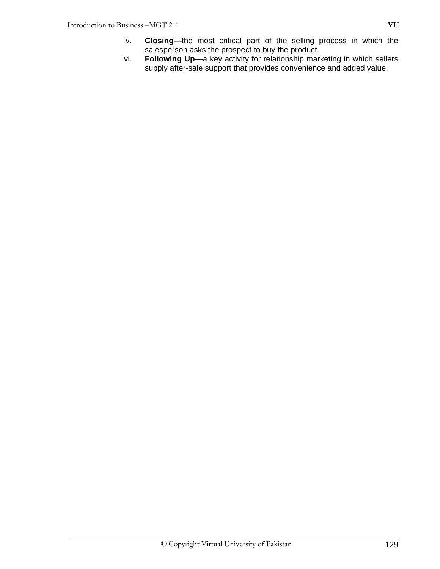- v. **Closing**—the most critical part of the selling process in which the salesperson asks the prospect to buy the product.
- vi. **Following Up**—a key activity for relationship marketing in which sellers supply after-sale support that provides convenience and added value.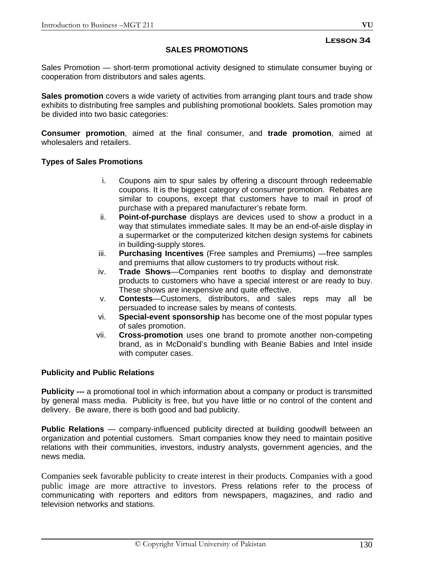### **SALES PROMOTIONS**

Sales Promotion — short-term promotional activity designed to stimulate consumer buying or cooperation from distributors and sales agents.

**Sales promotion** covers a wide variety of activities from arranging plant tours and trade show exhibits to distributing free samples and publishing promotional booklets. Sales promotion may be divided into two basic categories:

**Consumer promotion**, aimed at the final consumer, and **trade promotion**, aimed at wholesalers and retailers.

### **Types of Sales Promotions**

- i. Coupons aim to spur sales by offering a discount through redeemable coupons. It is the biggest category of consumer promotion. Rebates are similar to coupons, except that customers have to mail in proof of purchase with a prepared manufacturer's rebate form.
- ii. **Point-of-purchase** displays are devices used to show a product in a way that stimulates immediate sales. It may be an end-of-aisle display in a supermarket or the computerized kitchen design systems for cabinets in building-supply stores.
- iii. **Purchasing Incentives** (Free samples and Premiums) —free samples and premiums that allow customers to try products without risk.
- iv. **Trade Shows**—Companies rent booths to display and demonstrate products to customers who have a special interest or are ready to buy. These shows are inexpensive and quite effective.
- v. **Contests**—Customers, distributors, and sales reps may all be persuaded to increase sales by means of contests.
- vi. **Special-event sponsorship** has become one of the most popular types of sales promotion.
- vii. **Cross-promotion** uses one brand to promote another non-competing brand, as in McDonald's bundling with Beanie Babies and Intel inside with computer cases.

#### **Publicity and Public Relations**

**Publicity ---** a promotional tool in which information about a company or product is transmitted by general mass media. Publicity is free, but you have little or no control of the content and delivery. Be aware, there is both good and bad publicity.

**Public Relations** — company-influenced publicity directed at building goodwill between an organization and potential customers. Smart companies know they need to maintain positive relations with their communities, investors, industry analysts, government agencies, and the news media.

Companies seek favorable publicity to create interest in their products. Companies with a good public image are more attractive to investors. Press relations refer to the process of communicating with reporters and editors from newspapers, magazines, and radio and television networks and stations.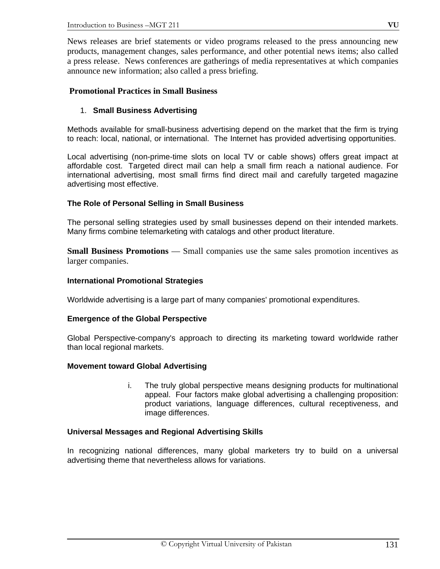News releases are brief statements or video programs released to the press announcing new products, management changes, sales performance, and other potential news items; also called a press release. News conferences are gatherings of media representatives at which companies announce new information; also called a press briefing.

## **Promotional Practices in Small Business**

## 1. **Small Business Advertising**

Methods available for small-business advertising depend on the market that the firm is trying to reach: local, national, or international. The Internet has provided advertising opportunities.

Local advertising (non-prime-time slots on local TV or cable shows) offers great impact at affordable cost. Targeted direct mail can help a small firm reach a national audience. For international advertising, most small firms find direct mail and carefully targeted magazine advertising most effective.

### **The Role of Personal Selling in Small Business**

The personal selling strategies used by small businesses depend on their intended markets. Many firms combine telemarketing with catalogs and other product literature.

**Small Business Promotions** — Small companies use the same sales promotion incentives as larger companies.

## **International Promotional Strategies**

Worldwide advertising is a large part of many companies' promotional expenditures.

### **Emergence of the Global Perspective**

Global Perspective-company's approach to directing its marketing toward worldwide rather than local regional markets.

### **Movement toward Global Advertising**

i. The truly global perspective means designing products for multinational appeal. Four factors make global advertising a challenging proposition: product variations, language differences, cultural receptiveness, and image differences.

### **Universal Messages and Regional Advertising Skills**

In recognizing national differences, many global marketers try to build on a universal advertising theme that nevertheless allows for variations.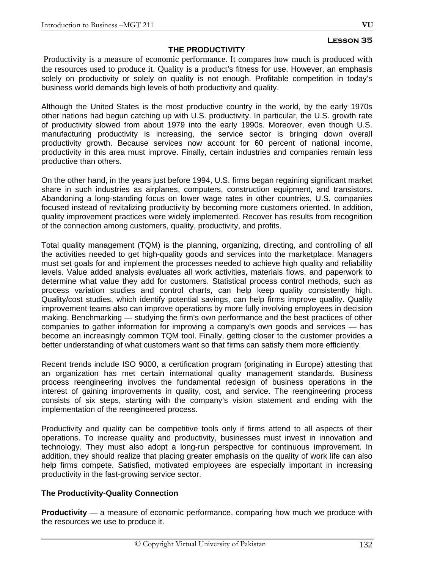## **THE PRODUCTIVITY**

 Productivity is a measure of economic performance. It compares how much is produced with the resources used to produce it. Quality is a product's fitness for use. However, an emphasis solely on productivity or solely on quality is not enough. Profitable competition in today's business world demands high levels of both productivity and quality.

Although the United States is the most productive country in the world, by the early 1970s other nations had begun catching up with U.S. productivity. In particular, the U.S. growth rate of productivity slowed from about 1979 into the early 1990s. Moreover, even though U.S. manufacturing productivity is increasing, the service sector is bringing down overall productivity growth. Because services now account for 60 percent of national income, productivity in this area must improve. Finally, certain industries and companies remain less productive than others.

On the other hand, in the years just before 1994, U.S. firms began regaining significant market share in such industries as airplanes, computers, construction equipment, and transistors. Abandoning a long-standing focus on lower wage rates in other countries, U.S. companies focused instead of revitalizing productivity by becoming more customers oriented. In addition, quality improvement practices were widely implemented. Recover has results from recognition of the connection among customers, quality, productivity, and profits.

Total quality management (TQM) is the planning, organizing, directing, and controlling of all the activities needed to get high-quality goods and services into the marketplace. Managers must set goals for and implement the processes needed to achieve high quality and reliability levels. Value added analysis evaluates all work activities, materials flows, and paperwork to determine what value they add for customers. Statistical process control methods, such as process variation studies and control charts, can help keep quality consistently high. Quality/cost studies, which identify potential savings, can help firms improve quality. Quality improvement teams also can improve operations by more fully involving employees in decision making. Benchmarking — studying the firm's own performance and the best practices of other companies to gather information for improving a company's own goods and services — has become an increasingly common TQM tool. Finally, getting closer to the customer provides a better understanding of what customers want so that firms can satisfy them more efficiently.

Recent trends include ISO 9000, a certification program (originating in Europe) attesting that an organization has met certain international quality management standards. Business process reengineering involves the fundamental redesign of business operations in the interest of gaining improvements in quality, cost, and service. The reengineering process consists of six steps, starting with the company's vision statement and ending with the implementation of the reengineered process.

Productivity and quality can be competitive tools only if firms attend to all aspects of their operations. To increase quality and productivity, businesses must invest in innovation and technology. They must also adopt a long-run perspective for continuous improvement. In addition, they should realize that placing greater emphasis on the quality of work life can also help firms compete. Satisfied, motivated employees are especially important in increasing productivity in the fast-growing service sector.

# **The Productivity-Quality Connection**

**Productivity** — a measure of economic performance, comparing how much we produce with the resources we use to produce it.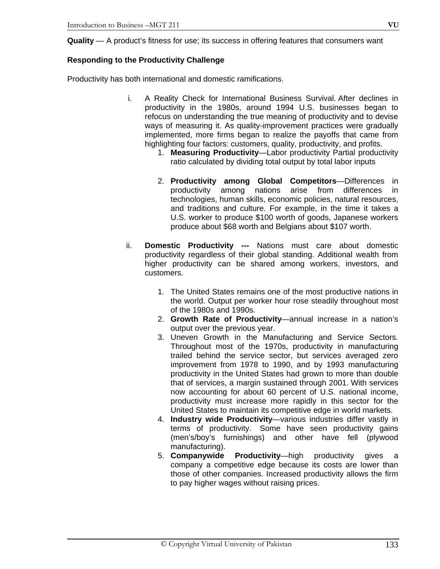**Quality** — A product's fitness for use; its success in offering features that consumers want

# **Responding to the Productivity Challenge**

Productivity has both international and domestic ramifications.

- i. A Reality Check for International Business Survival. After declines in productivity in the 1980s, around 1994 U.S. businesses began to refocus on understanding the true meaning of productivity and to devise ways of measuring it. As quality-improvement practices were gradually implemented, more firms began to realize the payoffs that came from highlighting four factors: customers, quality, productivity, and profits,
	- 1. **Measuring Productivity**—Labor productivity Partial productivity ratio calculated by dividing total output by total labor inputs
	- 2. **Productivity among Global Competitors**—Differences in productivity among nations arise from differences in technologies, human skills, economic policies, natural resources, and traditions and culture. For example, in the time it takes a U.S. worker to produce \$100 worth of goods, Japanese workers produce about \$68 worth and Belgians about \$107 worth.
- ii. **Domestic Productivity ---** Nations must care about domestic productivity regardless of their global standing. Additional wealth from higher productivity can be shared among workers, investors, and customers.
	- 1. The United States remains one of the most productive nations in the world. Output per worker hour rose steadily throughout most of the 1980s and 1990s.
	- 2. **Growth Rate of Productivity**—annual increase in a nation's output over the previous year.
	- 3. Uneven Growth in the Manufacturing and Service Sectors. Throughout most of the 1970s, productivity in manufacturing trailed behind the service sector, but services averaged zero improvement from 1978 to 1990, and by 1993 manufacturing productivity in the United States had grown to more than double that of services, a margin sustained through 2001. With services now accounting for about 60 percent of U.S. national income, productivity must increase more rapidly in this sector for the United States to maintain its competitive edge in world markets.
	- 4. **Industry wide Productivity**—various industries differ vastly in terms of productivity. Some have seen productivity gains (men's/boy's furnishings) and other have fell (plywood manufacturing).
	- 5. **Companywide Productivity**—high productivity gives a company a competitive edge because its costs are lower than those of other companies. Increased productivity allows the firm to pay higher wages without raising prices.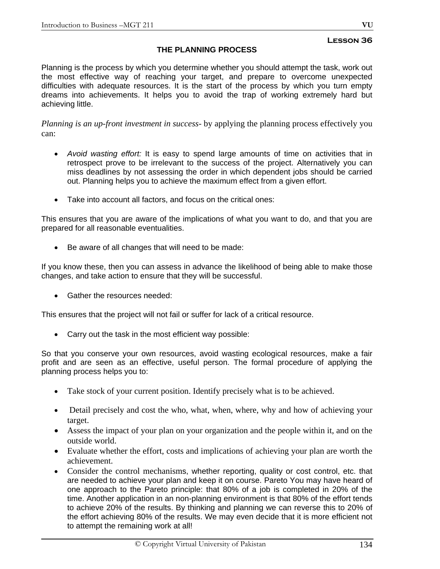# **THE PLANNING PROCESS**

Planning is the process by which you determine whether you should attempt the task, work out the most effective way of reaching your target, and prepare to overcome unexpected difficulties with adequate resources. It is the start of the process by which you turn empty dreams into achievements. It helps you to avoid the trap of working extremely hard but achieving little.

*Planning is an up-front investment in success*- by applying the planning process effectively you can:

- *Avoid wasting effort:* It is easy to spend large amounts of time on activities that in retrospect prove to be irrelevant to the success of the project. Alternatively you can miss deadlines by not assessing the order in which dependent jobs should be carried out. Planning helps you to achieve the maximum effect from a given effort.
- Take into account all factors, and focus on the critical ones:

This ensures that you are aware of the implications of what you want to do, and that you are prepared for all reasonable eventualities.

• Be aware of all changes that will need to be made:

If you know these, then you can assess in advance the likelihood of being able to make those changes, and take action to ensure that they will be successful.

• Gather the resources needed:

This ensures that the project will not fail or suffer for lack of a critical resource.

• Carry out the task in the most efficient way possible:

So that you conserve your own resources, avoid wasting ecological resources, make a fair profit and are seen as an effective, useful person. The formal procedure of applying the planning process helps you to:

- Take stock of your current position. Identify precisely what is to be achieved.
- Detail precisely and cost the who, what, when, where, why and how of achieving your target.
- Assess the impact of your plan on your organization and the people within it, and on the outside world.
- Evaluate whether the effort, costs and implications of achieving your plan are worth the achievement.
- Consider the control mechanisms, whether reporting, quality or cost control, etc. that are needed to achieve your plan and keep it on course. Pareto You may have heard of one approach to the Pareto principle: that 80% of a job is completed in 20% of the time. Another application in an non-planning environment is that 80% of the effort tends to achieve 20% of the results. By thinking and planning we can reverse this to 20% of the effort achieving 80% of the results. We may even decide that it is more efficient not to attempt the remaining work at all!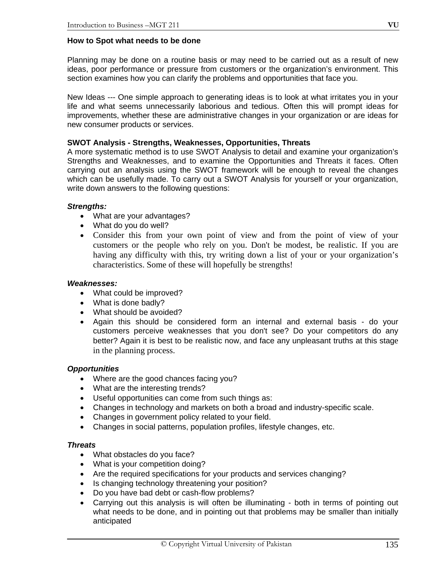### **How to Spot what needs to be done**

Planning may be done on a routine basis or may need to be carried out as a result of new ideas, poor performance or pressure from customers or the organization's environment. This section examines how you can clarify the problems and opportunities that face you.

New Ideas --- One simple approach to generating ideas is to look at what irritates you in your life and what seems unnecessarily laborious and tedious. Often this will prompt ideas for improvements, whether these are administrative changes in your organization or are ideas for new consumer products or services.

### **SWOT Analysis - Strengths, Weaknesses, Opportunities, Threats**

A more systematic method is to use SWOT Analysis to detail and examine your organization's Strengths and Weaknesses, and to examine the Opportunities and Threats it faces. Often carrying out an analysis using the SWOT framework will be enough to reveal the changes which can be usefully made. To carry out a SWOT Analysis for yourself or your organization, write down answers to the following questions:

#### *Strengths:*

- What are your advantages?
- What do you do well?
- Consider this from your own point of view and from the point of view of your customers or the people who rely on you. Don't be modest, be realistic. If you are having any difficulty with this, try writing down a list of your or your organization's characteristics. Some of these will hopefully be strengths!

#### *Weaknesses:*

- What could be improved?
- What is done badly?
- What should be avoided?
- Again this should be considered form an internal and external basis do your customers perceive weaknesses that you don't see? Do your competitors do any better? Again it is best to be realistic now, and face any unpleasant truths at this stage in the planning process.

#### *Opportunities*

- Where are the good chances facing you?
- What are the interesting trends?
- Useful opportunities can come from such things as:
- Changes in technology and markets on both a broad and industry-specific scale.
- Changes in government policy related to your field.
- Changes in social patterns, population profiles, lifestyle changes, etc.

#### *Threats*

- What obstacles do you face?
- What is your competition doing?
- Are the required specifications for your products and services changing?
- Is changing technology threatening your position?
- Do you have bad debt or cash-flow problems?
- Carrying out this analysis is will often be illuminating both in terms of pointing out what needs to be done, and in pointing out that problems may be smaller than initially anticipated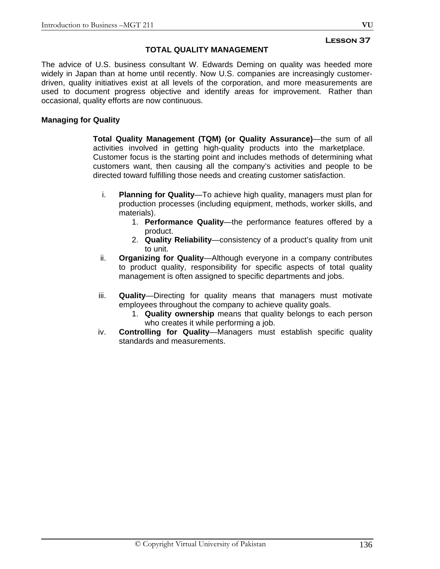# **TOTAL QUALITY MANAGEMENT**

The advice of U.S. business consultant W. Edwards Deming on quality was heeded more widely in Japan than at home until recently. Now U.S. companies are increasingly customerdriven, quality initiatives exist at all levels of the corporation, and more measurements are used to document progress objective and identify areas for improvement. Rather than occasional, quality efforts are now continuous.

## **Managing for Quality**

**Total Quality Management (TQM) (or Quality Assurance)**—the sum of all activities involved in getting high-quality products into the marketplace. Customer focus is the starting point and includes methods of determining what customers want, then causing all the company's activities and people to be directed toward fulfilling those needs and creating customer satisfaction.

- i. **Planning for Quality**—To achieve high quality, managers must plan for production processes (including equipment, methods, worker skills, and materials).
	- 1. **Performance Quality**—the performance features offered by a product.
	- 2. **Quality Reliability**—consistency of a product's quality from unit to unit.
- ii. **Organizing for Quality**—Although everyone in a company contributes to product quality, responsibility for specific aspects of total quality management is often assigned to specific departments and jobs.
- iii. **Quality**—Directing for quality means that managers must motivate employees throughout the company to achieve quality goals.
	- 1. **Quality ownership** means that quality belongs to each person who creates it while performing a job.
- iv. **Controlling for Quality**—Managers must establish specific quality standards and measurements.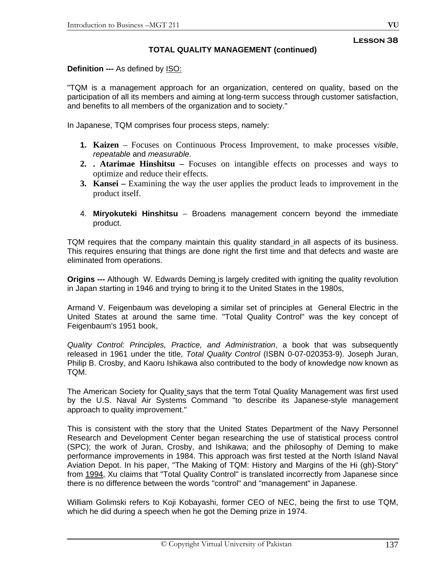# **TOTAL QUALITY MANAGEMENT (continued)**

## **Definition ---** As defined by ISO:

"TQM is a management approach for an organization, centered on quality, based on the participation of all its members and aiming at long-term success through customer satisfaction, and benefits to all members of the organization and to society."

In Japanese, TQM comprises four process steps, namely:

- **1. Kaizen** Focuses on Continuous Process Improvement, to make processes v*isible*, *repeatable* and *measurable.*
- **2. . Atarimae Hinshitsu** Focuses on intangible effects on processes and ways to optimize and reduce their effects.
- **3. Kansei** Examining the way the user applies the product leads to improvement in the product itself.
- 4. **Miryokuteki Hinshitsu** Broadens management concern beyond the immediate product.

TQM requires that the company maintain this quality standard in all aspects of its business. This requires ensuring that things are done right the first time and that defects and waste are eliminated from operations.

**Origins ---** Although W. Edwards Deming is largely credited with igniting the quality revolution in Japan starting in 1946 and trying to bring it to the United States in the 1980s,

Armand V. Feigenbaum was developing a similar set of principles at General Electric in the United States at around the same time. "Total Quality Control" was the key concept of Feigenbaum's 1951 book,

*Quality Control: Principles, Practice, and Administration*, a book that was subsequently released in 1961 under the title, *Total Quality Control* (ISBN 0-07-020353-9). Joseph Juran, Philip B. Crosby, and Kaoru Ishikawa also contributed to the body of knowledge now known as TQM.

The American Society for Quality says that the term Total Quality Management was first used by the U.S. Naval Air Systems Command "to describe its Japanese-style management approach to quality improvement."

This is consistent with the story that the United States Department of the Navy Personnel Research and Development Center began researching the use of statistical process control (SPC); the work of Juran, Crosby, and Ishikawa; and the philosophy of Deming to make performance improvements in 1984. This approach was first tested at the North Island Naval Aviation Depot. In his paper, "The Making of TQM: History and Margins of the Hi (gh)-Story" from 1994, Xu claims that "Total Quality Control" is translated incorrectly from Japanese since there is no difference between the words "control" and "management" in Japanese.

William Golimski refers to Koji Kobayashi, former CEO of NEC, being the first to use TQM, which he did during a speech when he got the Deming prize in 1974.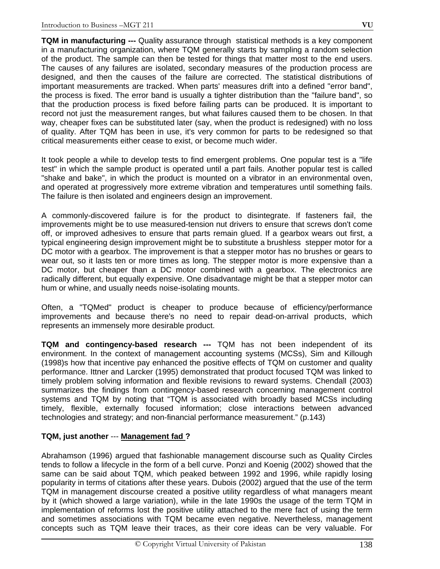**TQM in manufacturing ---** Quality assurance through statistical methods is a key component in a manufacturing organization, where TQM generally starts by sampling a random selection of the product. The sample can then be tested for things that matter most to the end users. The causes of any failures are isolated, secondary measures of the production process are designed, and then the causes of the failure are corrected. The statistical distributions of important measurements are tracked. When parts' measures drift into a defined "error band", the process is fixed. The error band is usually a tighter distribution than the "failure band", so that the production process is fixed before failing parts can be produced. It is important to record not just the measurement ranges, but what failures caused them to be chosen. In that way, cheaper fixes can be substituted later (say, when the product is redesigned) with no loss of quality. After TQM has been in use, it's very common for parts to be redesigned so that critical measurements either cease to exist, or become much wider.

It took people a while to develop tests to find emergent problems. One popular test is a "life test" in which the sample product is operated until a part fails. Another popular test is called "shake and bake", in which the product is mounted on a vibrator in an environmental oven, and operated at progressively more extreme vibration and temperatures until something fails. The failure is then isolated and engineers design an improvement.

A commonly-discovered failure is for the product to disintegrate. If fasteners fail, the improvements might be to use measured-tension nut drivers to ensure that screws don't come off, or improved adhesives to ensure that parts remain glued. If a gearbox wears out first, a typical engineering design improvement might be to substitute a brushless stepper motor for a DC motor with a gearbox. The improvement is that a stepper motor has no brushes or gears to wear out, so it lasts ten or more times as long. The stepper motor is more expensive than a DC motor, but cheaper than a DC motor combined with a gearbox. The electronics are radically different, but equally expensive. One disadvantage might be that a stepper motor can hum or whine, and usually needs noise-isolating mounts.

Often, a "TQMed" product is cheaper to produce because of efficiency/performance improvements and because there's no need to repair dead-on-arrival products, which represents an immensely more desirable product.

**TQM and contingency-based research ---** TQM has not been independent of its environment. In the context of management accounting systems (MCSs), Sim and Killough (1998)s how that incentive pay enhanced the positive effects of TQM on customer and quality performance. Ittner and Larcker (1995) demonstrated that product focused TQM was linked to timely problem solving information and flexible revisions to reward systems. Chendall (2003) summarizes the findings from contingency-based research concerning management control systems and TQM by noting that "TQM is associated with broadly based MCSs including timely, flexible, externally focused information; close interactions between advanced technologies and strategy; and non-financial performance measurement." (p.143)

# **TQM, just another** --- **Management fad ?**

Abrahamson (1996) argued that fashionable management discourse such as Quality Circles tends to follow a lifecycle in the form of a bell curve. Ponzi and Koenig (2002) showed that the same can be said about TQM, which peaked between 1992 and 1996, while rapidly losing popularity in terms of citations after these years. Dubois (2002) argued that the use of the term TQM in management discourse created a positive utility regardless of what managers meant by it (which showed a large variation), while in the late 1990s the usage of the term TQM in implementation of reforms lost the positive utility attached to the mere fact of using the term and sometimes associations with TQM became even negative. Nevertheless, management concepts such as TQM leave their traces, as their core ideas can be very valuable. For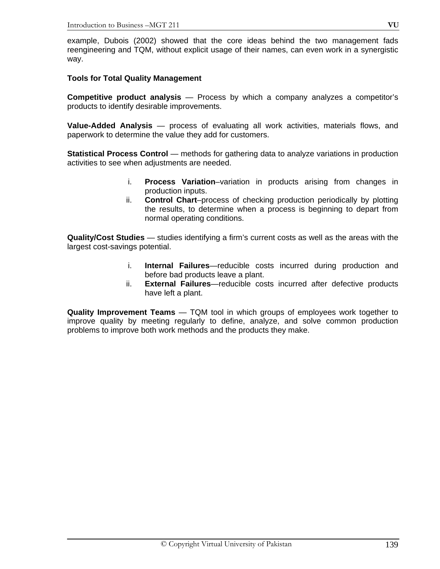example, Dubois (2002) showed that the core ideas behind the two management fads reengineering and TQM, without explicit usage of their names, can even work in a synergistic way.

### **Tools for Total Quality Management**

**Competitive product analysis** — Process by which a company analyzes a competitor's products to identify desirable improvements.

**Value-Added Analysis** — process of evaluating all work activities, materials flows, and paperwork to determine the value they add for customers.

**Statistical Process Control** — methods for gathering data to analyze variations in production activities to see when adjustments are needed.

- i. **Process Variation**–variation in products arising from changes in production inputs.
- ii. **Control Chart**–process of checking production periodically by plotting the results, to determine when a process is beginning to depart from normal operating conditions.

**Quality/Cost Studies** — studies identifying a firm's current costs as well as the areas with the largest cost-savings potential.

- i. **Internal Failures**—reducible costs incurred during production and before bad products leave a plant.
- ii. **External Failures**—reducible costs incurred after defective products have left a plant.

**Quality Improvement Teams** — TQM tool in which groups of employees work together to improve quality by meeting regularly to define, analyze, and solve common production problems to improve both work methods and the products they make.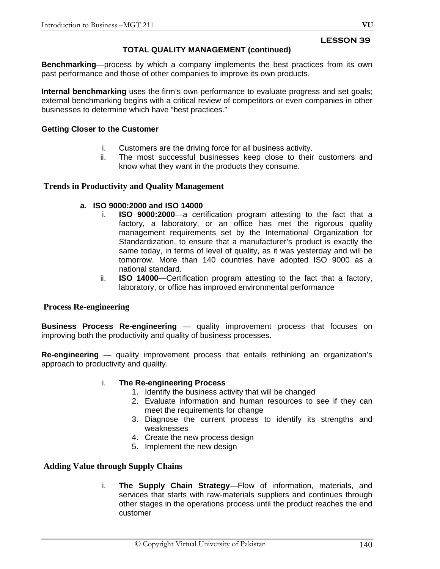#### **LESSON 39**

### **TOTAL QUALITY MANAGEMENT (continued)**

**Benchmarking**—process by which a company implements the best practices from its own past performance and those of other companies to improve its own products.

**Internal benchmarking** uses the firm's own performance to evaluate progress and set goals; external benchmarking begins with a critical review of competitors or even companies in other businesses to determine which have "best practices."

#### **Getting Closer to the Customer**

- i. Customers are the driving force for all business activity.
- ii. The most successful businesses keep close to their customers and know what they want in the products they consume.

### **Trends in Productivity and Quality Management**

#### **a. ISO 9000:2000 and ISO 14000**

- i. **ISO 9000:2000**—a certification program attesting to the fact that a factory, a laboratory, or an office has met the rigorous quality management requirements set by the International Organization for Standardization, to ensure that a manufacturer's product is exactly the same today, in terms of level of quality, as it was yesterday and will be tomorrow. More than 140 countries have adopted ISO 9000 as a national standard.
- ii. **ISO 14000**—Certification program attesting to the fact that a factory, laboratory, or office has improved environmental performance

### **Process Re-engineering**

**Business Process Re-engineering** — quality improvement process that focuses on improving both the productivity and quality of business processes.

**Re-engineering** — quality improvement process that entails rethinking an organization's approach to productivity and quality.

#### i. **The Re-engineering Process**

- 1. Identify the business activity that will be changed
- 2. Evaluate information and human resources to see if they can meet the requirements for change
- 3. Diagnose the current process to identify its strengths and weaknesses
- 4. Create the new process design
- 5. Implement the new design

### **Adding Value through Supply Chains**

i. **The Supply Chain Strategy**—Flow of information, materials, and services that starts with raw-materials suppliers and continues through other stages in the operations process until the product reaches the end customer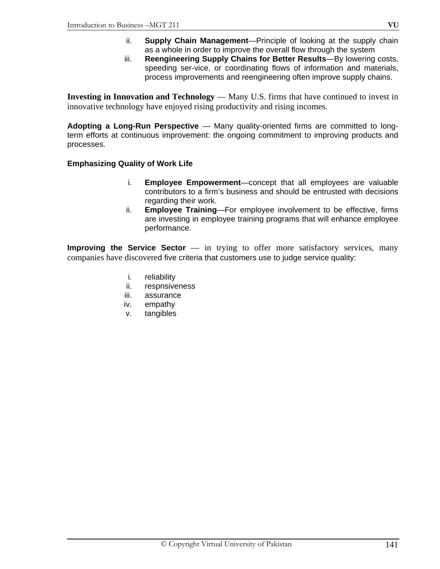- ii. **Supply Chain Management**—Principle of looking at the supply chain as a whole in order to improve the overall flow through the system
- iii. **Reengineering Supply Chains for Better Results**—By lowering costs, speeding ser-vice, or coordinating flows of information and materials, process improvements and reengineering often improve supply chains.

**Investing in Innovation and Technology** — Many U.S. firms that have continued to invest in innovative technology have enjoyed rising productivity and rising incomes.

**Adopting a Long-Run Perspective** — Many quality-oriented firms are committed to longterm efforts at continuous improvement: the ongoing commitment to improving products and processes.

## **Emphasizing Quality of Work Life**

- i. **Employee Empowerment**—concept that all employees are valuable contributors to a firm's business and should be entrusted with decisions regarding their work.
- ii. **Employee Training**—For employee involvement to be effective, firms are investing in employee training programs that will enhance employee performance.

**Improving the Service Sector** — in trying to offer more satisfactory services, many companies have discovered five criteria that customers use to judge service quality:

- i. reliability
- ii. respnsiveness
- iii. assurance
- iv. empathy
- v. tangibles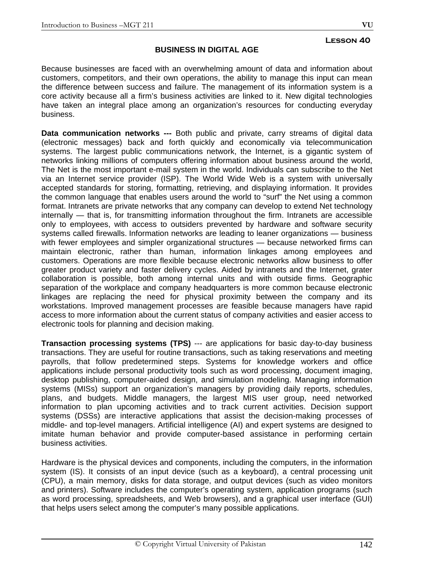## **BUSINESS IN DIGITAL AGE**

Because businesses are faced with an overwhelming amount of data and information about customers, competitors, and their own operations, the ability to manage this input can mean the difference between success and failure. The management of its information system is a core activity because all a firm's business activities are linked to it. New digital technologies have taken an integral place among an organization's resources for conducting everyday business.

**Data communication networks ---** Both public and private, carry streams of digital data (electronic messages) back and forth quickly and economically via telecommunication systems. The largest public communications network, the Internet, is a gigantic system of networks linking millions of computers offering information about business around the world, The Net is the most important e-mail system in the world. Individuals can subscribe to the Net via an Internet service provider (ISP). The World Wide Web is a system with universally accepted standards for storing, formatting, retrieving, and displaying information. It provides the common language that enables users around the world to "surf" the Net using a common format. Intranets are private networks that any company can develop to extend Net technology internally — that is, for transmitting information throughout the firm. Intranets are accessible only to employees, with access to outsiders prevented by hardware and software security systems called firewalls. Information networks are leading to leaner organizations — business with fewer employees and simpler organizational structures — because networked firms can maintain electronic, rather than human, information linkages among employees and customers. Operations are more flexible because electronic networks allow business to offer greater product variety and faster delivery cycles. Aided by intranets and the Internet, grater collaboration is possible, both among internal units and with outside firms. Geographic separation of the workplace and company headquarters is more common because electronic linkages are replacing the need for physical proximity between the company and its workstations. Improved management processes are feasible because managers have rapid access to more information about the current status of company activities and easier access to electronic tools for planning and decision making.

**Transaction processing systems (TPS)** --- are applications for basic day-to-day business transactions. They are useful for routine transactions, such as taking reservations and meeting payrolls, that follow predetermined steps. Systems for knowledge workers and office applications include personal productivity tools such as word processing, document imaging, desktop publishing, computer-aided design, and simulation modeling. Managing information systems (MISs) support an organization's managers by providing daily reports, schedules, plans, and budgets. Middle managers, the largest MIS user group, need networked information to plan upcoming activities and to track current activities. Decision support systems (DSSs) are interactive applications that assist the decision-making processes of middle- and top-level managers. Artificial intelligence (AI) and expert systems are designed to imitate human behavior and provide computer-based assistance in performing certain business activities.

Hardware is the physical devices and components, including the computers, in the information system (IS). It consists of an input device (such as a keyboard), a central processing unit (CPU), a main memory, disks for data storage, and output devices (such as video monitors and printers). Software includes the computer's operating system, application programs (such as word processing, spreadsheets, and Web browsers), and a graphical user interface (GUI) that helps users select among the computer's many possible applications.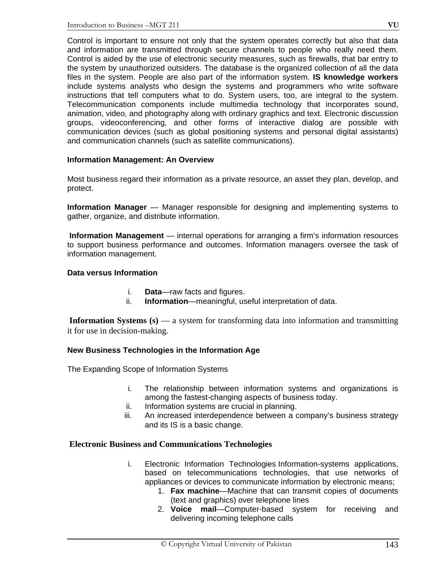Control is important to ensure not only that the system operates correctly but also that data and information are transmitted through secure channels to people who really need them. Control is aided by the use of electronic security measures, such as firewalls, that bar entry to the system by unauthorized outsiders. The database is the organized collection of all the data files in the system. People are also part of the information system. **IS knowledge workers** include systems analysts who design the systems and programmers who write software instructions that tell computers what to do. System users, too, are integral to the system. Telecommunication components include multimedia technology that incorporates sound, animation, video, and photography along with ordinary graphics and text. Electronic discussion groups, videoconferencing, and other forms of interactive dialog are possible with communication devices (such as global positioning systems and personal digital assistants) and communication channels (such as satellite communications).

### **Information Management: An Overview**

Most business regard their information as a private resource, an asset they plan, develop, and protect.

**Information Manager** — Manager responsible for designing and implementing systems to gather, organize, and distribute information.

**Information Management** — internal operations for arranging a firm's information resources to support business performance and outcomes. Information managers oversee the task of information management.

### **Data versus Information**

- i. **Data**—raw facts and figures.
- ii. **Information**—meaningful, useful interpretation of data.

**Information Systems (s)** — a system for transforming data into information and transmitting it for use in decision-making.

# **New Business Technologies in the Information Age**

The Expanding Scope of Information Systems

- i. The relationship between information systems and organizations is among the fastest-changing aspects of business today.
- ii. Information systems are crucial in planning.
- iii. An increased interdependence between a company's business strategy and its IS is a basic change.

# **Electronic Business and Communications Technologies**

- i. Electronic Information Technologies Information-systems applications, based on telecommunications technologies, that use networks of appliances or devices to communicate information by electronic means;
	- 1. **Fax machine**—Machine that can transmit copies of documents (text and graphics) over telephone lines
	- 2. **Voice mail**—Computer-based system for receiving and delivering incoming telephone calls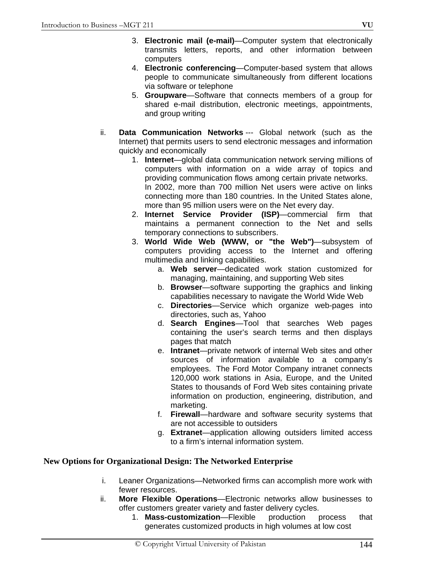- 4. **Electronic conferencing**—Computer-based system that allows people to communicate simultaneously from different locations via software or telephone
- 5. **Groupware**—Software that connects members of a group for shared e-mail distribution, electronic meetings, appointments, and group writing
- ii. **Data Communication Networks** --- Global network (such as the Internet) that permits users to send electronic messages and information quickly and economically
	- 1. **Internet**—global data communication network serving millions of computers with information on a wide array of topics and providing communication flows among certain private networks. In 2002, more than 700 million Net users were active on links connecting more than 180 countries. In the United States alone, more than 95 million users were on the Net every day.
	- 2. **Internet Service Provider (ISP)**—commercial firm that maintains a permanent connection to the Net and sells temporary connections to subscribers.
	- 3. **World Wide Web (WWW, or "the Web")**—subsystem of computers providing access to the Internet and offering multimedia and linking capabilities.
		- a. **Web server**—dedicated work station customized for managing, maintaining, and supporting Web sites
		- b. **Browser**—software supporting the graphics and linking capabilities necessary to navigate the World Wide Web
		- c. **Directories**—Service which organize web-pages into directories, such as, Yahoo
		- d. **Search Engines**—Tool that searches Web pages containing the user's search terms and then displays pages that match
		- e. **Intranet**—private network of internal Web sites and other sources of information available to a company's employees. The Ford Motor Company intranet connects 120,000 work stations in Asia, Europe, and the United States to thousands of Ford Web sites containing private information on production, engineering, distribution, and marketing.
		- f. **Firewall**—hardware and software security systems that are not accessible to outsiders
		- g. **Extranet**—application allowing outsiders limited access to a firm's internal information system.

# **New Options for Organizational Design: The Networked Enterprise**

- i. Leaner Organizations—Networked firms can accomplish more work with fewer resources.
- ii. **More Flexible Operations**—Electronic networks allow businesses to offer customers greater variety and faster delivery cycles.
	- 1. **Mass-customization**—Flexible production process that generates customized products in high volumes at low cost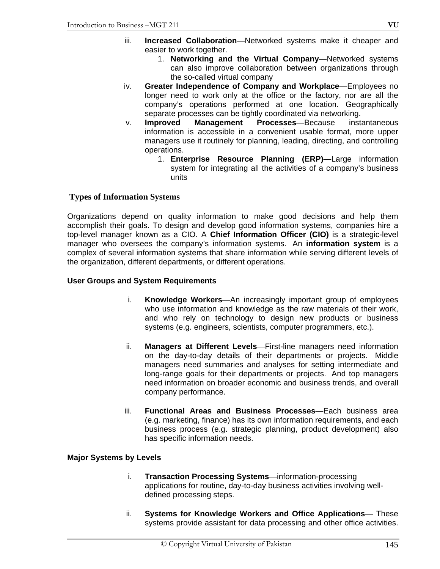- 1. **Networking and the Virtual Company**—Networked systems can also improve collaboration between organizations through the so-called virtual company
- iv. **Greater Independence of Company and Workplace**—Employees no longer need to work only at the office or the factory, nor are all the company's operations performed at one location. Geographically separate processes can be tightly coordinated via networking.
- v. **Improved Management Processes**—Because instantaneous information is accessible in a convenient usable format, more upper managers use it routinely for planning, leading, directing, and controlling operations.
	- 1. **Enterprise Resource Planning (ERP)**—Large information system for integrating all the activities of a company's business units

# **Types of Information Systems**

Organizations depend on quality information to make good decisions and help them accomplish their goals. To design and develop good information systems, companies hire a top-level manager known as a CIO. A **Chief Information Officer (CIO)** is a strategic-level manager who oversees the company's information systems. An **information system** is a complex of several information systems that share information while serving different levels of the organization, different departments, or different operations.

## **User Groups and System Requirements**

- i. **Knowledge Workers**—An increasingly important group of employees who use information and knowledge as the raw materials of their work, and who rely on technology to design new products or business systems (e.g. engineers, scientists, computer programmers, etc.).
- ii. **Managers at Different Levels**—First-line managers need information on the day-to-day details of their departments or projects. Middle managers need summaries and analyses for setting intermediate and long-range goals for their departments or projects. And top managers need information on broader economic and business trends, and overall company performance.
- iii. **Functional Areas and Business Processes**—Each business area (e.g. marketing, finance) has its own information requirements, and each business process (e.g. strategic planning, product development) also has specific information needs.

## **Major Systems by Levels**

- i. **Transaction Processing Systems**—information-processing applications for routine, day-to-day business activities involving welldefined processing steps.
- ii. **Systems for Knowledge Workers and Office Applications** These systems provide assistant for data processing and other office activities.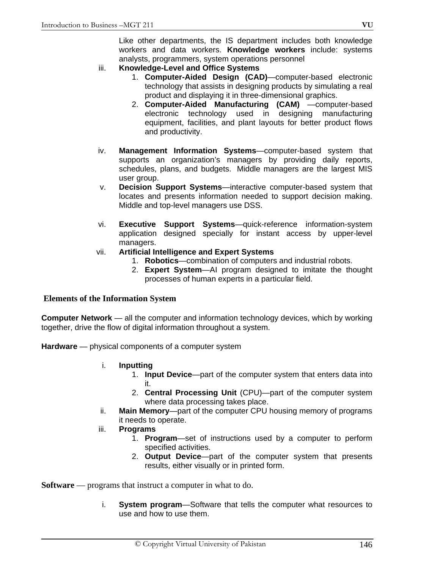Like other departments, the IS department includes both knowledge workers and data workers. **Knowledge workers** include: systems analysts, programmers, system operations personnel

- iii. **Knowledge-Level and Office Systems**
	- 1. **Computer-Aided Design (CAD)**—computer-based electronic technology that assists in designing products by simulating a real product and displaying it in three-dimensional graphics.
	- 2. **Computer-Aided Manufacturing (CAM)** —computer-based electronic technology used in designing manufacturing equipment, facilities, and plant layouts for better product flows and productivity.
- iv. **Management Information Systems**—computer-based system that supports an organization's managers by providing daily reports, schedules, plans, and budgets. Middle managers are the largest MIS user group.
- v. **Decision Support Systems**—interactive computer-based system that locates and presents information needed to support decision making. Middle and top-level managers use DSS.
- vi. **Executive Support Systems**—quick-reference information-system application designed specially for instant access by upper-level managers.
- vii. **Artificial Intelligence and Expert Systems**
	- 1. **Robotics**—combination of computers and industrial robots.
	- 2. **Expert System**—AI program designed to imitate the thought processes of human experts in a particular field.

# **Elements of the Information System**

**Computer Network** — all the computer and information technology devices, which by working together, drive the flow of digital information throughout a system.

**Hardware** — physical components of a computer system

- i. **Inputting**
	- 1. **Input Device**—part of the computer system that enters data into it.
	- 2. **Central Processing Unit** (CPU)—part of the computer system where data processing takes place.
- ii. **Main Memory**—part of the computer CPU housing memory of programs it needs to operate.
- iii. **Programs**
	- 1. **Program**—set of instructions used by a computer to perform specified activities.
	- 2. **Output Device**—part of the computer system that presents results, either visually or in printed form.

**Software** — programs that instruct a computer in what to do.

i. **System program**—Software that tells the computer what resources to use and how to use them.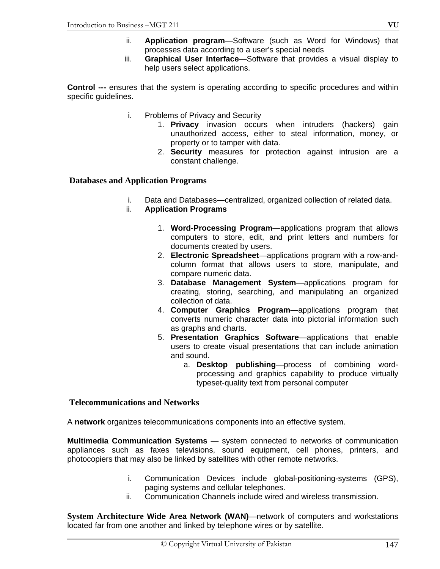- ii. **Application program**—Software (such as Word for Windows) that processes data according to a user's special needs
- iii. **Graphical User Interface**—Software that provides a visual display to help users select applications.

**Control ---** ensures that the system is operating according to specific procedures and within specific quidelines.

- i. Problems of Privacy and Security
	- 1. **Privacy** invasion occurs when intruders (hackers) gain unauthorized access, either to steal information, money, or property or to tamper with data.
	- 2. **Security** measures for protection against intrusion are a constant challenge.

## **Databases and Application Programs**

- i. Data and Databases—centralized, organized collection of related data.
- ii. **Application Programs**
	- 1. **Word-Processing Program**—applications program that allows computers to store, edit, and print letters and numbers for documents created by users.
	- 2. **Electronic Spreadsheet**—applications program with a row-andcolumn format that allows users to store, manipulate, and compare numeric data.
	- 3. **Database Management System**—applications program for creating, storing, searching, and manipulating an organized collection of data.
	- 4. **Computer Graphics Program**—applications program that converts numeric character data into pictorial information such as graphs and charts.
	- 5. **Presentation Graphics Software**—applications that enable users to create visual presentations that can include animation and sound.
		- a. **Desktop publishing**—process of combining wordprocessing and graphics capability to produce virtually typeset-quality text from personal computer

#### **Telecommunications and Networks**

A **network** organizes telecommunications components into an effective system.

**Multimedia Communication Systems** — system connected to networks of communication appliances such as faxes televisions, sound equipment, cell phones, printers, and photocopiers that may also be linked by satellites with other remote networks.

- i. Communication Devices include global-positioning-systems (GPS), paging systems and cellular telephones.
- ii. Communication Channels include wired and wireless transmission.

**System Architecture Wide Area Network (WAN)**—network of computers and workstations located far from one another and linked by telephone wires or by satellite.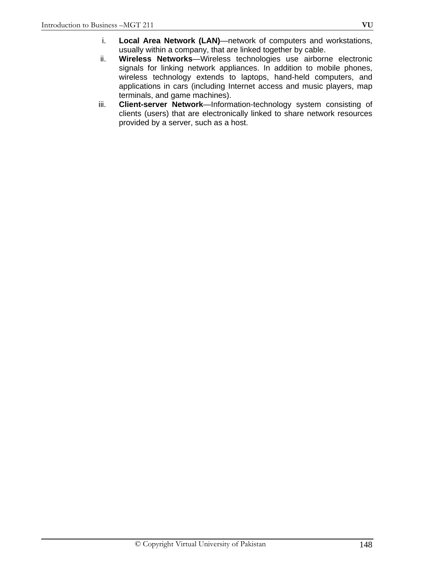- i. **Local Area Network (LAN)**—network of computers and workstations, usually within a company, that are linked together by cable.
- ii. **Wireless Networks**—Wireless technologies use airborne electronic signals for linking network appliances. In addition to mobile phones, wireless technology extends to laptops, hand-held computers, and applications in cars (including Internet access and music players, map terminals, and game machines).
- iii. **Client-server Network**—Information-technology system consisting of clients (users) that are electronically linked to share network resources provided by a server, such as a host.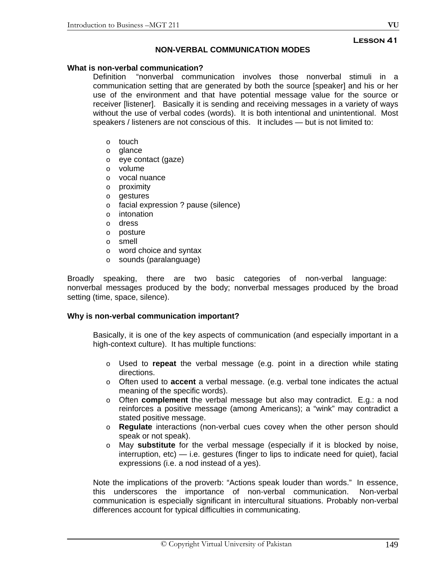# **Lesson 41**

#### **NON-VERBAL COMMUNICATION MODES**

#### **What is non-verbal communication?**

Definition "nonverbal communication involves those nonverbal stimuli in a communication setting that are generated by both the source [speaker] and his or her use of the environment and that have potential message value for the source or receiver [listener]. Basically it is sending and receiving messages in a variety of ways without the use of verbal codes (words). It is both intentional and unintentional. Most speakers / listeners are not conscious of this. It includes — but is not limited to:

- o touch
- o glance
- o eye contact (gaze)
- o volume
- o vocal nuance
- o proximity
- o gestures
- o facial expression ? pause (silence)
- o intonation
- o dress
- o posture
- o smell
- o word choice and syntax
- o sounds (paralanguage)

Broadly speaking, there are two basic categories of non-verbal language: nonverbal messages produced by the body; nonverbal messages produced by the broad setting (time, space, silence).

## **Why is non-verbal communication important?**

Basically, it is one of the key aspects of communication (and especially important in a high-context culture). It has multiple functions:

- o Used to **repeat** the verbal message (e.g. point in a direction while stating directions.
- o Often used to **accent** a verbal message. (e.g. verbal tone indicates the actual meaning of the specific words).
- o Often **complement** the verbal message but also may contradict. E.g.: a nod reinforces a positive message (among Americans); a "wink" may contradict a stated positive message.
- o **Regulate** interactions (non-verbal cues covey when the other person should speak or not speak).
- o May **substitute** for the verbal message (especially if it is blocked by noise, interruption, etc) — i.e. gestures (finger to lips to indicate need for quiet), facial expressions (i.e. a nod instead of a yes).

Note the implications of the proverb: "Actions speak louder than words." In essence, this underscores the importance of non-verbal communication. Non-verbal communication is especially significant in intercultural situations. Probably non-verbal differences account for typical difficulties in communicating.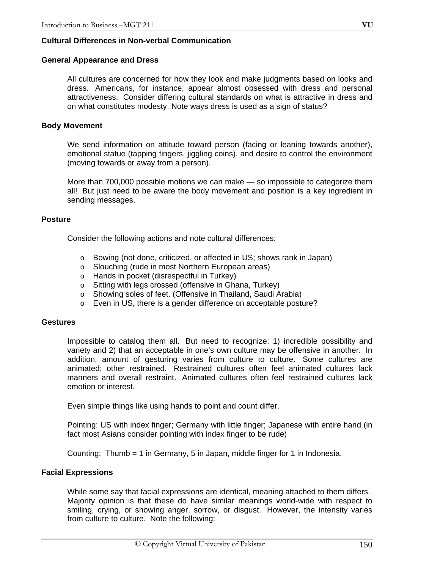#### **Cultural Differences in Non-verbal Communication**

#### **General Appearance and Dress**

All cultures are concerned for how they look and make judgments based on looks and dress. Americans, for instance, appear almost obsessed with dress and personal attractiveness. Consider differing cultural standards on what is attractive in dress and on what constitutes modesty. Note ways dress is used as a sign of status?

#### **Body Movement**

We send information on attitude toward person (facing or leaning towards another), emotional statue (tapping fingers, jiggling coins), and desire to control the environment (moving towards or away from a person).

More than 700,000 possible motions we can make — so impossible to categorize them all! But just need to be aware the body movement and position is a key ingredient in sending messages.

#### **Posture**

Consider the following actions and note cultural differences:

- o Bowing (not done, criticized, or affected in US; shows rank in Japan)
- o Slouching (rude in most Northern European areas)
- o Hands in pocket (disrespectful in Turkey)
- o Sitting with legs crossed (offensive in Ghana, Turkey)
- o Showing soles of feet. (Offensive in Thailand, Saudi Arabia)
- o Even in US, there is a gender difference on acceptable posture?

#### **Gestures**

Impossible to catalog them all. But need to recognize: 1) incredible possibility and variety and 2) that an acceptable in one's own culture may be offensive in another. In addition, amount of gesturing varies from culture to culture. Some cultures are animated; other restrained. Restrained cultures often feel animated cultures lack manners and overall restraint. Animated cultures often feel restrained cultures lack emotion or interest.

Even simple things like using hands to point and count differ.

Pointing: US with index finger; Germany with little finger; Japanese with entire hand (in fact most Asians consider pointing with index finger to be rude)

Counting: Thumb = 1 in Germany, 5 in Japan, middle finger for 1 in Indonesia.

#### **Facial Expressions**

While some say that facial expressions are identical, meaning attached to them differs. Majority opinion is that these do have similar meanings world-wide with respect to smiling, crying, or showing anger, sorrow, or disgust. However, the intensity varies from culture to culture. Note the following: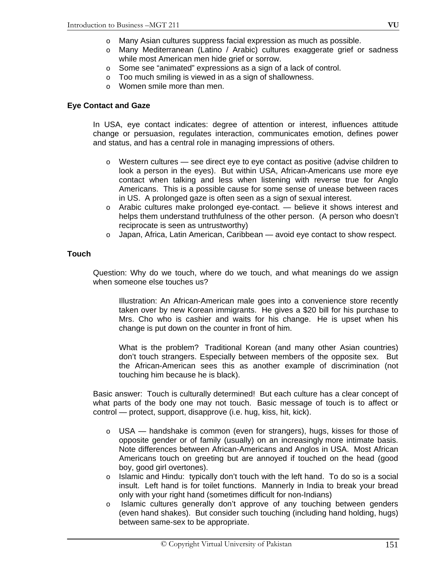- o Many Mediterranean (Latino / Arabic) cultures exaggerate grief or sadness while most American men hide grief or sorrow.
- o Some see "animated" expressions as a sign of a lack of control.
- o Too much smiling is viewed in as a sign of shallowness.
- o Women smile more than men.

#### **Eye Contact and Gaze**

In USA, eye contact indicates: degree of attention or interest, influences attitude change or persuasion, regulates interaction, communicates emotion, defines power and status, and has a central role in managing impressions of others.

- o Western cultures see direct eye to eye contact as positive (advise children to look a person in the eyes). But within USA, African-Americans use more eye contact when talking and less when listening with reverse true for Anglo Americans. This is a possible cause for some sense of unease between races in US. A prolonged gaze is often seen as a sign of sexual interest.
- $\circ$  Arabic cultures make prolonged eye-contact.  $\rightarrow$  believe it shows interest and helps them understand truthfulness of the other person. (A person who doesn't reciprocate is seen as untrustworthy)
- $\circ$  Japan, Africa, Latin American, Caribbean avoid eye contact to show respect.

#### **Touch**

Question: Why do we touch, where do we touch, and what meanings do we assign when someone else touches us?

Illustration: An African-American male goes into a convenience store recently taken over by new Korean immigrants. He gives a \$20 bill for his purchase to Mrs. Cho who is cashier and waits for his change. He is upset when his change is put down on the counter in front of him.

What is the problem? Traditional Korean (and many other Asian countries) don't touch strangers. Especially between members of the opposite sex. But the African-American sees this as another example of discrimination (not touching him because he is black).

Basic answer: Touch is culturally determined! But each culture has a clear concept of what parts of the body one may not touch. Basic message of touch is to affect or control — protect, support, disapprove (i.e. hug, kiss, hit, kick).

- o USA handshake is common (even for strangers), hugs, kisses for those of opposite gender or of family (usually) on an increasingly more intimate basis. Note differences between African-Americans and Anglos in USA. Most African Americans touch on greeting but are annoyed if touched on the head (good boy, good girl overtones).
- $\circ$  Islamic and Hindu: typically don't touch with the left hand. To do so is a social insult. Left hand is for toilet functions. Mannerly in India to break your bread only with your right hand (sometimes difficult for non-Indians)
- o Islamic cultures generally don't approve of any touching between genders (even hand shakes). But consider such touching (including hand holding, hugs) between same-sex to be appropriate.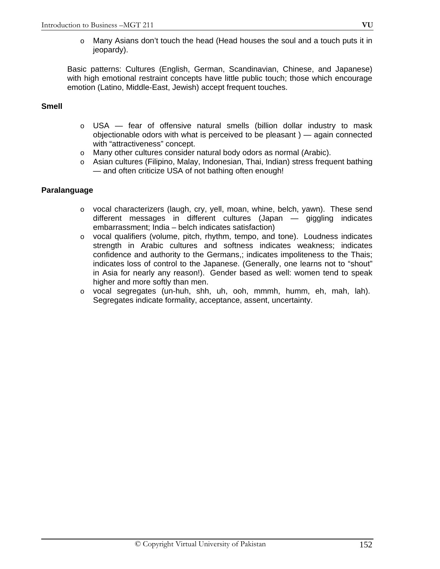o Many Asians don't touch the head (Head houses the soul and a touch puts it in jeopardy).

Basic patterns: Cultures (English, German, Scandinavian, Chinese, and Japanese) with high emotional restraint concepts have little public touch; those which encourage emotion (Latino, Middle-East, Jewish) accept frequent touches.

# **Smell**

- o USA fear of offensive natural smells (billion dollar industry to mask objectionable odors with what is perceived to be pleasant ) — again connected with "attractiveness" concept.
- o Many other cultures consider natural body odors as normal (Arabic).
- o Asian cultures (Filipino, Malay, Indonesian, Thai, Indian) stress frequent bathing — and often criticize USA of not bathing often enough!

# **Paralanguage**

- o vocal characterizers (laugh, cry, yell, moan, whine, belch, yawn). These send different messages in different cultures (Japan — giggling indicates embarrassment; India – belch indicates satisfaction)
- o vocal qualifiers (volume, pitch, rhythm, tempo, and tone). Loudness indicates strength in Arabic cultures and softness indicates weakness; indicates confidence and authority to the Germans,; indicates impoliteness to the Thais; indicates loss of control to the Japanese. (Generally, one learns not to "shout" in Asia for nearly any reason!). Gender based as well: women tend to speak higher and more softly than men.
- o vocal segregates (un-huh, shh, uh, ooh, mmmh, humm, eh, mah, lah). Segregates indicate formality, acceptance, assent, uncertainty.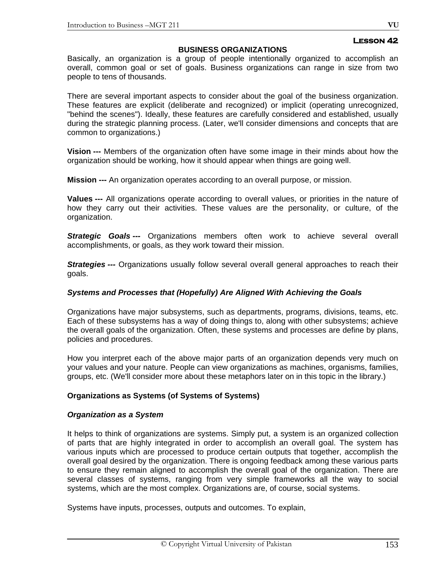# **Lesson 42**

#### **BUSINESS ORGANIZATIONS**

Basically, an organization is a group of people intentionally organized to accomplish an overall, common goal or set of goals. Business organizations can range in size from two people to tens of thousands.

There are several important aspects to consider about the goal of the business organization. These features are explicit (deliberate and recognized) or implicit (operating unrecognized, "behind the scenes"). Ideally, these features are carefully considered and established, usually during the strategic planning process. (Later, we'll consider dimensions and concepts that are common to organizations.)

**Vision ---** Members of the organization often have some image in their minds about how the organization should be working, how it should appear when things are going well.

**Mission ---** An organization operates according to an overall purpose, or mission.

**Values ---** All organizations operate according to overall values, or priorities in the nature of how they carry out their activities. These values are the personality, or culture, of the organization.

**Strategic Goals ---** Organizations members often work to achieve several overall accomplishments, or goals, as they work toward their mission.

**Strategies ---** Organizations usually follow several overall general approaches to reach their goals.

## *Systems and Processes that (Hopefully) Are Aligned With Achieving the Goals*

Organizations have major subsystems, such as departments, programs, divisions, teams, etc. Each of these subsystems has a way of doing things to, along with other subsystems; achieve the overall goals of the organization. Often, these systems and processes are define by plans, policies and procedures.

How you interpret each of the above major parts of an organization depends very much on your values and your nature. People can view organizations as machines, organisms, families, groups, etc. (We'll consider more about these metaphors later on in this topic in the library.)

## **Organizations as Systems (of Systems of Systems)**

## *Organization as a System*

It helps to think of organizations are systems. Simply put, a system is an organized collection of parts that are highly integrated in order to accomplish an overall goal. The system has various inputs which are processed to produce certain outputs that together, accomplish the overall goal desired by the organization. There is ongoing feedback among these various parts to ensure they remain aligned to accomplish the overall goal of the organization. There are several classes of systems, ranging from very simple frameworks all the way to social systems, which are the most complex. Organizations are, of course, social systems.

Systems have inputs, processes, outputs and outcomes. To explain,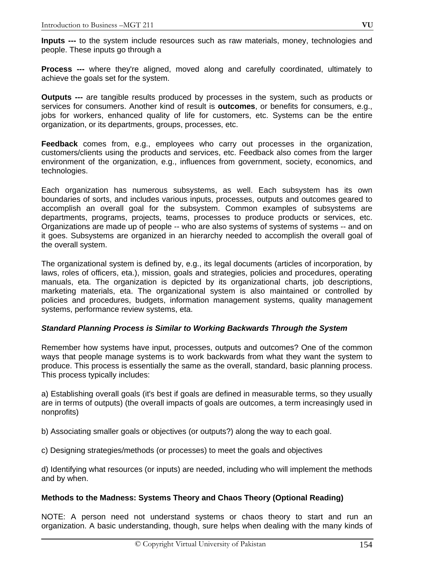**Inputs ---** to the system include resources such as raw materials, money, technologies and people. These inputs go through a

**Process ---** where they're aligned, moved along and carefully coordinated, ultimately to achieve the goals set for the system.

**Outputs ---** are tangible results produced by processes in the system, such as products or services for consumers. Another kind of result is **outcomes**, or benefits for consumers, e.g., jobs for workers, enhanced quality of life for customers, etc. Systems can be the entire organization, or its departments, groups, processes, etc.

**Feedback** comes from, e.g., employees who carry out processes in the organization, customers/clients using the products and services, etc. Feedback also comes from the larger environment of the organization, e.g., influences from government, society, economics, and technologies.

Each organization has numerous subsystems, as well. Each subsystem has its own boundaries of sorts, and includes various inputs, processes, outputs and outcomes geared to accomplish an overall goal for the subsystem. Common examples of subsystems are departments, programs, projects, teams, processes to produce products or services, etc. Organizations are made up of people -- who are also systems of systems of systems -- and on it goes. Subsystems are organized in an hierarchy needed to accomplish the overall goal of the overall system.

The organizational system is defined by, e.g., its legal documents (articles of incorporation, by laws, roles of officers, eta.), mission, goals and strategies, policies and procedures, operating manuals, eta. The organization is depicted by its organizational charts, job descriptions, marketing materials, eta. The organizational system is also maintained or controlled by policies and procedures, budgets, information management systems, quality management systems, performance review systems, eta.

## *Standard Planning Process is Similar to Working Backwards Through the System*

Remember how systems have input, processes, outputs and outcomes? One of the common ways that people manage systems is to work backwards from what they want the system to produce. This process is essentially the same as the overall, standard, basic planning process. This process typically includes:

a) Establishing overall goals (it's best if goals are defined in measurable terms, so they usually are in terms of outputs) (the overall impacts of goals are outcomes, a term increasingly used in nonprofits)

b) Associating smaller goals or objectives (or outputs?) along the way to each goal.

c) Designing strategies/methods (or processes) to meet the goals and objectives

d) Identifying what resources (or inputs) are needed, including who will implement the methods and by when.

## **Methods to the Madness: Systems Theory and Chaos Theory (Optional Reading)**

NOTE: A person need not understand systems or chaos theory to start and run an organization. A basic understanding, though, sure helps when dealing with the many kinds of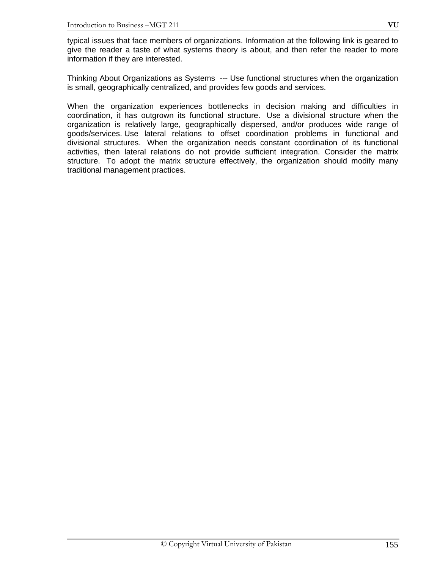typical issues that face members of organizations. Information at the following link is geared to give the reader a taste of what systems theory is about, and then refer the reader to more information if they are interested.

Thinking About Organizations as Systems --- Use functional structures when the organization is small, geographically centralized, and provides few goods and services.

When the organization experiences bottlenecks in decision making and difficulties in coordination, it has outgrown its functional structure. Use a divisional structure when the organization is relatively large, geographically dispersed, and/or produces wide range of goods/services. Use lateral relations to offset coordination problems in functional and divisional structures. When the organization needs constant coordination of its functional activities, then lateral relations do not provide sufficient integration. Consider the matrix structure. To adopt the matrix structure effectively, the organization should modify many traditional management practices.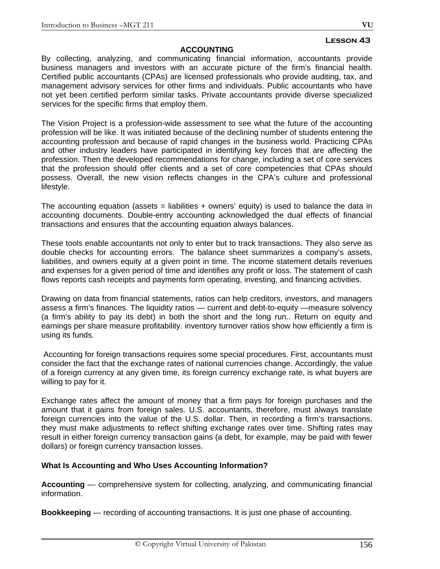## **ACCOUNTING**

By collecting, analyzing, and communicating financial information, accountants provide business managers and investors with an accurate picture of the firm's financial health. Certified public accountants (CPAs) are licensed professionals who provide auditing, tax, and management advisory services for other firms and individuals. Public accountants who have not yet been certified perform similar tasks. Private accountants provide diverse specialized services for the specific firms that employ them.

The Vision Project is a profession-wide assessment to see what the future of the accounting profession will be like. It was initiated because of the declining number of students entering the accounting profession and because of rapid changes in the business world. Practicing CPAs and other industry leaders have participated in identifying key forces that are affecting the profession. Then the developed recommendations for change, including a set of core services that the profession should offer clients and a set of core competencies that CPAs should possess. Overall, the new vision reflects changes in the CPA's culture and professional lifestyle.

The accounting equation (assets  $=$  liabilities  $+$  owners' equity) is used to balance the data in accounting documents. Double-entry accounting acknowledged the dual effects of financial transactions and ensures that the accounting equation always balances.

These tools enable accountants not only to enter but to track transactions. They also serve as double checks for accounting errors. The balance sheet summarizes a company's assets, liabilities, and owners equity at a given point in time. The income statement details revenues and expenses for a given period of time and identifies any profit or loss. The statement of cash flows reports cash receipts and payments form operating, investing, and financing activities.

Drawing on data from financial statements, ratios can help creditors, investors, and managers assess a firm's finances. The liquidity ratios — current and debt-to-equity —measure solvency (a firm's ability to pay its debt) in both the short and the long run.. Return on equity and earnings per share measure profitability. inventory turnover ratios show how efficiently a firm is using its funds.

 Accounting for foreign transactions requires some special procedures. First, accountants must consider the fact that the exchange rates of national currencies change. Accordingly, the value of a foreign currency at any given time, its foreign currency exchange rate, is what buyers are willing to pay for it.

Exchange rates affect the amount of money that a firm pays for foreign purchases and the amount that it gains from foreign sales. U.S. accountants, therefore, must always translate foreign currencies into the value of the U.S. dollar. Then, in recording a firm's transactions, they must make adjustments to reflect shifting exchange rates over time. Shifting rates may result in either foreign currency transaction gains (a debt, for example, may be paid with fewer dollars) or foreign currency transaction losses.

# **What Is Accounting and Who Uses Accounting Information?**

**Accounting** — comprehensive system for collecting, analyzing, and communicating financial information.

**Bookkeeping** — recording of accounting transactions. It is just one phase of accounting.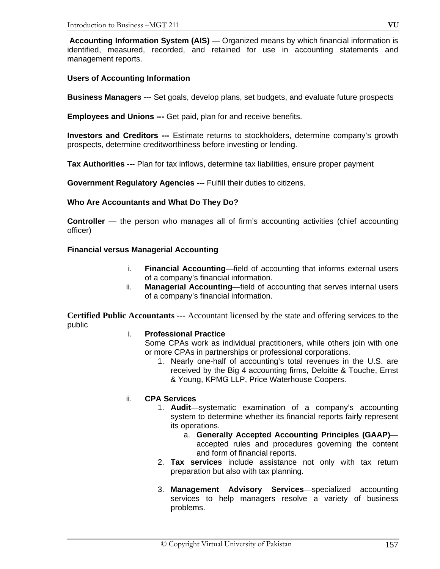**Accounting Information System (AIS)** — Organized means by which financial information is identified, measured, recorded, and retained for use in accounting statements and management reports.

## **Users of Accounting Information**

**Business Managers ---** Set goals, develop plans, set budgets, and evaluate future prospects

**Employees and Unions ---** Get paid, plan for and receive benefits.

**Investors and Creditors ---** Estimate returns to stockholders, determine company's growth prospects, determine creditworthiness before investing or lending.

**Tax Authorities ---** Plan for tax inflows, determine tax liabilities, ensure proper payment

**Government Regulatory Agencies ---** Fulfill their duties to citizens.

#### **Who Are Accountants and What Do They Do?**

**Controller** — the person who manages all of firm's accounting activities (chief accounting officer)

#### **Financial versus Managerial Accounting**

- i. **Financial Accounting**—field of accounting that informs external users of a company's financial information.
- ii. **Managerial Accounting**—field of accounting that serves internal users of a company's financial information.

**Certified Public Accountants** --- Accountant licensed by the state and offering services to the public

#### i. **Professional Practice**

Some CPAs work as individual practitioners, while others join with one or more CPAs in partnerships or professional corporations.

1. Nearly one-half of accounting's total revenues in the U.S. are received by the Big 4 accounting firms, Deloitte & Touche, Ernst & Young, KPMG LLP, Price Waterhouse Coopers.

## ii. **CPA Services**

- 1. **Audit**—systematic examination of a company's accounting system to determine whether its financial reports fairly represent its operations.
	- a. **Generally Accepted Accounting Principles (GAAP)** accepted rules and procedures governing the content and form of financial reports.
- 2. **Tax services** include assistance not only with tax return preparation but also with tax planning.
- 3. **Management Advisory Services**—specialized accounting services to help managers resolve a variety of business problems.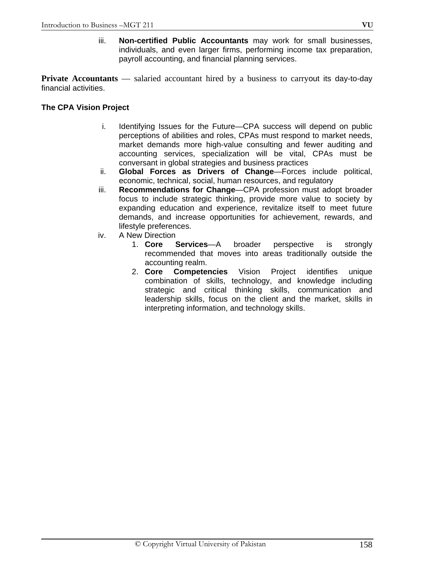iii. **Non-certified Public Accountants** may work for small businesses, individuals, and even larger firms, performing income tax preparation, payroll accounting, and financial planning services.

**Private Accountants** — salaried accountant hired by a business to carryout its day-to-day financial activities.

## **The CPA Vision Project**

- i. Identifying Issues for the Future—CPA success will depend on public perceptions of abilities and roles, CPAs must respond to market needs, market demands more high-value consulting and fewer auditing and accounting services, specialization will be vital, CPAs must be conversant in global strategies and business practices
- ii. **Global Forces as Drivers of Change**—Forces include political, economic, technical, social, human resources, and regulatory
- iii. **Recommendations for Change**—CPA profession must adopt broader focus to include strategic thinking, provide more value to society by expanding education and experience, revitalize itself to meet future demands, and increase opportunities for achievement, rewards, and lifestyle preferences.
- iv. A New Direction
	- 1. **Core Services**—A broader perspective is strongly recommended that moves into areas traditionally outside the accounting realm.
	- 2. **Core Competencies** Vision Project identifies unique combination of skills, technology, and knowledge including strategic and critical thinking skills, communication and leadership skills, focus on the client and the market, skills in interpreting information, and technology skills.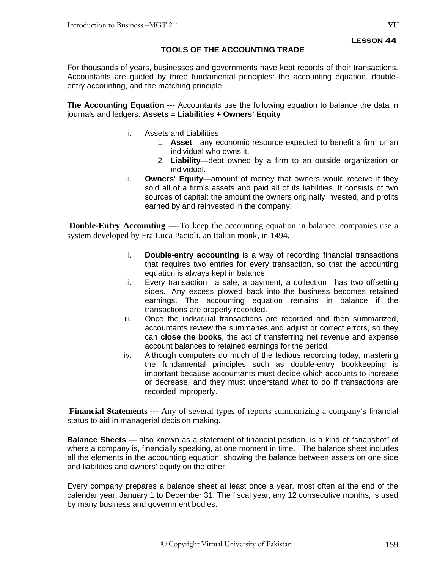# **Lesson 44**

## **TOOLS OF THE ACCOUNTING TRADE**

For thousands of years, businesses and governments have kept records of their transactions. Accountants are guided by three fundamental principles: the accounting equation, doubleentry accounting, and the matching principle.

**The Accounting Equation ---** Accountants use the following equation to balance the data in journals and ledgers: **Assets = Liabilities + Owners' Equity**

- i. Assets and Liabilities
	- 1. **Asset**—any economic resource expected to benefit a firm or an individual who owns it.
	- 2. **Liability**—debt owned by a firm to an outside organization or individual.
- ii. **Owners' Equity**—amount of money that owners would receive if they sold all of a firm's assets and paid all of its liabilities. It consists of two sources of capital: the amount the owners originally invested, and profits earned by and reinvested in the company.

**Double-Entry Accounting** ----To keep the accounting equation in balance, companies use a system developed by Fra Luca Pacioli, an Italian monk, in 1494.

- i. **Double-entry accounting** is a way of recording financial transactions that requires two entries for every transaction, so that the accounting equation is always kept in balance.
- ii. Every transaction—a sale, a payment, a collection—has two offsetting sides. Any excess plowed back into the business becomes retained earnings. The accounting equation remains in balance if the transactions are properly recorded.
- iii. Once the individual transactions are recorded and then summarized, accountants review the summaries and adjust or correct errors, so they can **close the books**, the act of transferring net revenue and expense account balances to retained earnings for the period.
- iv. Although computers do much of the tedious recording today, mastering the fundamental principles such as double-entry bookkeeping is important because accountants must decide which accounts to increase or decrease, and they must understand what to do if transactions are recorded improperly.

**Financial Statements ---** Any of several types of reports summarizing a company's financial status to aid in managerial decision making.

**Balance Sheets** — also known as a statement of financial position, is a kind of "snapshot" of where a company is, financially speaking, at one moment in time. The balance sheet includes all the elements in the accounting equation, showing the balance between assets on one side and liabilities and owners' equity on the other.

Every company prepares a balance sheet at least once a year, most often at the end of the calendar year, January 1 to December 31. The fiscal year, any 12 consecutive months, is used by many business and government bodies.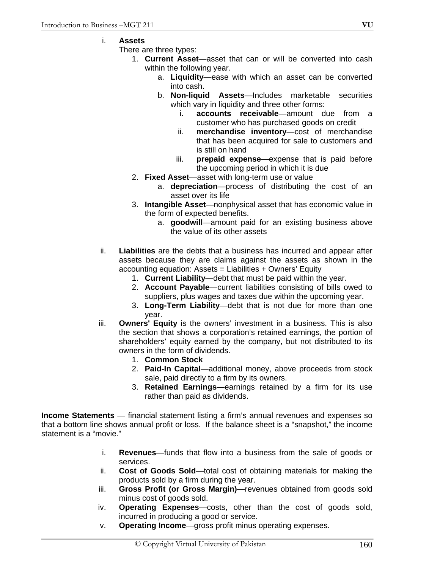- i. **Assets**
	- There are three types:
		- 1. **Current Asset**—asset that can or will be converted into cash within the following year.
			- a. **Liquidity**—ease with which an asset can be converted into cash.
			- b. **Non-liquid Assets**—Includes marketable securities which vary in liquidity and three other forms:
				- i. **accounts receivable**—amount due from a customer who has purchased goods on credit
				- ii. **merchandise inventory**—cost of merchandise that has been acquired for sale to customers and is still on hand
				- iii. **prepaid expense**—expense that is paid before the upcoming period in which it is due
		- 2. **Fixed Asset**—asset with long-term use or value
			- a. **depreciation**—process of distributing the cost of an asset over its life
		- 3. **Intangible Asset**—nonphysical asset that has economic value in the form of expected benefits.
			- a. **goodwill**—amount paid for an existing business above the value of its other assets
- ii. **Liabilities** are the debts that a business has incurred and appear after assets because they are claims against the assets as shown in the accounting equation: Assets = Liabilities + Owners' Equity
	- 1. **Current Liability**—debt that must be paid within the year.
	- 2. **Account Payable**—current liabilities consisting of bills owed to suppliers, plus wages and taxes due within the upcoming year.
	- 3. **Long-Term Liability**—debt that is not due for more than one year.
- iii. **Owners' Equity** is the owners' investment in a business. This is also the section that shows a corporation's retained earnings, the portion of shareholders' equity earned by the company, but not distributed to its owners in the form of dividends.
	- 1. **Common Stock**
	- 2. **Paid-In Capital**—additional money, above proceeds from stock sale, paid directly to a firm by its owners.
	- 3. **Retained Earnings**—earnings retained by a firm for its use rather than paid as dividends.

**Income Statements** — financial statement listing a firm's annual revenues and expenses so that a bottom line shows annual profit or loss. If the balance sheet is a "snapshot," the income statement is a "movie."

- i. **Revenues**—funds that flow into a business from the sale of goods or services.
- ii. **Cost of Goods Sold**—total cost of obtaining materials for making the products sold by a firm during the year.
- iii. **Gross Profit (or Gross Margin)**—revenues obtained from goods sold minus cost of goods sold.
- iv. **Operating Expenses**—costs, other than the cost of goods sold, incurred in producing a good or service.
- v. **Operating Income**—gross profit minus operating expenses.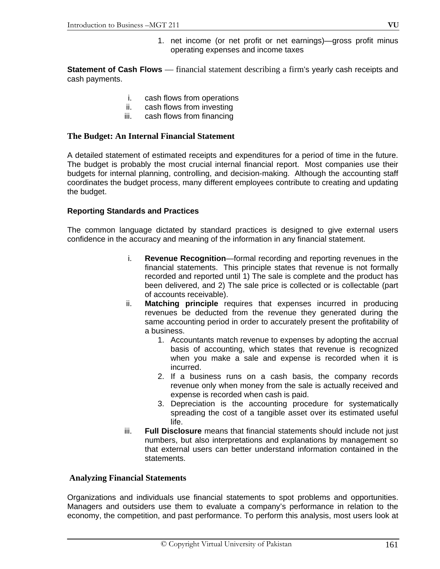1. net income (or net profit or net earnings)—gross profit minus operating expenses and income taxes

**Statement of Cash Flows** — financial statement describing a firm's yearly cash receipts and cash payments.

- i. cash flows from operations
- ii. cash flows from investing
- iii. cash flows from financing

#### **The Budget: An Internal Financial Statement**

A detailed statement of estimated receipts and expenditures for a period of time in the future. The budget is probably the most crucial internal financial report. Most companies use their budgets for internal planning, controlling, and decision-making. Although the accounting staff coordinates the budget process, many different employees contribute to creating and updating the budget.

### **Reporting Standards and Practices**

The common language dictated by standard practices is designed to give external users confidence in the accuracy and meaning of the information in any financial statement.

- i. **Revenue Recognition**—formal recording and reporting revenues in the financial statements. This principle states that revenue is not formally recorded and reported until 1) The sale is complete and the product has been delivered, and 2) The sale price is collected or is collectable (part of accounts receivable).
- ii. **Matching principle** requires that expenses incurred in producing revenues be deducted from the revenue they generated during the same accounting period in order to accurately present the profitability of a business.
	- 1. Accountants match revenue to expenses by adopting the accrual basis of accounting, which states that revenue is recognized when you make a sale and expense is recorded when it is incurred.
	- 2. If a business runs on a cash basis, the company records revenue only when money from the sale is actually received and expense is recorded when cash is paid.
	- 3. Depreciation is the accounting procedure for systematically spreading the cost of a tangible asset over its estimated useful life.
- iii. **Full Disclosure** means that financial statements should include not just numbers, but also interpretations and explanations by management so that external users can better understand information contained in the statements.

#### **Analyzing Financial Statements**

Organizations and individuals use financial statements to spot problems and opportunities. Managers and outsiders use them to evaluate a company's performance in relation to the economy, the competition, and past performance. To perform this analysis, most users look at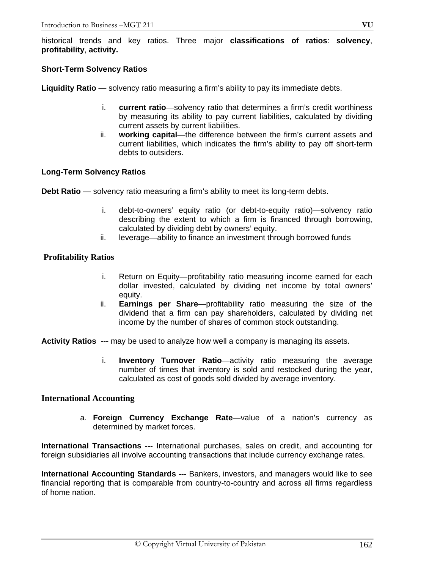## **Short-Term Solvency Ratios**

**Liquidity Ratio** — solvency ratio measuring a firm's ability to pay its immediate debts.

- i. **current ratio**—solvency ratio that determines a firm's credit worthiness by measuring its ability to pay current liabilities, calculated by dividing current assets by current liabilities.
- ii. **working capital**—the difference between the firm's current assets and current liabilities, which indicates the firm's ability to pay off short-term debts to outsiders.

## **Long-Term Solvency Ratios**

**Debt Ratio** — solvency ratio measuring a firm's ability to meet its long-term debts.

- i. debt-to-owners' equity ratio (or debt-to-equity ratio)—solvency ratio describing the extent to which a firm is financed through borrowing, calculated by dividing debt by owners' equity.
- ii. leverage—ability to finance an investment through borrowed funds

# **Profitability Ratios**

- i. Return on Equity—profitability ratio measuring income earned for each dollar invested, calculated by dividing net income by total owners' equity.
- ii. **Earnings per Share**—profitability ratio measuring the size of the dividend that a firm can pay shareholders, calculated by dividing net income by the number of shares of common stock outstanding.

**Activity Ratios ---** may be used to analyze how well a company is managing its assets.

i. **Inventory Turnover Ratio**—activity ratio measuring the average number of times that inventory is sold and restocked during the year, calculated as cost of goods sold divided by average inventory.

## **International Accounting**

a. **Foreign Currency Exchange Rate**—value of a nation's currency as determined by market forces.

**International Transactions ---** International purchases, sales on credit, and accounting for foreign subsidiaries all involve accounting transactions that include currency exchange rates.

**International Accounting Standards ---** Bankers, investors, and managers would like to see financial reporting that is comparable from country-to-country and across all firms regardless of home nation.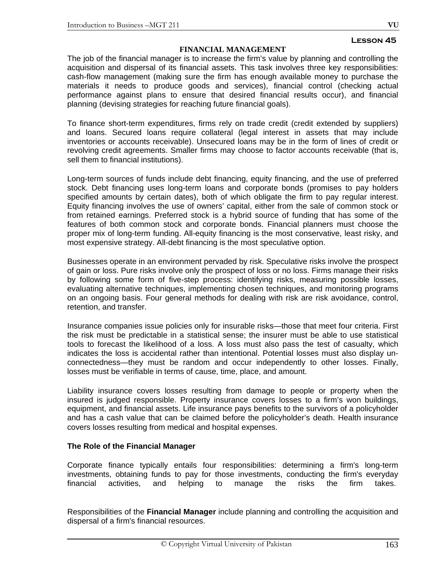## **Lesson 45**

#### **FINANCIAL MANAGEMENT**

The job of the financial manager is to increase the firm's value by planning and controlling the acquisition and dispersal of its financial assets. This task involves three key responsibilities: cash-flow management (making sure the firm has enough available money to purchase the materials it needs to produce goods and services), financial control (checking actual performance against plans to ensure that desired financial results occur), and financial planning (devising strategies for reaching future financial goals).

To finance short-term expenditures, firms rely on trade credit (credit extended by suppliers) and loans. Secured loans require collateral (legal interest in assets that may include inventories or accounts receivable). Unsecured loans may be in the form of lines of credit or revolving credit agreements. Smaller firms may choose to factor accounts receivable (that is, sell them to financial institutions).

Long-term sources of funds include debt financing, equity financing, and the use of preferred stock. Debt financing uses long-term loans and corporate bonds (promises to pay holders specified amounts by certain dates), both of which obligate the firm to pay regular interest. Equity financing involves the use of owners' capital, either from the sale of common stock or from retained earnings. Preferred stock is a hybrid source of funding that has some of the features of both common stock and corporate bonds. Financial planners must choose the proper mix of long-term funding. All-equity financing is the most conservative, least risky, and most expensive strategy. All-debt financing is the most speculative option.

Businesses operate in an environment pervaded by risk. Speculative risks involve the prospect of gain or loss. Pure risks involve only the prospect of loss or no loss. Firms manage their risks by following some form of five-step process: identifying risks, measuring possible losses, evaluating alternative techniques, implementing chosen techniques, and monitoring programs on an ongoing basis. Four general methods for dealing with risk are risk avoidance, control, retention, and transfer.

Insurance companies issue policies only for insurable risks—those that meet four criteria. First the risk must be predictable in a statistical sense; the insurer must be able to use statistical tools to forecast the likelihood of a loss. A loss must also pass the test of casualty, which indicates the loss is accidental rather than intentional. Potential losses must also display unconnectedness—they must be random and occur independently to other losses. Finally, losses must be verifiable in terms of cause, time, place, and amount.

Liability insurance covers losses resulting from damage to people or property when the insured is judged responsible. Property insurance covers losses to a firm's won buildings, equipment, and financial assets. Life insurance pays benefits to the survivors of a policyholder and has a cash value that can be claimed before the policyholder's death. Health insurance covers losses resulting from medical and hospital expenses.

## **The Role of the Financial Manager**

Corporate finance typically entails four responsibilities: determining a firm's long-term investments, obtaining funds to pay for those investments, conducting the firm's everyday financial activities, and helping to manage the risks the firm takes.

Responsibilities of the **Financial Manager** include planning and controlling the acquisition and dispersal of a firm's financial resources.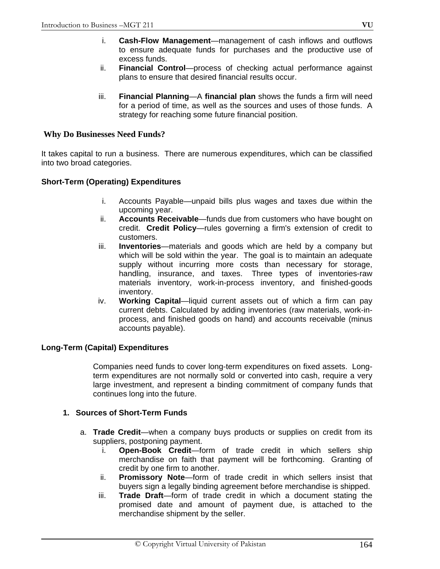- i. **Cash-Flow Management**—management of cash inflows and outflows to ensure adequate funds for purchases and the productive use of excess funds.
- ii. **Financial Control**—process of checking actual performance against plans to ensure that desired financial results occur.
- iii. **Financial Planning**—A **financial plan** shows the funds a firm will need for a period of time, as well as the sources and uses of those funds. A strategy for reaching some future financial position.

## **Why Do Businesses Need Funds?**

It takes capital to run a business. There are numerous expenditures, which can be classified into two broad categories.

## **Short-Term (Operating) Expenditures**

- i. Accounts Payable—unpaid bills plus wages and taxes due within the upcoming year.
- ii. **Accounts Receivable**—funds due from customers who have bought on credit. **Credit Policy**—rules governing a firm's extension of credit to customers.
- iii. **Inventories**—materials and goods which are held by a company but which will be sold within the year. The goal is to maintain an adequate supply without incurring more costs than necessary for storage, handling, insurance, and taxes. Three types of inventories-raw materials inventory, work-in-process inventory, and finished-goods inventory.
- iv. **Working Capital**—liquid current assets out of which a firm can pay current debts. Calculated by adding inventories (raw materials, work-inprocess, and finished goods on hand) and accounts receivable (minus accounts payable).

## **Long-Term (Capital) Expenditures**

Companies need funds to cover long-term expenditures on fixed assets. Longterm expenditures are not normally sold or converted into cash, require a very large investment, and represent a binding commitment of company funds that continues long into the future.

# **1. Sources of Short-Term Funds**

- a. **Trade Credit**—when a company buys products or supplies on credit from its suppliers, postponing payment.
	- i. **Open-Book Credit**—form of trade credit in which sellers ship merchandise on faith that payment will be forthcoming. Granting of credit by one firm to another.
	- ii. **Promissory Note**—form of trade credit in which sellers insist that buyers sign a legally binding agreement before merchandise is shipped.
	- iii. **Trade Draft**—form of trade credit in which a document stating the promised date and amount of payment due, is attached to the merchandise shipment by the seller.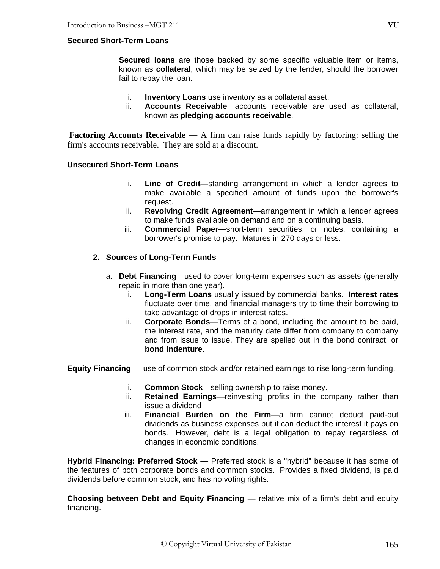#### **Secured Short-Term Loans**

**Secured loans** are those backed by some specific valuable item or items, known as **collateral**, which may be seized by the lender, should the borrower fail to repay the loan.

- i. **Inventory Loans** use inventory as a collateral asset.
- ii. **Accounts Receivable**—accounts receivable are used as collateral, known as **pledging accounts receivable**.

**Factoring Accounts Receivable** — A firm can raise funds rapidly by factoring: selling the firm's accounts receivable. They are sold at a discount.

#### **Unsecured Short-Term Loans**

- i. **Line of Credit**—standing arrangement in which a lender agrees to make available a specified amount of funds upon the borrower's request.
- ii. **Revolving Credit Agreement**—arrangement in which a lender agrees to make funds available on demand and on a continuing basis.
- iii. **Commercial Paper**—short-term securities, or notes, containing a borrower's promise to pay. Matures in 270 days or less.

#### **2. Sources of Long-Term Funds**

- a. **Debt Financing**—used to cover long-term expenses such as assets (generally repaid in more than one year).
	- i. **Long-Term Loans** usually issued by commercial banks. **Interest rates** fluctuate over time, and financial managers try to time their borrowing to take advantage of drops in interest rates.
	- ii. **Corporate Bonds**—Terms of a bond, including the amount to be paid, the interest rate, and the maturity date differ from company to company and from issue to issue. They are spelled out in the bond contract, or **bond indenture**.

**Equity Financing** — use of common stock and/or retained earnings to rise long-term funding.

- i. **Common Stock**—selling ownership to raise money.
- ii. **Retained Earnings**—reinvesting profits in the company rather than issue a dividend
- iii. **Financial Burden on the Firm**—a firm cannot deduct paid-out dividends as business expenses but it can deduct the interest it pays on bonds. However, debt is a legal obligation to repay regardless of changes in economic conditions.

**Hybrid Financing: Preferred Stock** — Preferred stock is a "hybrid" because it has some of the features of both corporate bonds and common stocks. Provides a fixed dividend, is paid dividends before common stock, and has no voting rights.

**Choosing between Debt and Equity Financing** — relative mix of a firm's debt and equity financing.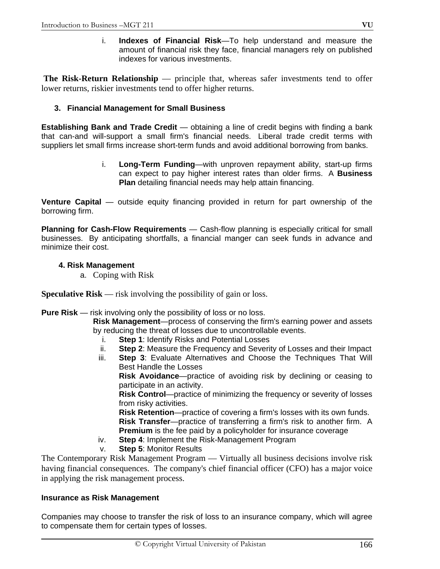i. **Indexes of Financial Risk**—To help understand and measure the amount of financial risk they face, financial managers rely on published indexes for various investments.

**The Risk-Return Relationship** — principle that, whereas safer investments tend to offer lower returns, riskier investments tend to offer higher returns.

# **3. Financial Management for Small Business**

**Establishing Bank and Trade Credit** — obtaining a line of credit begins with finding a bank that can-and will-support a small firm's financial needs. Liberal trade credit terms with suppliers let small firms increase short-term funds and avoid additional borrowing from banks.

> i. **Long-Term Funding**—with unproven repayment ability, start-up firms can expect to pay higher interest rates than older firms. A **Business Plan** detailing financial needs may help attain financing.

**Venture Capital** — outside equity financing provided in return for part ownership of the borrowing firm.

**Planning for Cash-Flow Requirements** — Cash-flow planning is especially critical for small businesses. By anticipating shortfalls, a financial manger can seek funds in advance and minimize their cost.

## **4. Risk Management**

a. Coping with Risk

**Speculative Risk** — risk involving the possibility of gain or loss.

**Pure Risk** — risk involving only the possibility of loss or no loss.

**Risk Management**—process of conserving the firm's earning power and assets by reducing the threat of losses due to uncontrollable events.

- i. **Step 1**: Identify Risks and Potential Losses
- ii. **Step 2**: Measure the Frequency and Severity of Losses and their Impact
- iii. **Step 3**: Evaluate Alternatives and Choose the Techniques That Will Best Handle the Losses

**Risk Avoidance**—practice of avoiding risk by declining or ceasing to participate in an activity.

**Risk Control**—practice of minimizing the frequency or severity of losses from risky activities.

**Risk Retention**—practice of covering a firm's losses with its own funds. **Risk Transfer**—practice of transferring a firm's risk to another firm. A **Premium** is the fee paid by a policyholder for insurance coverage

iv. **Step 4**: Implement the Risk-Management Program

# v. **Step 5**: Monitor Results

The Contemporary Risk Management Program — Virtually all business decisions involve risk having financial consequences. The company's chief financial officer (CFO) has a major voice in applying the risk management process.

# **Insurance as Risk Management**

Companies may choose to transfer the risk of loss to an insurance company, which will agree to compensate them for certain types of losses.